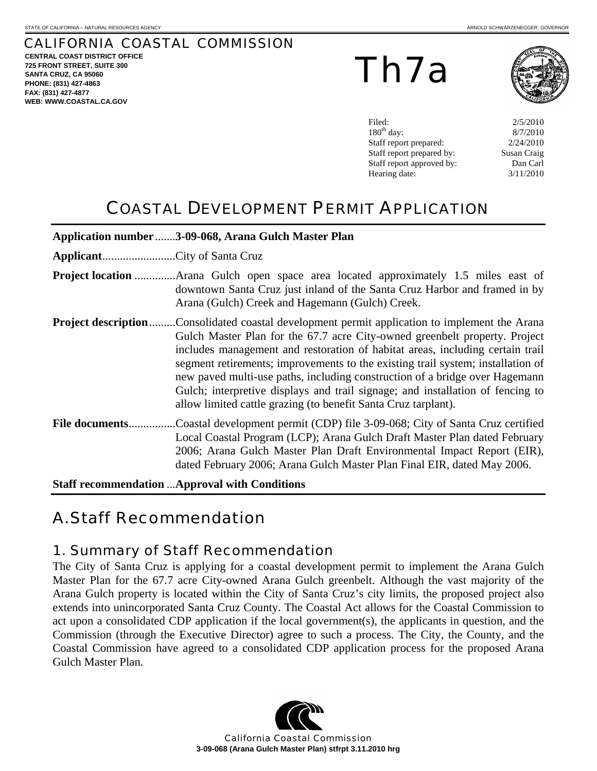## CALIFORNIA COASTAL COMMISSION

**CENTRAL COAST DISTRICT OFFICE 725 FRONT STREET, SUITE 300 SANTA CRUZ, CA 95060 PHONE: (831) 427-4863 FAX: (831) 427-4877 WEB: WWW.COASTAL.CA.GOV**

Th7a



Filed: 2/5/2010 8/7/2010  $2/24/2010$ Susan Craig Dan Carl 3/11/2010

# COASTAL DEVELOPMENT PERMIT APPLICATION

|                                                       | Application number 3-09-068, Arana Gulch Master Plan                                                                                                                                                                                                                                                                                                                                                                                                                                                                                                             |  |  |  |
|-------------------------------------------------------|------------------------------------------------------------------------------------------------------------------------------------------------------------------------------------------------------------------------------------------------------------------------------------------------------------------------------------------------------------------------------------------------------------------------------------------------------------------------------------------------------------------------------------------------------------------|--|--|--|
| ApplicantCity of Santa Cruz                           |                                                                                                                                                                                                                                                                                                                                                                                                                                                                                                                                                                  |  |  |  |
|                                                       | downtown Santa Cruz just inland of the Santa Cruz Harbor and framed in by<br>Arana (Gulch) Creek and Hagemann (Gulch) Creek.                                                                                                                                                                                                                                                                                                                                                                                                                                     |  |  |  |
| <b>Project description</b>                            | Consolidated coastal development permit application to implement the Arana.<br>Gulch Master Plan for the 67.7 acre City-owned greenbelt property. Project<br>includes management and restoration of habitat areas, including certain trail<br>segment retirements; improvements to the existing trail system; installation of<br>new paved multi-use paths, including construction of a bridge over Hagemann<br>Gulch; interpretive displays and trail signage; and installation of fencing to<br>allow limited cattle grazing (to benefit Santa Cruz tarplant). |  |  |  |
| File documents                                        | Coastal development permit (CDP) file 3-09-068; City of Santa Cruz certified<br>Local Coastal Program (LCP); Arana Gulch Draft Master Plan dated February<br>2006; Arana Gulch Master Plan Draft Environmental Impact Report (EIR),<br>dated February 2006; Arana Gulch Master Plan Final EIR, dated May 2006.                                                                                                                                                                                                                                                   |  |  |  |
| <b>Staff recommendation  Approval with Conditions</b> |                                                                                                                                                                                                                                                                                                                                                                                                                                                                                                                                                                  |  |  |  |

# A. Staff Recommendation

## 1. Summary of Staff Recommendation

The City of Santa Cruz is applying for a coastal development permit to implement the Arana Gulch Master Plan for the 67.7 acre City-owned Arana Gulch greenbelt. Although the vast majority of the Arana Gulch property is located within the City of Santa Cruz's city limits, the proposed project also extends into unincorporated Santa Cruz County. The Coastal Act allows for the Coastal Commission to act upon a consolidated CDP application if the local government(s), the applicants in question, and the Commission (through the Executive Director) agree to such a process. The City, the County, and the Coastal Commission have agreed to a consolidated CDP application process for the proposed Arana Gulch Master Plan.

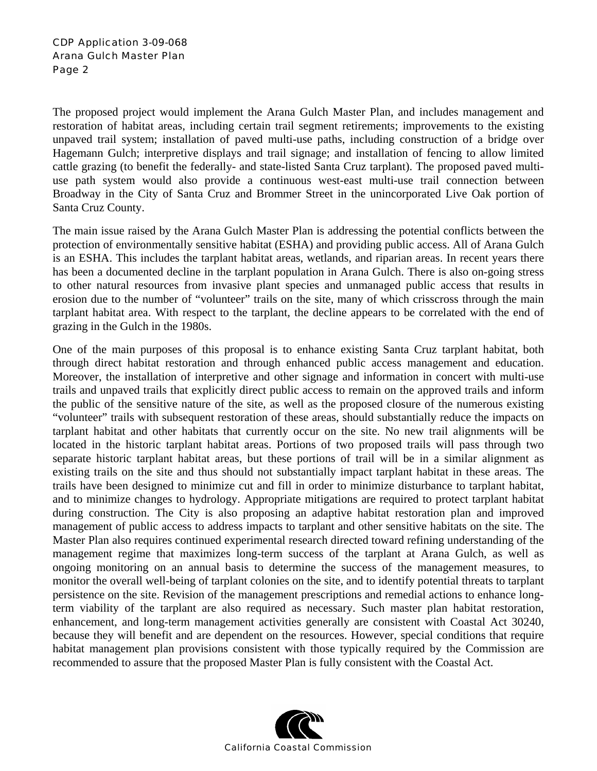The proposed project would implement the Arana Gulch Master Plan, and includes management and restoration of habitat areas, including certain trail segment retirements; improvements to the existing unpaved trail system; installation of paved multi-use paths, including construction of a bridge over Hagemann Gulch; interpretive displays and trail signage; and installation of fencing to allow limited cattle grazing (to benefit the federally- and state-listed Santa Cruz tarplant). The proposed paved multiuse path system would also provide a continuous west-east multi-use trail connection between Broadway in the City of Santa Cruz and Brommer Street in the unincorporated Live Oak portion of Santa Cruz County.

The main issue raised by the Arana Gulch Master Plan is addressing the potential conflicts between the protection of environmentally sensitive habitat (ESHA) and providing public access. All of Arana Gulch is an ESHA. This includes the tarplant habitat areas, wetlands, and riparian areas. In recent years there has been a documented decline in the tarplant population in Arana Gulch. There is also on-going stress to other natural resources from invasive plant species and unmanaged public access that results in erosion due to the number of "volunteer" trails on the site, many of which crisscross through the main tarplant habitat area. With respect to the tarplant, the decline appears to be correlated with the end of grazing in the Gulch in the 1980s.

One of the main purposes of this proposal is to enhance existing Santa Cruz tarplant habitat, both through direct habitat restoration and through enhanced public access management and education. Moreover, the installation of interpretive and other signage and information in concert with multi-use trails and unpaved trails that explicitly direct public access to remain on the approved trails and inform the public of the sensitive nature of the site, as well as the proposed closure of the numerous existing "volunteer" trails with subsequent restoration of these areas, should substantially reduce the impacts on tarplant habitat and other habitats that currently occur on the site. No new trail alignments will be located in the historic tarplant habitat areas. Portions of two proposed trails will pass through two separate historic tarplant habitat areas, but these portions of trail will be in a similar alignment as existing trails on the site and thus should not substantially impact tarplant habitat in these areas. The trails have been designed to minimize cut and fill in order to minimize disturbance to tarplant habitat, and to minimize changes to hydrology. Appropriate mitigations are required to protect tarplant habitat during construction. The City is also proposing an adaptive habitat restoration plan and improved management of public access to address impacts to tarplant and other sensitive habitats on the site. The Master Plan also requires continued experimental research directed toward refining understanding of the management regime that maximizes long-term success of the tarplant at Arana Gulch, as well as ongoing monitoring on an annual basis to determine the success of the management measures, to monitor the overall well-being of tarplant colonies on the site, and to identify potential threats to tarplant persistence on the site. Revision of the management prescriptions and remedial actions to enhance longterm viability of the tarplant are also required as necessary. Such master plan habitat restoration, enhancement, and long-term management activities generally are consistent with Coastal Act 30240, because they will benefit and are dependent on the resources. However, special conditions that require habitat management plan provisions consistent with those typically required by the Commission are recommended to assure that the proposed Master Plan is fully consistent with the Coastal Act.

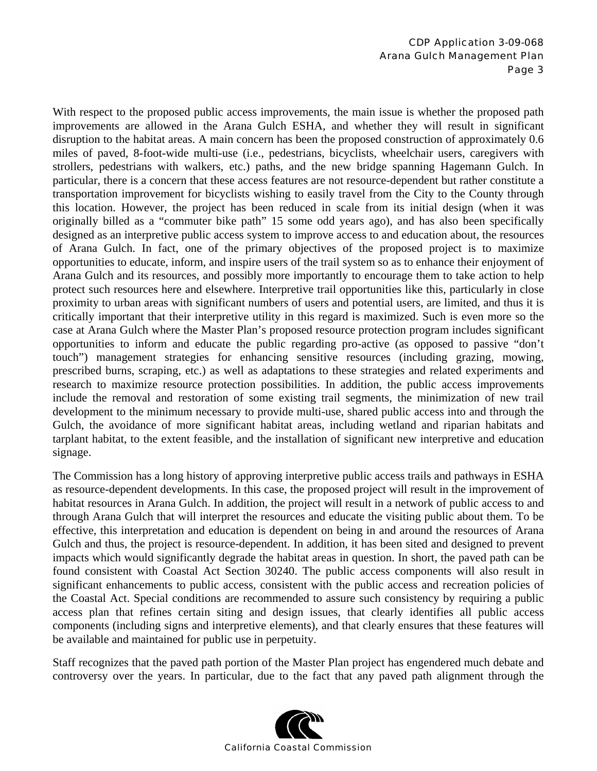With respect to the proposed public access improvements, the main issue is whether the proposed path improvements are allowed in the Arana Gulch ESHA, and whether they will result in significant disruption to the habitat areas. A main concern has been the proposed construction of approximately 0.6 miles of paved, 8-foot-wide multi-use (i.e., pedestrians, bicyclists, wheelchair users, caregivers with strollers, pedestrians with walkers, etc.) paths, and the new bridge spanning Hagemann Gulch. In particular, there is a concern that these access features are not resource-dependent but rather constitute a transportation improvement for bicyclists wishing to easily travel from the City to the County through this location. However, the project has been reduced in scale from its initial design (when it was originally billed as a "commuter bike path" 15 some odd years ago), and has also been specifically designed as an interpretive public access system to improve access to and education about, the resources of Arana Gulch. In fact, one of the primary objectives of the proposed project is to maximize opportunities to educate, inform, and inspire users of the trail system so as to enhance their enjoyment of Arana Gulch and its resources, and possibly more importantly to encourage them to take action to help protect such resources here and elsewhere. Interpretive trail opportunities like this, particularly in close proximity to urban areas with significant numbers of users and potential users, are limited, and thus it is critically important that their interpretive utility in this regard is maximized. Such is even more so the case at Arana Gulch where the Master Plan's proposed resource protection program includes significant opportunities to inform and educate the public regarding pro-active (as opposed to passive "don't touch") management strategies for enhancing sensitive resources (including grazing, mowing, prescribed burns, scraping, etc.) as well as adaptations to these strategies and related experiments and research to maximize resource protection possibilities. In addition, the public access improvements include the removal and restoration of some existing trail segments, the minimization of new trail development to the minimum necessary to provide multi-use, shared public access into and through the Gulch, the avoidance of more significant habitat areas, including wetland and riparian habitats and tarplant habitat, to the extent feasible, and the installation of significant new interpretive and education signage.

The Commission has a long history of approving interpretive public access trails and pathways in ESHA as resource-dependent developments. In this case, the proposed project will result in the improvement of habitat resources in Arana Gulch. In addition, the project will result in a network of public access to and through Arana Gulch that will interpret the resources and educate the visiting public about them. To be effective, this interpretation and education is dependent on being in and around the resources of Arana Gulch and thus, the project is resource-dependent. In addition, it has been sited and designed to prevent impacts which would significantly degrade the habitat areas in question. In short, the paved path can be found consistent with Coastal Act Section 30240. The public access components will also result in significant enhancements to public access, consistent with the public access and recreation policies of the Coastal Act. Special conditions are recommended to assure such consistency by requiring a public access plan that refines certain siting and design issues, that clearly identifies all public access components (including signs and interpretive elements), and that clearly ensures that these features will be available and maintained for public use in perpetuity.

Staff recognizes that the paved path portion of the Master Plan project has engendered much debate and controversy over the years. In particular, due to the fact that any paved path alignment through the

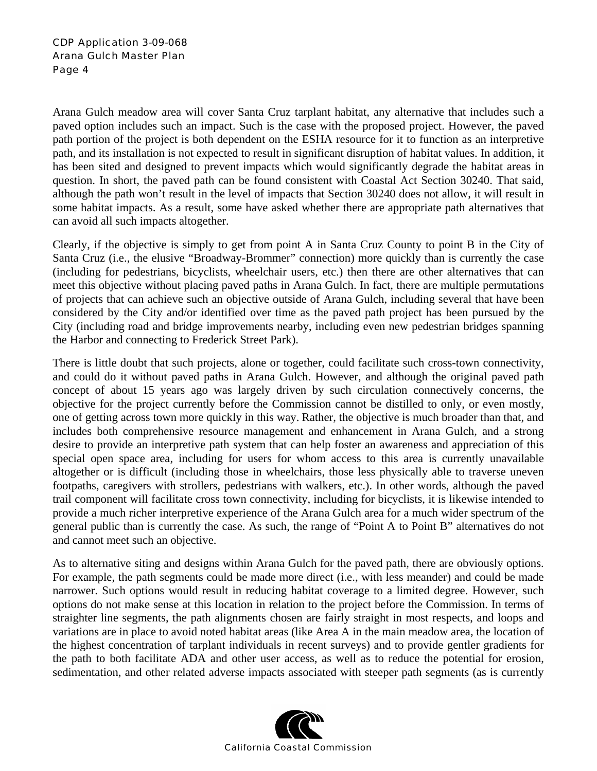Arana Gulch meadow area will cover Santa Cruz tarplant habitat, any alternative that includes such a paved option includes such an impact. Such is the case with the proposed project. However, the paved path portion of the project is both dependent on the ESHA resource for it to function as an interpretive path, and its installation is not expected to result in significant disruption of habitat values. In addition, it has been sited and designed to prevent impacts which would significantly degrade the habitat areas in question. In short, the paved path can be found consistent with Coastal Act Section 30240. That said, although the path won't result in the level of impacts that Section 30240 does not allow, it will result in some habitat impacts. As a result, some have asked whether there are appropriate path alternatives that can avoid all such impacts altogether.

Clearly, if the objective is simply to get from point A in Santa Cruz County to point B in the City of Santa Cruz (i.e., the elusive "Broadway-Brommer" connection) more quickly than is currently the case (including for pedestrians, bicyclists, wheelchair users, etc.) then there are other alternatives that can meet this objective without placing paved paths in Arana Gulch. In fact, there are multiple permutations of projects that can achieve such an objective outside of Arana Gulch, including several that have been considered by the City and/or identified over time as the paved path project has been pursued by the City (including road and bridge improvements nearby, including even new pedestrian bridges spanning the Harbor and connecting to Frederick Street Park).

There is little doubt that such projects, alone or together, could facilitate such cross-town connectivity, and could do it without paved paths in Arana Gulch. However, and although the original paved path concept of about 15 years ago was largely driven by such circulation connectively concerns, the objective for the project currently before the Commission cannot be distilled to only, or even mostly, one of getting across town more quickly in this way. Rather, the objective is much broader than that, and includes both comprehensive resource management and enhancement in Arana Gulch, and a strong desire to provide an interpretive path system that can help foster an awareness and appreciation of this special open space area, including for users for whom access to this area is currently unavailable altogether or is difficult (including those in wheelchairs, those less physically able to traverse uneven footpaths, caregivers with strollers, pedestrians with walkers, etc.). In other words, although the paved trail component will facilitate cross town connectivity, including for bicyclists, it is likewise intended to provide a much richer interpretive experience of the Arana Gulch area for a much wider spectrum of the general public than is currently the case. As such, the range of "Point A to Point B" alternatives do not and cannot meet such an objective.

As to alternative siting and designs within Arana Gulch for the paved path, there are obviously options. For example, the path segments could be made more direct (i.e., with less meander) and could be made narrower. Such options would result in reducing habitat coverage to a limited degree. However, such options do not make sense at this location in relation to the project before the Commission. In terms of straighter line segments, the path alignments chosen are fairly straight in most respects, and loops and variations are in place to avoid noted habitat areas (like Area A in the main meadow area, the location of the highest concentration of tarplant individuals in recent surveys) and to provide gentler gradients for the path to both facilitate ADA and other user access, as well as to reduce the potential for erosion, sedimentation, and other related adverse impacts associated with steeper path segments (as is currently

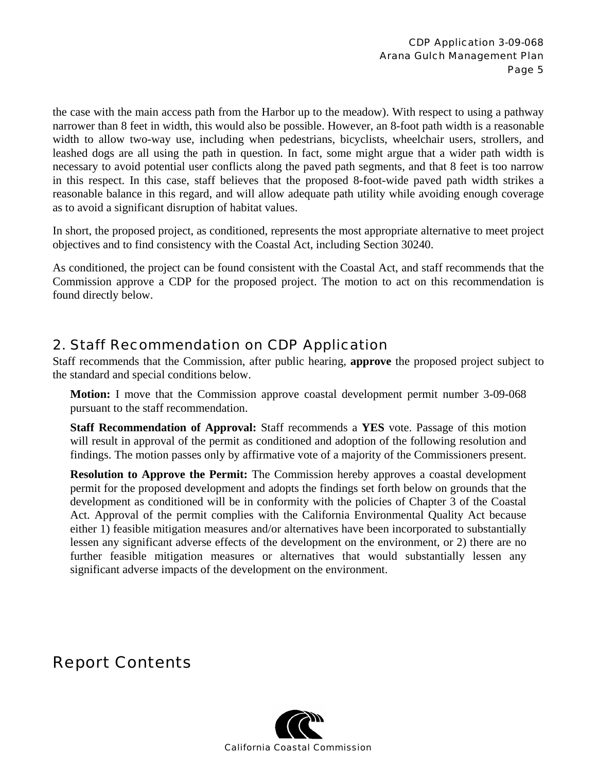the case with the main access path from the Harbor up to the meadow). With respect to using a pathway narrower than 8 feet in width, this would also be possible. However, an 8-foot path width is a reasonable width to allow two-way use, including when pedestrians, bicyclists, wheelchair users, strollers, and leashed dogs are all using the path in question. In fact, some might argue that a wider path width is necessary to avoid potential user conflicts along the paved path segments, and that 8 feet is too narrow in this respect. In this case, staff believes that the proposed 8-foot-wide paved path width strikes a reasonable balance in this regard, and will allow adequate path utility while avoiding enough coverage as to avoid a significant disruption of habitat values.

In short, the proposed project, as conditioned, represents the most appropriate alternative to meet project objectives and to find consistency with the Coastal Act, including Section 30240.

As conditioned, the project can be found consistent with the Coastal Act, and staff recommends that the Commission approve a CDP for the proposed project. The motion to act on this recommendation is found directly below.

## 2. Staff Recommendation on CDP Application

Staff recommends that the Commission, after public hearing, **approve** the proposed project subject to the standard and special conditions below.

**Motion:** I move that the Commission approve coastal development permit number 3-09-068 pursuant to the staff recommendation.

**Staff Recommendation of Approval:** Staff recommends a **YES** vote. Passage of this motion will result in approval of the permit as conditioned and adoption of the following resolution and findings. The motion passes only by affirmative vote of a majority of the Commissioners present.

**Resolution to Approve the Permit:** The Commission hereby approves a coastal development permit for the proposed development and adopts the findings set forth below on grounds that the development as conditioned will be in conformity with the policies of Chapter 3 of the Coastal Act. Approval of the permit complies with the California Environmental Quality Act because either 1) feasible mitigation measures and/or alternatives have been incorporated to substantially lessen any significant adverse effects of the development on the environment, or 2) there are no further feasible mitigation measures or alternatives that would substantially lessen any significant adverse impacts of the development on the environment.

# Report Contents

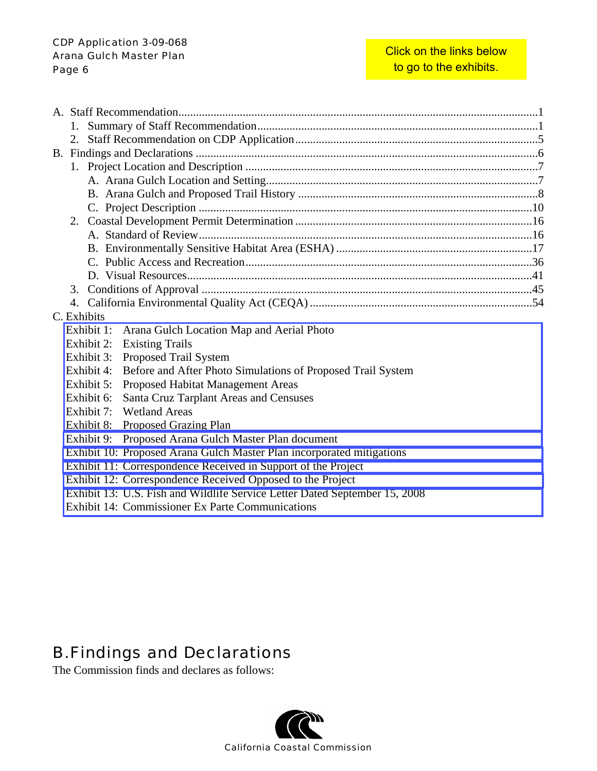| 2.          |  |            |                                                                            |  |  |
|-------------|--|------------|----------------------------------------------------------------------------|--|--|
|             |  |            |                                                                            |  |  |
|             |  |            |                                                                            |  |  |
|             |  |            |                                                                            |  |  |
|             |  |            |                                                                            |  |  |
|             |  |            |                                                                            |  |  |
|             |  |            |                                                                            |  |  |
|             |  |            |                                                                            |  |  |
|             |  |            |                                                                            |  |  |
|             |  |            |                                                                            |  |  |
|             |  |            |                                                                            |  |  |
|             |  |            |                                                                            |  |  |
|             |  |            |                                                                            |  |  |
| C. Exhibits |  |            |                                                                            |  |  |
|             |  | Exhibit 1: | Arana Gulch Location Map and Aerial Photo                                  |  |  |
|             |  |            | Exhibit 2: Existing Trails                                                 |  |  |
|             |  |            | Exhibit 3: Proposed Trail System                                           |  |  |
|             |  |            | Exhibit 4: Before and After Photo Simulations of Proposed Trail System     |  |  |
|             |  | Exhibit 5: | Proposed Habitat Management Areas                                          |  |  |
|             |  | Exhibit 6: | Santa Cruz Tarplant Areas and Censuses                                     |  |  |
|             |  |            | Exhibit 7: Wetland Areas                                                   |  |  |
|             |  |            | Exhibit 8: Proposed Grazing Plan                                           |  |  |
|             |  | Exhibit 9: | Proposed Arana Gulch Master Plan document                                  |  |  |
|             |  |            | Exhibit 10: Proposed Arana Gulch Master Plan incorporated mitigations      |  |  |
|             |  |            | Exhibit 11: Correspondence Received in Support of the Project              |  |  |
|             |  |            | Exhibit 12: Correspondence Received Opposed to the Project                 |  |  |
|             |  |            | Exhibit 13: U.S. Fish and Wildlife Service Letter Dated September 15, 2008 |  |  |
|             |  |            | Exhibit 14: Commissioner Ex Parte Communications                           |  |  |

# B. Findings and Declarations

The Commission finds and declares as follows:

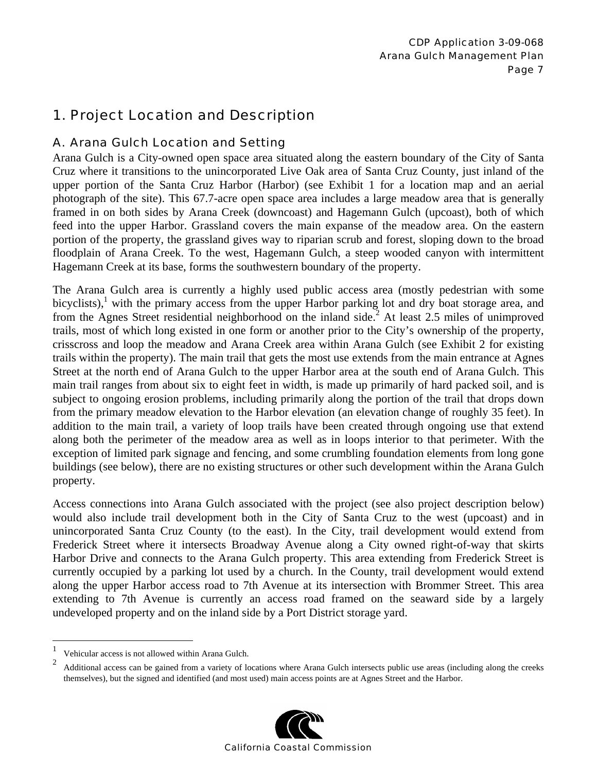## 1. Project Location and Description

### A. Arana Gulch Location and Setting

Arana Gulch is a City-owned open space area situated along the eastern boundary of the City of Santa Cruz where it transitions to the unincorporated Live Oak area of Santa Cruz County, just inland of the upper portion of the Santa Cruz Harbor (Harbor) (see Exhibit 1 for a location map and an aerial photograph of the site). This 67.7-acre open space area includes a large meadow area that is generally framed in on both sides by Arana Creek (downcoast) and Hagemann Gulch (upcoast), both of which feed into the upper Harbor. Grassland covers the main expanse of the meadow area. On the eastern portion of the property, the grassland gives way to riparian scrub and forest, sloping down to the broad floodplain of Arana Creek. To the west, Hagemann Gulch, a steep wooded canyon with intermittent Hagemann Creek at its base, forms the southwestern boundary of the property.

The Arana Gulch area is currently a highly used public access area (mostly pedestrian with some bicyclists), $<sup>1</sup>$  with the primary access from the upper Harbor parking lot and dry boat storage area, and</sup> from the Agnes Street residential neighborhood on the inland side.<sup>2</sup> At least 2.5 miles of unimproved trails, most of which long existed in one form or another prior to the City's ownership of the property, crisscross and loop the meadow and Arana Creek area within Arana Gulch (see Exhibit 2 for existing trails within the property). The main trail that gets the most use extends from the main entrance at Agnes Street at the north end of Arana Gulch to the upper Harbor area at the south end of Arana Gulch. This main trail ranges from about six to eight feet in width, is made up primarily of hard packed soil, and is subject to ongoing erosion problems, including primarily along the portion of the trail that drops down from the primary meadow elevation to the Harbor elevation (an elevation change of roughly 35 feet). In addition to the main trail, a variety of loop trails have been created through ongoing use that extend along both the perimeter of the meadow area as well as in loops interior to that perimeter. With the exception of limited park signage and fencing, and some crumbling foundation elements from long gone buildings (see below), there are no existing structures or other such development within the Arana Gulch property.

Access connections into Arana Gulch associated with the project (see also project description below) would also include trail development both in the City of Santa Cruz to the west (upcoast) and in unincorporated Santa Cruz County (to the east). In the City, trail development would extend from Frederick Street where it intersects Broadway Avenue along a City owned right-of-way that skirts Harbor Drive and connects to the Arana Gulch property. This area extending from Frederick Street is currently occupied by a parking lot used by a church. In the County, trail development would extend along the upper Harbor access road to 7th Avenue at its intersection with Brommer Street. This area extending to 7th Avenue is currently an access road framed on the seaward side by a largely undeveloped property and on the inland side by a Port District storage yard.

1

<sup>2</sup> Additional access can be gained from a variety of locations where Arana Gulch intersects public use areas (including along the creeks themselves), but the signed and identified (and most used) main access points are at Agnes Street and the Harbor.



<sup>1</sup> Vehicular access is not allowed within Arana Gulch.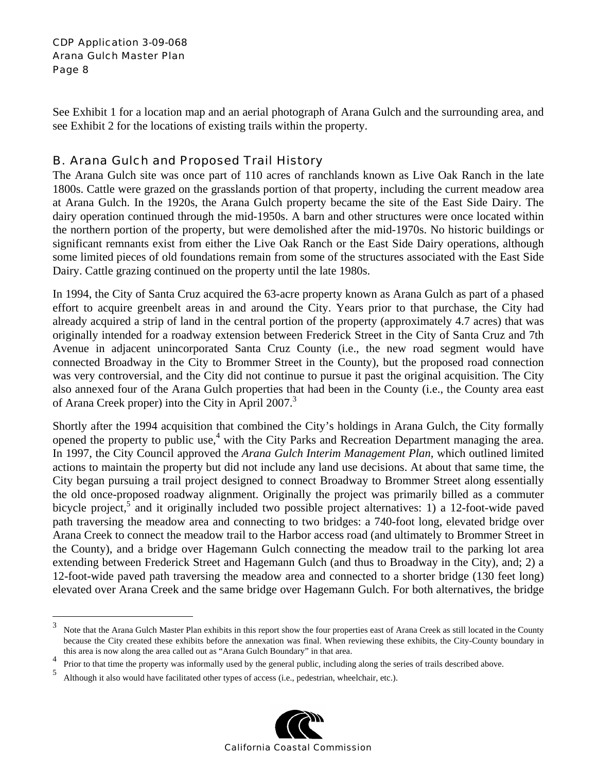$\overline{a}$ 

See Exhibit 1 for a location map and an aerial photograph of Arana Gulch and the surrounding area, and see Exhibit 2 for the locations of existing trails within the property.

### B. Arana Gulch and Proposed Trail History

The Arana Gulch site was once part of 110 acres of ranchlands known as Live Oak Ranch in the late 1800s. Cattle were grazed on the grasslands portion of that property, including the current meadow area at Arana Gulch. In the 1920s, the Arana Gulch property became the site of the East Side Dairy. The dairy operation continued through the mid-1950s. A barn and other structures were once located within the northern portion of the property, but were demolished after the mid-1970s. No historic buildings or significant remnants exist from either the Live Oak Ranch or the East Side Dairy operations, although some limited pieces of old foundations remain from some of the structures associated with the East Side Dairy. Cattle grazing continued on the property until the late 1980s.

In 1994, the City of Santa Cruz acquired the 63-acre property known as Arana Gulch as part of a phased effort to acquire greenbelt areas in and around the City. Years prior to that purchase, the City had already acquired a strip of land in the central portion of the property (approximately 4.7 acres) that was originally intended for a roadway extension between Frederick Street in the City of Santa Cruz and 7th Avenue in adjacent unincorporated Santa Cruz County (i.e., the new road segment would have connected Broadway in the City to Brommer Street in the County), but the proposed road connection was very controversial, and the City did not continue to pursue it past the original acquisition. The City also annexed four of the Arana Gulch properties that had been in the County (i.e., the County area east of Arana Creek proper) into the City in April 2007.<sup>3</sup>

Shortly after the 1994 acquisition that combined the City's holdings in Arana Gulch, the City formally opened the property to public use,<sup>4</sup> with the City Parks and Recreation Department managing the area. In 1997, the City Council approved the *Arana Gulch Interim Management Plan,* which outlined limited actions to maintain the property but did not include any land use decisions. At about that same time, the City began pursuing a trail project designed to connect Broadway to Brommer Street along essentially the old once-proposed roadway alignment. Originally the project was primarily billed as a commuter bicycle project,<sup>5</sup> and it originally included two possible project alternatives: 1) a 12-foot-wide paved path traversing the meadow area and connecting to two bridges: a 740-foot long, elevated bridge over Arana Creek to connect the meadow trail to the Harbor access road (and ultimately to Brommer Street in the County), and a bridge over Hagemann Gulch connecting the meadow trail to the parking lot area extending between Frederick Street and Hagemann Gulch (and thus to Broadway in the City), and; 2) a 12-foot-wide paved path traversing the meadow area and connected to a shorter bridge (130 feet long) elevated over Arana Creek and the same bridge over Hagemann Gulch. For both alternatives, the bridge

Although it also would have facilitated other types of access (i.e., pedestrian, wheelchair, etc.).



<sup>3</sup> Note that the Arana Gulch Master Plan exhibits in this report show the four properties east of Arana Creek as still located in the County because the City created these exhibits before the annexation was final. When reviewing these exhibits, the City-County boundary in this area is now along the area called out as "Arana Gulch Boundary" in that area.

<sup>4</sup> Prior to that time the property was informally used by the general public, including along the series of trails described above.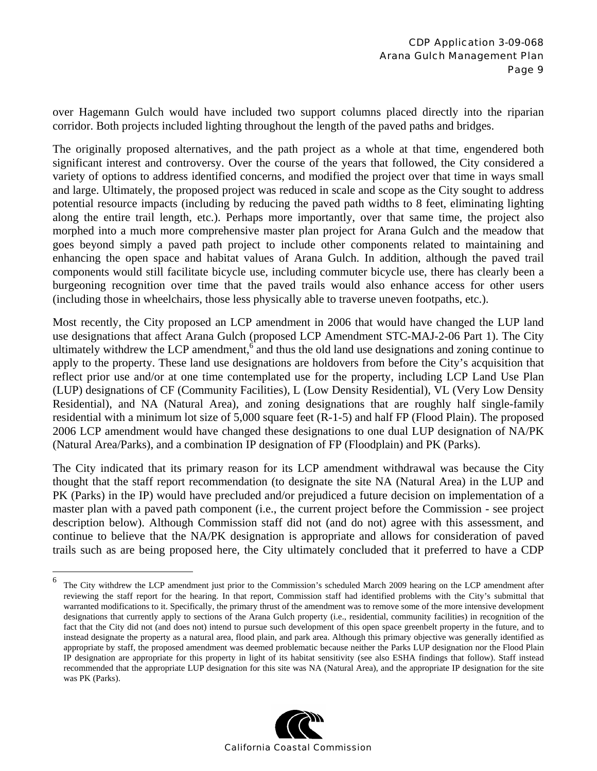over Hagemann Gulch would have included two support columns placed directly into the riparian corridor. Both projects included lighting throughout the length of the paved paths and bridges.

The originally proposed alternatives, and the path project as a whole at that time, engendered both significant interest and controversy. Over the course of the years that followed, the City considered a variety of options to address identified concerns, and modified the project over that time in ways small and large. Ultimately, the proposed project was reduced in scale and scope as the City sought to address potential resource impacts (including by reducing the paved path widths to 8 feet, eliminating lighting along the entire trail length, etc.). Perhaps more importantly, over that same time, the project also morphed into a much more comprehensive master plan project for Arana Gulch and the meadow that goes beyond simply a paved path project to include other components related to maintaining and enhancing the open space and habitat values of Arana Gulch. In addition, although the paved trail components would still facilitate bicycle use, including commuter bicycle use, there has clearly been a burgeoning recognition over time that the paved trails would also enhance access for other users (including those in wheelchairs, those less physically able to traverse uneven footpaths, etc.).

Most recently, the City proposed an LCP amendment in 2006 that would have changed the LUP land use designations that affect Arana Gulch (proposed LCP Amendment STC-MAJ-2-06 Part 1). The City ultimately withdrew the LCP amendment,<sup>6</sup> and thus the old land use designations and zoning continue to apply to the property. These land use designations are holdovers from before the City's acquisition that reflect prior use and/or at one time contemplated use for the property, including LCP Land Use Plan (LUP) designations of CF (Community Facilities), L (Low Density Residential), VL (Very Low Density Residential), and NA (Natural Area), and zoning designations that are roughly half single-family residential with a minimum lot size of 5,000 square feet (R-1-5) and half FP (Flood Plain). The proposed 2006 LCP amendment would have changed these designations to one dual LUP designation of NA/PK (Natural Area/Parks), and a combination IP designation of FP (Floodplain) and PK (Parks).

The City indicated that its primary reason for its LCP amendment withdrawal was because the City thought that the staff report recommendation (to designate the site NA (Natural Area) in the LUP and PK (Parks) in the IP) would have precluded and/or prejudiced a future decision on implementation of a master plan with a paved path component (i.e., the current project before the Commission - see project description below). Although Commission staff did not (and do not) agree with this assessment, and continue to believe that the NA/PK designation is appropriate and allows for consideration of paved trails such as are being proposed here, the City ultimately concluded that it preferred to have a CDP

 $\overline{a}$ 



<sup>6</sup> The City withdrew the LCP amendment just prior to the Commission's scheduled March 2009 hearing on the LCP amendment after reviewing the staff report for the hearing. In that report, Commission staff had identified problems with the City's submittal that warranted modifications to it. Specifically, the primary thrust of the amendment was to remove some of the more intensive development designations that currently apply to sections of the Arana Gulch property (i.e., residential, community facilities) in recognition of the fact that the City did not (and does not) intend to pursue such development of this open space greenbelt property in the future, and to instead designate the property as a natural area, flood plain, and park area. Although this primary objective was generally identified as appropriate by staff, the proposed amendment was deemed problematic because neither the Parks LUP designation nor the Flood Plain IP designation are appropriate for this property in light of its habitat sensitivity (see also ESHA findings that follow). Staff instead recommended that the appropriate LUP designation for this site was NA (Natural Area), and the appropriate IP designation for the site was PK (Parks).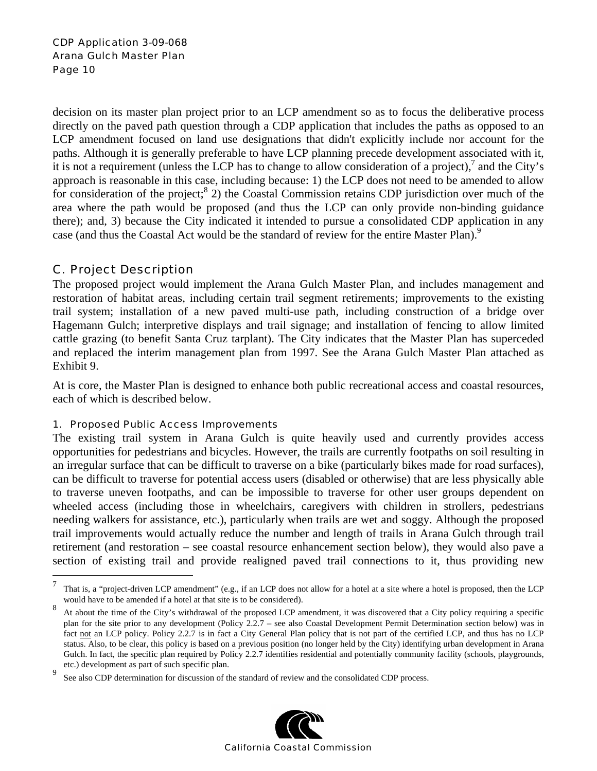decision on its master plan project prior to an LCP amendment so as to focus the deliberative process directly on the paved path question through a CDP application that includes the paths as opposed to an LCP amendment focused on land use designations that didn't explicitly include nor account for the paths. Although it is generally preferable to have LCP planning precede development associated with it, it is not a requirement (unless the LCP has to change to allow consideration of a project), $^7$  and the City's approach is reasonable in this case, including because: 1) the LCP does not need to be amended to allow for consideration of the project;  $8$  2) the Coastal Commission retains CDP jurisdiction over much of the area where the path would be proposed (and thus the LCP can only provide non-binding guidance there); and, 3) because the City indicated it intended to pursue a consolidated CDP application in any case (and thus the Coastal Act would be the standard of review for the entire Master Plan).<sup>9</sup>

### C. Project Description

 $\overline{a}$ 

The proposed project would implement the Arana Gulch Master Plan, and includes management and restoration of habitat areas, including certain trail segment retirements; improvements to the existing trail system; installation of a new paved multi-use path, including construction of a bridge over Hagemann Gulch; interpretive displays and trail signage; and installation of fencing to allow limited cattle grazing (to benefit Santa Cruz tarplant). The City indicates that the Master Plan has superceded and replaced the interim management plan from 1997. See the Arana Gulch Master Plan attached as Exhibit 9.

At is core, the Master Plan is designed to enhance both public recreational access and coastal resources, each of which is described below.

#### 1. Proposed Public Access Improvements

The existing trail system in Arana Gulch is quite heavily used and currently provides access opportunities for pedestrians and bicycles. However, the trails are currently footpaths on soil resulting in an irregular surface that can be difficult to traverse on a bike (particularly bikes made for road surfaces), can be difficult to traverse for potential access users (disabled or otherwise) that are less physically able to traverse uneven footpaths, and can be impossible to traverse for other user groups dependent on wheeled access (including those in wheelchairs, caregivers with children in strollers, pedestrians needing walkers for assistance, etc.), particularly when trails are wet and soggy. Although the proposed trail improvements would actually reduce the number and length of trails in Arana Gulch through trail retirement (and restoration – see coastal resource enhancement section below), they would also pave a section of existing trail and provide realigned paved trail connections to it, thus providing new

<sup>9</sup> See also CDP determination for discussion of the standard of review and the consolidated CDP process.



<sup>7</sup> That is, a "project-driven LCP amendment" (e.g., if an LCP does not allow for a hotel at a site where a hotel is proposed, then the LCP would have to be amended if a hotel at that site is to be considered).

<sup>8</sup> At about the time of the City's withdrawal of the proposed LCP amendment, it was discovered that a City policy requiring a specific plan for the site prior to any development (Policy 2.2.7 – see also Coastal Development Permit Determination section below) was in fact not an LCP policy. Policy 2.2.7 is in fact a City General Plan policy that is not part of the certified LCP, and thus has no LCP status. Also, to be clear, this policy is based on a previous position (no longer held by the City) identifying urban development in Arana Gulch. In fact, the specific plan required by Policy 2.2.7 identifies residential and potentially community facility (schools, playgrounds, etc.) development as part of such specific plan.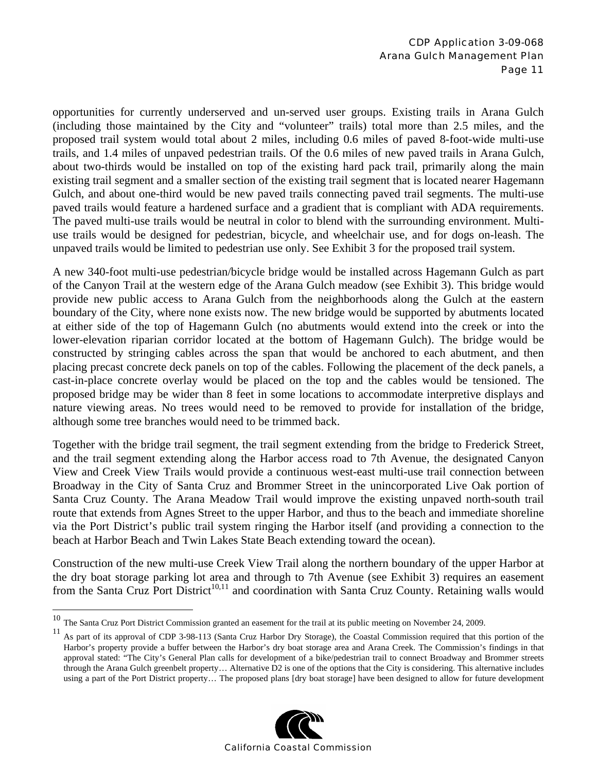opportunities for currently underserved and un-served user groups. Existing trails in Arana Gulch (including those maintained by the City and "volunteer" trails) total more than 2.5 miles, and the proposed trail system would total about 2 miles, including 0.6 miles of paved 8-foot-wide multi-use trails, and 1.4 miles of unpaved pedestrian trails. Of the 0.6 miles of new paved trails in Arana Gulch, about two-thirds would be installed on top of the existing hard pack trail, primarily along the main existing trail segment and a smaller section of the existing trail segment that is located nearer Hagemann Gulch, and about one-third would be new paved trails connecting paved trail segments. The multi-use paved trails would feature a hardened surface and a gradient that is compliant with ADA requirements. The paved multi-use trails would be neutral in color to blend with the surrounding environment. Multiuse trails would be designed for pedestrian, bicycle, and wheelchair use, and for dogs on-leash. The unpaved trails would be limited to pedestrian use only. See Exhibit 3 for the proposed trail system.

A new 340-foot multi-use pedestrian/bicycle bridge would be installed across Hagemann Gulch as part of the Canyon Trail at the western edge of the Arana Gulch meadow (see Exhibit 3). This bridge would provide new public access to Arana Gulch from the neighborhoods along the Gulch at the eastern boundary of the City, where none exists now. The new bridge would be supported by abutments located at either side of the top of Hagemann Gulch (no abutments would extend into the creek or into the lower-elevation riparian corridor located at the bottom of Hagemann Gulch). The bridge would be constructed by stringing cables across the span that would be anchored to each abutment, and then placing precast concrete deck panels on top of the cables. Following the placement of the deck panels, a cast-in-place concrete overlay would be placed on the top and the cables would be tensioned. The proposed bridge may be wider than 8 feet in some locations to accommodate interpretive displays and nature viewing areas. No trees would need to be removed to provide for installation of the bridge, although some tree branches would need to be trimmed back.

Together with the bridge trail segment, the trail segment extending from the bridge to Frederick Street, and the trail segment extending along the Harbor access road to 7th Avenue, the designated Canyon View and Creek View Trails would provide a continuous west-east multi-use trail connection between Broadway in the City of Santa Cruz and Brommer Street in the unincorporated Live Oak portion of Santa Cruz County. The Arana Meadow Trail would improve the existing unpaved north-south trail route that extends from Agnes Street to the upper Harbor, and thus to the beach and immediate shoreline via the Port District's public trail system ringing the Harbor itself (and providing a connection to the beach at Harbor Beach and Twin Lakes State Beach extending toward the ocean).

Construction of the new multi-use Creek View Trail along the northern boundary of the upper Harbor at the dry boat storage parking lot area and through to 7th Avenue (see Exhibit 3) requires an easement from the Santa Cruz Port District<sup>10,11</sup> and coordination with Santa Cruz County. Retaining walls would

 $\overline{a}$ 

<sup>&</sup>lt;sup>11</sup> As part of its approval of CDP 3-98-113 (Santa Cruz Harbor Dry Storage), the Coastal Commission required that this portion of the Harbor's property provide a buffer between the Harbor's dry boat storage area and Arana Creek. The Commission's findings in that approval stated: "The City's General Plan calls for development of a bike/pedestrian trail to connect Broadway and Brommer streets through the Arana Gulch greenbelt property… Alternative D2 is one of the options that the City is considering. This alternative includes using a part of the Port District property… The proposed plans [dry boat storage] have been designed to allow for future development



 $10$  The Santa Cruz Port District Commission granted an easement for the trail at its public meeting on November 24, 2009.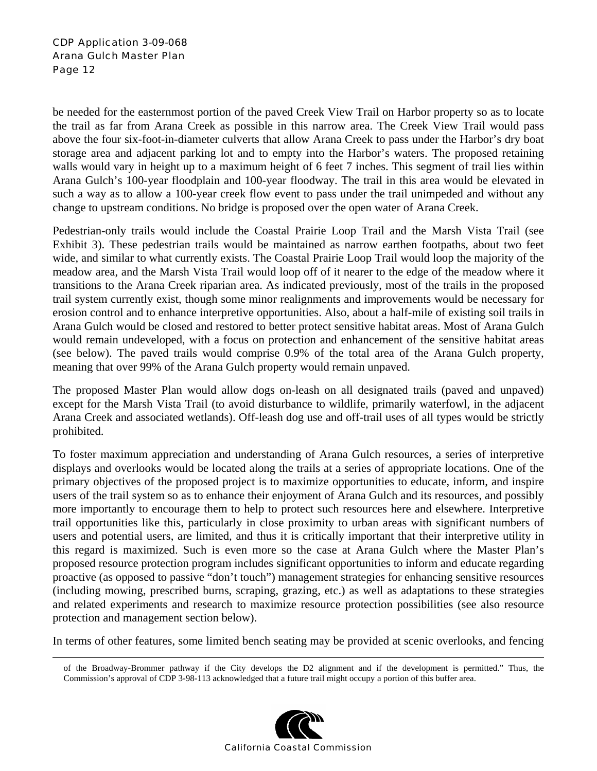be needed for the easternmost portion of the paved Creek View Trail on Harbor property so as to locate the trail as far from Arana Creek as possible in this narrow area. The Creek View Trail would pass above the four six-foot-in-diameter culverts that allow Arana Creek to pass under the Harbor's dry boat storage area and adjacent parking lot and to empty into the Harbor's waters. The proposed retaining walls would vary in height up to a maximum height of 6 feet 7 inches. This segment of trail lies within Arana Gulch's 100-year floodplain and 100-year floodway. The trail in this area would be elevated in such a way as to allow a 100-year creek flow event to pass under the trail unimpeded and without any change to upstream conditions. No bridge is proposed over the open water of Arana Creek.

Pedestrian-only trails would include the Coastal Prairie Loop Trail and the Marsh Vista Trail (see Exhibit 3). These pedestrian trails would be maintained as narrow earthen footpaths, about two feet wide, and similar to what currently exists. The Coastal Prairie Loop Trail would loop the majority of the meadow area, and the Marsh Vista Trail would loop off of it nearer to the edge of the meadow where it transitions to the Arana Creek riparian area. As indicated previously, most of the trails in the proposed trail system currently exist, though some minor realignments and improvements would be necessary for erosion control and to enhance interpretive opportunities. Also, about a half-mile of existing soil trails in Arana Gulch would be closed and restored to better protect sensitive habitat areas. Most of Arana Gulch would remain undeveloped, with a focus on protection and enhancement of the sensitive habitat areas (see below). The paved trails would comprise 0.9% of the total area of the Arana Gulch property, meaning that over 99% of the Arana Gulch property would remain unpaved.

The proposed Master Plan would allow dogs on-leash on all designated trails (paved and unpaved) except for the Marsh Vista Trail (to avoid disturbance to wildlife, primarily waterfowl, in the adjacent Arana Creek and associated wetlands). Off-leash dog use and off-trail uses of all types would be strictly prohibited.

To foster maximum appreciation and understanding of Arana Gulch resources, a series of interpretive displays and overlooks would be located along the trails at a series of appropriate locations. One of the primary objectives of the proposed project is to maximize opportunities to educate, inform, and inspire users of the trail system so as to enhance their enjoyment of Arana Gulch and its resources, and possibly more importantly to encourage them to help to protect such resources here and elsewhere. Interpretive trail opportunities like this, particularly in close proximity to urban areas with significant numbers of users and potential users, are limited, and thus it is critically important that their interpretive utility in this regard is maximized. Such is even more so the case at Arana Gulch where the Master Plan's proposed resource protection program includes significant opportunities to inform and educate regarding proactive (as opposed to passive "don't touch") management strategies for enhancing sensitive resources (including mowing, prescribed burns, scraping, grazing, etc.) as well as adaptations to these strategies and related experiments and research to maximize resource protection possibilities (see also resource protection and management section below).

In terms of other features, some limited bench seating may be provided at scenic overlooks, and fencing

of the Broadway-Brommer pathway if the City develops the D2 alignment and if the development is permitted." Thus, the Commission's approval of CDP 3-98-113 acknowledged that a future trail might occupy a portion of this buffer area.

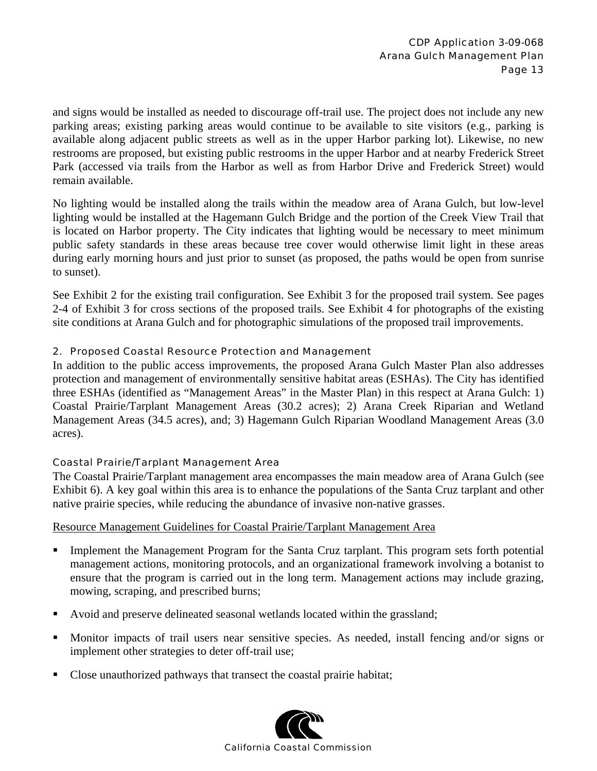and signs would be installed as needed to discourage off-trail use. The project does not include any new parking areas; existing parking areas would continue to be available to site visitors (e.g., parking is available along adjacent public streets as well as in the upper Harbor parking lot). Likewise, no new restrooms are proposed, but existing public restrooms in the upper Harbor and at nearby Frederick Street Park (accessed via trails from the Harbor as well as from Harbor Drive and Frederick Street) would remain available.

No lighting would be installed along the trails within the meadow area of Arana Gulch, but low-level lighting would be installed at the Hagemann Gulch Bridge and the portion of the Creek View Trail that is located on Harbor property. The City indicates that lighting would be necessary to meet minimum public safety standards in these areas because tree cover would otherwise limit light in these areas during early morning hours and just prior to sunset (as proposed, the paths would be open from sunrise to sunset).

See Exhibit 2 for the existing trail configuration. See Exhibit 3 for the proposed trail system. See pages 2-4 of Exhibit 3 for cross sections of the proposed trails. See Exhibit 4 for photographs of the existing site conditions at Arana Gulch and for photographic simulations of the proposed trail improvements.

#### 2. Proposed Coastal Resource Protection and Management

In addition to the public access improvements, the proposed Arana Gulch Master Plan also addresses protection and management of environmentally sensitive habitat areas (ESHAs). The City has identified three ESHAs (identified as "Management Areas" in the Master Plan) in this respect at Arana Gulch: 1) Coastal Prairie/Tarplant Management Areas (30.2 acres); 2) Arana Creek Riparian and Wetland Management Areas (34.5 acres), and; 3) Hagemann Gulch Riparian Woodland Management Areas (3.0 acres).

#### Coastal Prairie/Tarplant Management Area

The Coastal Prairie/Tarplant management area encompasses the main meadow area of Arana Gulch (see Exhibit 6). A key goal within this area is to enhance the populations of the Santa Cruz tarplant and other native prairie species, while reducing the abundance of invasive non-native grasses.

#### Resource Management Guidelines for Coastal Prairie/Tarplant Management Area

- Implement the Management Program for the Santa Cruz tarplant. This program sets forth potential management actions, monitoring protocols, and an organizational framework involving a botanist to ensure that the program is carried out in the long term. Management actions may include grazing, mowing, scraping, and prescribed burns;
- Avoid and preserve delineated seasonal wetlands located within the grassland;
- Monitor impacts of trail users near sensitive species. As needed, install fencing and/or signs or implement other strategies to deter off-trail use;
- Close unauthorized pathways that transect the coastal prairie habitat;

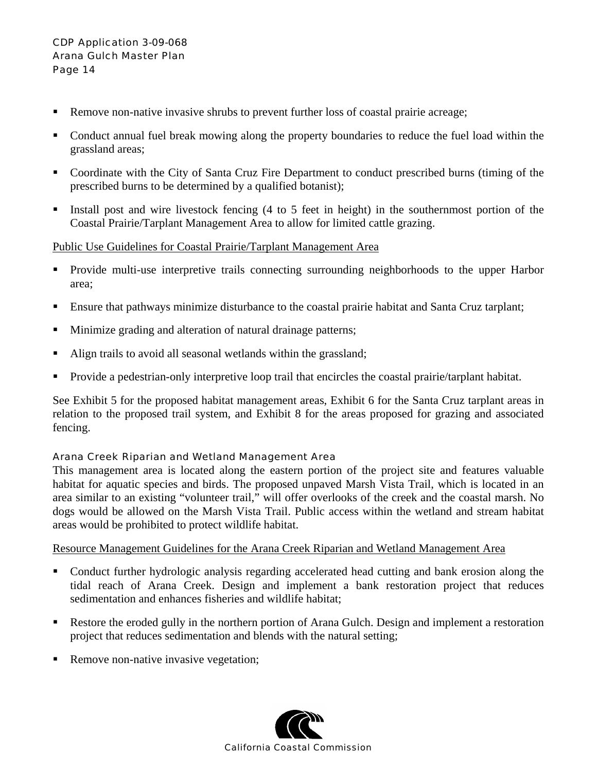- Remove non-native invasive shrubs to prevent further loss of coastal prairie acreage;
- Conduct annual fuel break mowing along the property boundaries to reduce the fuel load within the grassland areas;
- Coordinate with the City of Santa Cruz Fire Department to conduct prescribed burns (timing of the prescribed burns to be determined by a qualified botanist);
- Install post and wire livestock fencing  $(4 \text{ to } 5 \text{ feet in height})$  in the southernmost portion of the Coastal Prairie/Tarplant Management Area to allow for limited cattle grazing.

#### Public Use Guidelines for Coastal Prairie/Tarplant Management Area

- **Provide multi-use interpretive trails connecting surrounding neighborhoods to the upper Harbor** area;
- **Ensure that pathways minimize disturbance to the coastal prairie habitat and Santa Cruz tarplant;**
- Minimize grading and alteration of natural drainage patterns;
- Align trails to avoid all seasonal wetlands within the grassland;
- **Provide a pedestrian-only interpretive loop trail that encircles the coastal prairie/tarplant habitat.**

See Exhibit 5 for the proposed habitat management areas, Exhibit 6 for the Santa Cruz tarplant areas in relation to the proposed trail system, and Exhibit 8 for the areas proposed for grazing and associated fencing.

#### Arana Creek Riparian and Wetland Management Area

This management area is located along the eastern portion of the project site and features valuable habitat for aquatic species and birds. The proposed unpaved Marsh Vista Trail, which is located in an area similar to an existing "volunteer trail," will offer overlooks of the creek and the coastal marsh. No dogs would be allowed on the Marsh Vista Trail. Public access within the wetland and stream habitat areas would be prohibited to protect wildlife habitat.

#### Resource Management Guidelines for the Arana Creek Riparian and Wetland Management Area

- Conduct further hydrologic analysis regarding accelerated head cutting and bank erosion along the tidal reach of Arana Creek. Design and implement a bank restoration project that reduces sedimentation and enhances fisheries and wildlife habitat;
- Restore the eroded gully in the northern portion of Arana Gulch. Design and implement a restoration project that reduces sedimentation and blends with the natural setting;
- Remove non-native invasive vegetation;

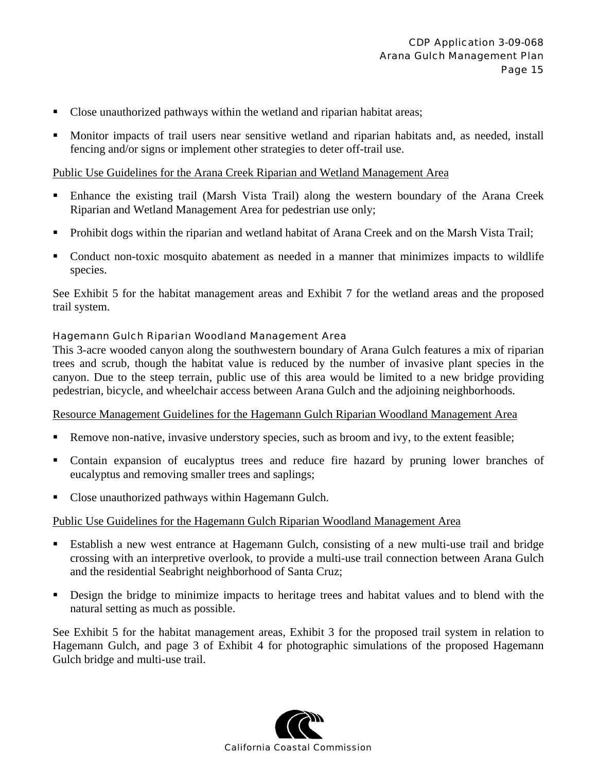- Close unauthorized pathways within the wetland and riparian habitat areas;
- Monitor impacts of trail users near sensitive wetland and riparian habitats and, as needed, install fencing and/or signs or implement other strategies to deter off-trail use.

#### Public Use Guidelines for the Arana Creek Riparian and Wetland Management Area

- Enhance the existing trail (Marsh Vista Trail) along the western boundary of the Arana Creek Riparian and Wetland Management Area for pedestrian use only;
- Prohibit dogs within the riparian and wetland habitat of Arana Creek and on the Marsh Vista Trail;
- Conduct non-toxic mosquito abatement as needed in a manner that minimizes impacts to wildlife species.

See Exhibit 5 for the habitat management areas and Exhibit 7 for the wetland areas and the proposed trail system.

#### Hagemann Gulch Riparian Woodland Management Area

This 3-acre wooded canyon along the southwestern boundary of Arana Gulch features a mix of riparian trees and scrub, though the habitat value is reduced by the number of invasive plant species in the canyon. Due to the steep terrain, public use of this area would be limited to a new bridge providing pedestrian, bicycle, and wheelchair access between Arana Gulch and the adjoining neighborhoods.

#### Resource Management Guidelines for the Hagemann Gulch Riparian Woodland Management Area

- Remove non-native, invasive understory species, such as broom and ivy, to the extent feasible;
- Contain expansion of eucalyptus trees and reduce fire hazard by pruning lower branches of eucalyptus and removing smaller trees and saplings;
- Close unauthorized pathways within Hagemann Gulch.

#### Public Use Guidelines for the Hagemann Gulch Riparian Woodland Management Area

- Establish a new west entrance at Hagemann Gulch, consisting of a new multi-use trail and bridge crossing with an interpretive overlook, to provide a multi-use trail connection between Arana Gulch and the residential Seabright neighborhood of Santa Cruz;
- Design the bridge to minimize impacts to heritage trees and habitat values and to blend with the natural setting as much as possible.

See Exhibit 5 for the habitat management areas, Exhibit 3 for the proposed trail system in relation to Hagemann Gulch, and page 3 of Exhibit 4 for photographic simulations of the proposed Hagemann Gulch bridge and multi-use trail.

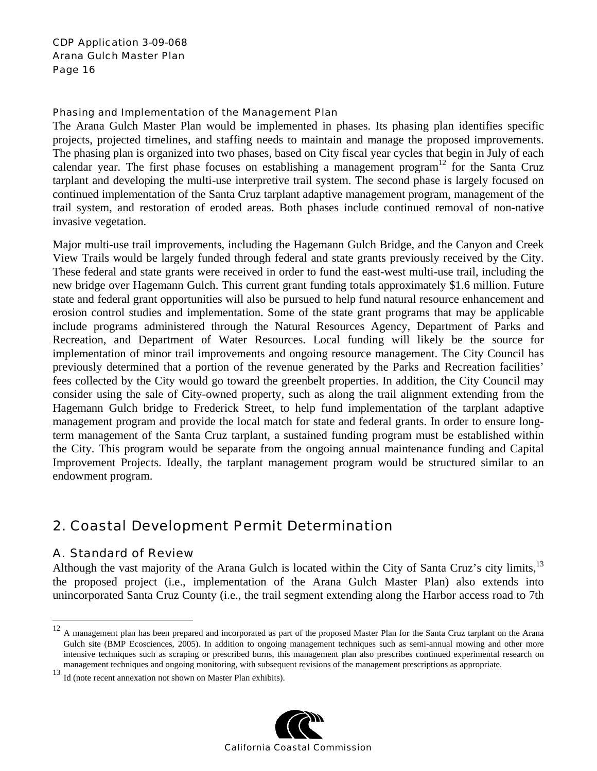#### Phasing and Implementation of the Management Plan

The Arana Gulch Master Plan would be implemented in phases. Its phasing plan identifies specific projects, projected timelines, and staffing needs to maintain and manage the proposed improvements. The phasing plan is organized into two phases, based on City fiscal year cycles that begin in July of each calendar year. The first phase focuses on establishing a management program<sup>12</sup> for the Santa Cruz tarplant and developing the multi-use interpretive trail system. The second phase is largely focused on continued implementation of the Santa Cruz tarplant adaptive management program, management of the trail system, and restoration of eroded areas. Both phases include continued removal of non-native invasive vegetation.

Major multi-use trail improvements, including the Hagemann Gulch Bridge, and the Canyon and Creek View Trails would be largely funded through federal and state grants previously received by the City. These federal and state grants were received in order to fund the east-west multi-use trail, including the new bridge over Hagemann Gulch. This current grant funding totals approximately \$1.6 million. Future state and federal grant opportunities will also be pursued to help fund natural resource enhancement and erosion control studies and implementation. Some of the state grant programs that may be applicable include programs administered through the Natural Resources Agency, Department of Parks and Recreation, and Department of Water Resources. Local funding will likely be the source for implementation of minor trail improvements and ongoing resource management. The City Council has previously determined that a portion of the revenue generated by the Parks and Recreation facilities' fees collected by the City would go toward the greenbelt properties. In addition, the City Council may consider using the sale of City-owned property, such as along the trail alignment extending from the Hagemann Gulch bridge to Frederick Street, to help fund implementation of the tarplant adaptive management program and provide the local match for state and federal grants. In order to ensure longterm management of the Santa Cruz tarplant, a sustained funding program must be established within the City. This program would be separate from the ongoing annual maintenance funding and Capital Improvement Projects. Ideally, the tarplant management program would be structured similar to an endowment program.

## 2. Coastal Development Permit Determination

#### A. Standard of Review

<u>.</u>

Although the vast majority of the Arana Gulch is located within the City of Santa Cruz's city limits,  $13$ the proposed project (i.e., implementation of the Arana Gulch Master Plan) also extends into unincorporated Santa Cruz County (i.e., the trail segment extending along the Harbor access road to 7th

<sup>13</sup> Id (note recent annexation not shown on Master Plan exhibits).



<sup>&</sup>lt;sup>12</sup> A management plan has been prepared and incorporated as part of the proposed Master Plan for the Santa Cruz tarplant on the Arana Gulch site (BMP Ecosciences, 2005). In addition to ongoing management techniques such as semi-annual mowing and other more intensive techniques such as scraping or prescribed burns, this management plan also prescribes continued experimental research on management techniques and ongoing monitoring, with subsequent revisions of the management prescriptions as appropriate.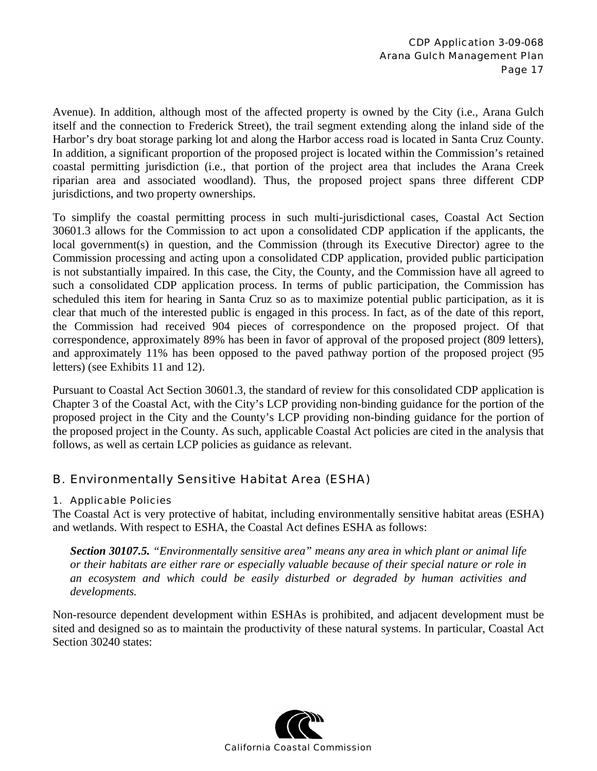Avenue). In addition, although most of the affected property is owned by the City (i.e., Arana Gulch itself and the connection to Frederick Street), the trail segment extending along the inland side of the Harbor's dry boat storage parking lot and along the Harbor access road is located in Santa Cruz County. In addition, a significant proportion of the proposed project is located within the Commission's retained coastal permitting jurisdiction (i.e., that portion of the project area that includes the Arana Creek riparian area and associated woodland). Thus, the proposed project spans three different CDP jurisdictions, and two property ownerships.

To simplify the coastal permitting process in such multi-jurisdictional cases, Coastal Act Section 30601.3 allows for the Commission to act upon a consolidated CDP application if the applicants, the local government(s) in question, and the Commission (through its Executive Director) agree to the Commission processing and acting upon a consolidated CDP application, provided public participation is not substantially impaired. In this case, the City, the County, and the Commission have all agreed to such a consolidated CDP application process. In terms of public participation, the Commission has scheduled this item for hearing in Santa Cruz so as to maximize potential public participation, as it is clear that much of the interested public is engaged in this process. In fact, as of the date of this report, the Commission had received 904 pieces of correspondence on the proposed project. Of that correspondence, approximately 89% has been in favor of approval of the proposed project (809 letters), and approximately 11% has been opposed to the paved pathway portion of the proposed project (95 letters) (see Exhibits 11 and 12).

Pursuant to Coastal Act Section 30601.3, the standard of review for this consolidated CDP application is Chapter 3 of the Coastal Act, with the City's LCP providing non-binding guidance for the portion of the proposed project in the City and the County's LCP providing non-binding guidance for the portion of the proposed project in the County. As such, applicable Coastal Act policies are cited in the analysis that follows, as well as certain LCP policies as guidance as relevant.

### B. Environmentally Sensitive Habitat Area (ESHA)

#### 1. Applicable Policies

The Coastal Act is very protective of habitat, including environmentally sensitive habitat areas (ESHA) and wetlands. With respect to ESHA, the Coastal Act defines ESHA as follows:

*Section 30107.5. "Environmentally sensitive area" means any area in which plant or animal life or their habitats are either rare or especially valuable because of their special nature or role in an ecosystem and which could be easily disturbed or degraded by human activities and developments.* 

Non-resource dependent development within ESHAs is prohibited, and adjacent development must be sited and designed so as to maintain the productivity of these natural systems. In particular, Coastal Act Section 30240 states:

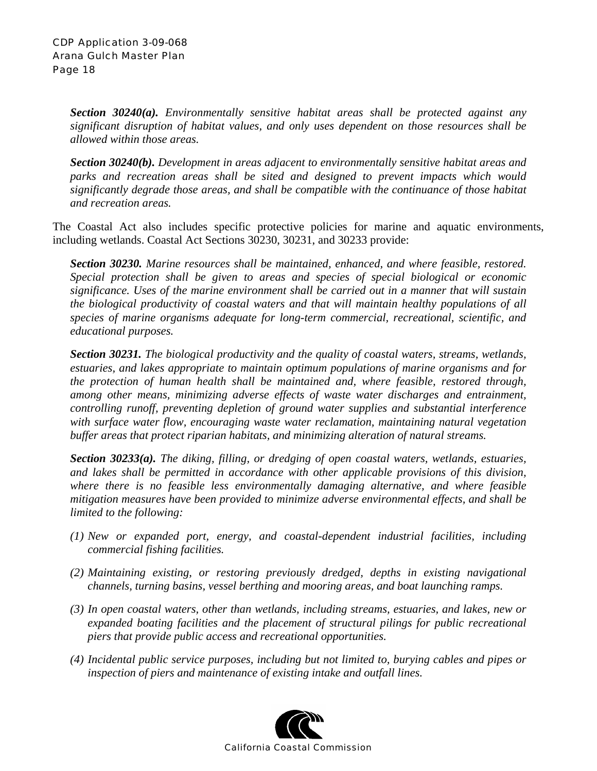*Section 30240(a). Environmentally sensitive habitat areas shall be protected against any significant disruption of habitat values, and only uses dependent on those resources shall be allowed within those areas.* 

*Section 30240(b). Development in areas adjacent to environmentally sensitive habitat areas and*  parks and recreation areas shall be sited and designed to prevent impacts which would *significantly degrade those areas, and shall be compatible with the continuance of those habitat and recreation areas.*

The Coastal Act also includes specific protective policies for marine and aquatic environments, including wetlands. Coastal Act Sections 30230, 30231, and 30233 provide:

*Section 30230. Marine resources shall be maintained, enhanced, and where feasible, restored. Special protection shall be given to areas and species of special biological or economic significance. Uses of the marine environment shall be carried out in a manner that will sustain the biological productivity of coastal waters and that will maintain healthy populations of all species of marine organisms adequate for long-term commercial, recreational, scientific, and educational purposes.* 

*Section 30231. The biological productivity and the quality of coastal waters, streams, wetlands, estuaries, and lakes appropriate to maintain optimum populations of marine organisms and for the protection of human health shall be maintained and, where feasible, restored through, among other means, minimizing adverse effects of waste water discharges and entrainment, controlling runoff, preventing depletion of ground water supplies and substantial interference with surface water flow, encouraging waste water reclamation, maintaining natural vegetation buffer areas that protect riparian habitats, and minimizing alteration of natural streams.* 

*Section 30233(a). The diking, filling, or dredging of open coastal waters, wetlands, estuaries, and lakes shall be permitted in accordance with other applicable provisions of this division, where there is no feasible less environmentally damaging alternative, and where feasible mitigation measures have been provided to minimize adverse environmental effects, and shall be limited to the following:* 

- *(1) New or expanded port, energy, and coastal-dependent industrial facilities, including commercial fishing facilities.*
- *(2) Maintaining existing, or restoring previously dredged, depths in existing navigational channels, turning basins, vessel berthing and mooring areas, and boat launching ramps.*
- *(3) In open coastal waters, other than wetlands, including streams, estuaries, and lakes, new or*  expanded boating facilities and the placement of structural pilings for public recreational *piers that provide public access and recreational opportunities.*
- *(4) Incidental public service purposes, including but not limited to, burying cables and pipes or inspection of piers and maintenance of existing intake and outfall lines.*

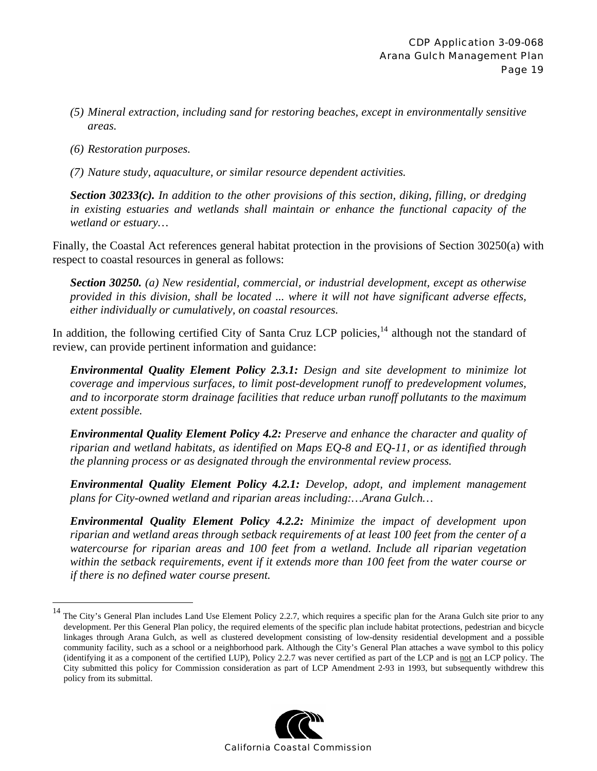- *(5) Mineral extraction, including sand for restoring beaches, except in environmentally sensitive areas.*
- *(6) Restoration purposes.*

 $\overline{a}$ 

*(7) Nature study, aquaculture, or similar resource dependent activities.* 

*Section 30233(c). In addition to the other provisions of this section, diking, filling, or dredging in existing estuaries and wetlands shall maintain or enhance the functional capacity of the wetland or estuary…* 

Finally, the Coastal Act references general habitat protection in the provisions of Section 30250(a) with respect to coastal resources in general as follows:

*Section 30250. (a) New residential, commercial, or industrial development, except as otherwise provided in this division, shall be located ... where it will not have significant adverse effects, either individually or cumulatively, on coastal resources.* 

In addition, the following certified City of Santa Cruz LCP policies, $^{14}$  although not the standard of review, can provide pertinent information and guidance:

*Environmental Quality Element Policy 2.3.1: Design and site development to minimize lot coverage and impervious surfaces, to limit post-development runoff to predevelopment volumes, and to incorporate storm drainage facilities that reduce urban runoff pollutants to the maximum extent possible.* 

*Environmental Quality Element Policy 4.2: Preserve and enhance the character and quality of riparian and wetland habitats, as identified on Maps EQ-8 and EQ-11, or as identified through the planning process or as designated through the environmental review process.* 

*Environmental Quality Element Policy 4.2.1: Develop, adopt, and implement management plans for City-owned wetland and riparian areas including:…Arana Gulch…* 

*Environmental Quality Element Policy 4.2.2: Minimize the impact of development upon riparian and wetland areas through setback requirements of at least 100 feet from the center of a watercourse for riparian areas and 100 feet from a wetland. Include all riparian vegetation within the setback requirements, event if it extends more than 100 feet from the water course or if there is no defined water course present.* 

<sup>&</sup>lt;sup>14</sup> The City's General Plan includes Land Use Element Policy 2.2.7, which requires a specific plan for the Arana Gulch site prior to any development. Per this General Plan policy, the required elements of the specific plan include habitat protections, pedestrian and bicycle linkages through Arana Gulch, as well as clustered development consisting of low-density residential development and a possible community facility, such as a school or a neighborhood park. Although the City's General Plan attaches a wave symbol to this policy (identifying it as a component of the certified LUP), Policy 2.2.7 was never certified as part of the LCP and is not an LCP policy. The City submitted this policy for Commission consideration as part of LCP Amendment 2-93 in 1993, but subsequently withdrew this policy from its submittal.

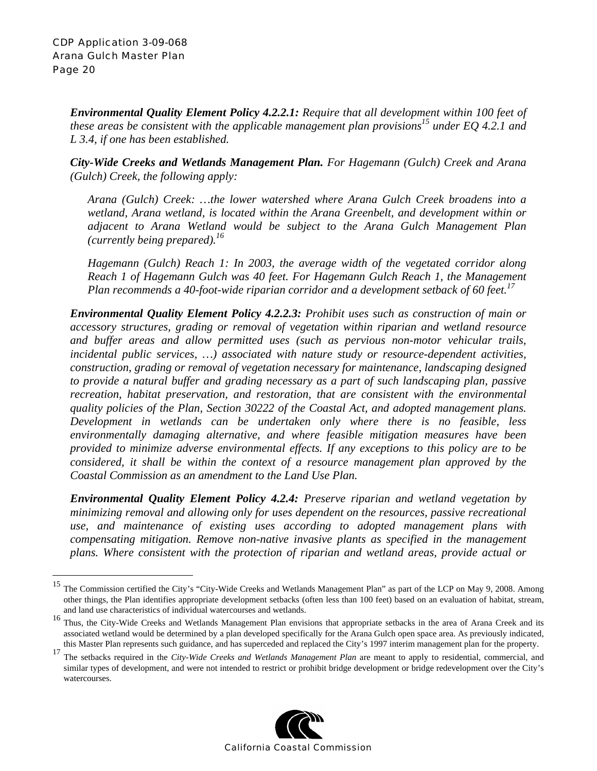*Environmental Quality Element Policy 4.2.2.1: Require that all development within 100 feet of these areas be consistent with the applicable management plan provisions<sup>15</sup> under EQ 4.2.1 and L 3.4, if one has been established.* 

*City-Wide Creeks and Wetlands Management Plan. For Hagemann (Gulch) Creek and Arana (Gulch) Creek, the following apply:*

*Arana (Gulch) Creek: …the lower watershed where Arana Gulch Creek broadens into a wetland, Arana wetland, is located within the Arana Greenbelt, and development within or adjacent to Arana Wetland would be subject to the Arana Gulch Management Plan (currently being prepared).16* 

*Hagemann (Gulch) Reach 1: In 2003, the average width of the vegetated corridor along Reach 1 of Hagemann Gulch was 40 feet. For Hagemann Gulch Reach 1, the Management Plan recommends a 40-foot-wide riparian corridor and a development setback of 60 feet.17*

*Environmental Quality Element Policy 4.2.2.3: Prohibit uses such as construction of main or accessory structures, grading or removal of vegetation within riparian and wetland resource and buffer areas and allow permitted uses (such as pervious non-motor vehicular trails, incidental public services, …) associated with nature study or resource-dependent activities, construction, grading or removal of vegetation necessary for maintenance, landscaping designed to provide a natural buffer and grading necessary as a part of such landscaping plan, passive recreation, habitat preservation, and restoration, that are consistent with the environmental quality policies of the Plan, Section 30222 of the Coastal Act, and adopted management plans. Development in wetlands can be undertaken only where there is no feasible, less environmentally damaging alternative, and where feasible mitigation measures have been provided to minimize adverse environmental effects. If any exceptions to this policy are to be considered, it shall be within the context of a resource management plan approved by the Coastal Commission as an amendment to the Land Use Plan.* 

*Environmental Quality Element Policy 4.2.4: Preserve riparian and wetland vegetation by minimizing removal and allowing only for uses dependent on the resources, passive recreational use, and maintenance of existing uses according to adopted management plans with compensating mitigation. Remove non-native invasive plants as specified in the management plans. Where consistent with the protection of riparian and wetland areas, provide actual or* 

<sup>&</sup>lt;sup>17</sup> The setbacks required in the *City-Wide Creeks and Wetlands Management Plan* are meant to apply to residential, commercial, and similar types of development, and were not intended to restrict or prohibit bridge development or bridge redevelopment over the City's watercourses.



<sup>15</sup> The Commission certified the City's "City-Wide Creeks and Wetlands Management Plan" as part of the LCP on May 9, 2008. Among other things, the Plan identifies appropriate development setbacks (often less than 100 feet) based on an evaluation of habitat, stream, and land use characteristics of individual watercourses and wetlands.

<sup>&</sup>lt;sup>16</sup> Thus, the City-Wide Creeks and Wetlands Management Plan envisions that appropriate setbacks in the area of Arana Creek and its associated wetland would be determined by a plan developed specifically for the Arana Gulch open space area. As previously indicated, this Master Plan represents such guidance, and has superceded and replaced the City's 1997 interim management plan for the property.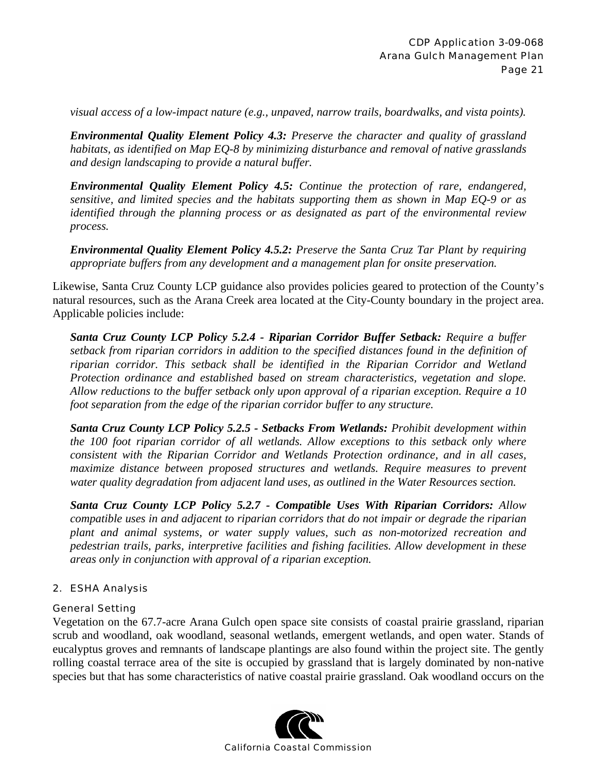*visual access of a low-impact nature (e.g., unpaved, narrow trails, boardwalks, and vista points).* 

*Environmental Quality Element Policy 4.3: Preserve the character and quality of grassland habitats, as identified on Map EQ-8 by minimizing disturbance and removal of native grasslands and design landscaping to provide a natural buffer.* 

*Environmental Quality Element Policy 4.5: Continue the protection of rare, endangered, sensitive, and limited species and the habitats supporting them as shown in Map EQ-9 or as identified through the planning process or as designated as part of the environmental review process.* 

*Environmental Quality Element Policy 4.5.2: Preserve the Santa Cruz Tar Plant by requiring appropriate buffers from any development and a management plan for onsite preservation.* 

Likewise, Santa Cruz County LCP guidance also provides policies geared to protection of the County's natural resources, such as the Arana Creek area located at the City-County boundary in the project area. Applicable policies include:

*Santa Cruz County LCP Policy 5.2.4 - Riparian Corridor Buffer Setback: Require a buffer setback from riparian corridors in addition to the specified distances found in the definition of riparian corridor. This setback shall be identified in the Riparian Corridor and Wetland Protection ordinance and established based on stream characteristics, vegetation and slope. Allow reductions to the buffer setback only upon approval of a riparian exception. Require a 10 foot separation from the edge of the riparian corridor buffer to any structure.* 

*Santa Cruz County LCP Policy 5.2.5 - Setbacks From Wetlands: Prohibit development within the 100 foot riparian corridor of all wetlands. Allow exceptions to this setback only where consistent with the Riparian Corridor and Wetlands Protection ordinance, and in all cases, maximize distance between proposed structures and wetlands. Require measures to prevent water quality degradation from adjacent land uses, as outlined in the Water Resources section.* 

*Santa Cruz County LCP Policy 5.2.7 - Compatible Uses With Riparian Corridors: Allow compatible uses in and adjacent to riparian corridors that do not impair or degrade the riparian plant and animal systems, or water supply values, such as non-motorized recreation and pedestrian trails, parks, interpretive facilities and fishing facilities. Allow development in these areas only in conjunction with approval of a riparian exception.* 

#### 2. ESHA Analysis

#### General Setting

Vegetation on the 67.7-acre Arana Gulch open space site consists of coastal prairie grassland, riparian scrub and woodland, oak woodland, seasonal wetlands, emergent wetlands, and open water. Stands of eucalyptus groves and remnants of landscape plantings are also found within the project site. The gently rolling coastal terrace area of the site is occupied by grassland that is largely dominated by non-native species but that has some characteristics of native coastal prairie grassland. Oak woodland occurs on the

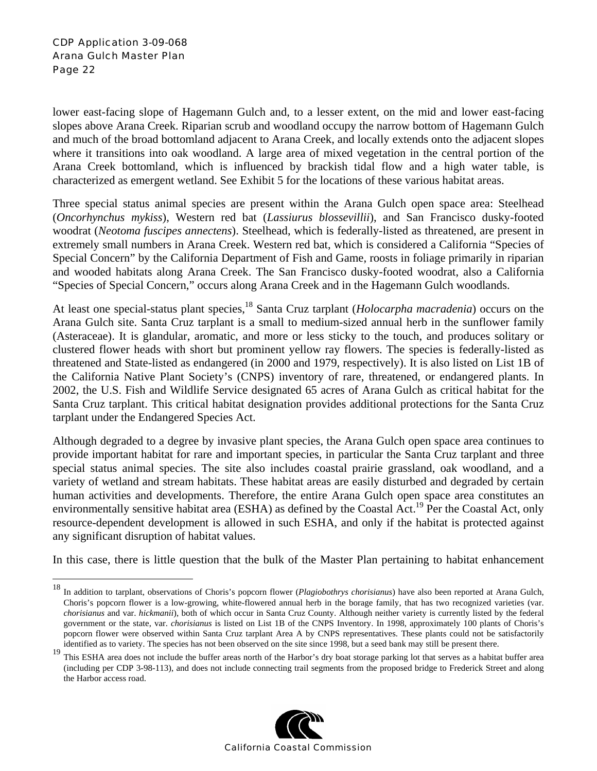1

lower east-facing slope of Hagemann Gulch and, to a lesser extent, on the mid and lower east-facing slopes above Arana Creek. Riparian scrub and woodland occupy the narrow bottom of Hagemann Gulch and much of the broad bottomland adjacent to Arana Creek, and locally extends onto the adjacent slopes where it transitions into oak woodland. A large area of mixed vegetation in the central portion of the Arana Creek bottomland, which is influenced by brackish tidal flow and a high water table, is characterized as emergent wetland. See Exhibit 5 for the locations of these various habitat areas.

Three special status animal species are present within the Arana Gulch open space area: Steelhead (*Oncorhynchus mykiss*), Western red bat (*Lassiurus blossevillii*), and San Francisco dusky-footed woodrat (*Neotoma fuscipes annectens*). Steelhead, which is federally-listed as threatened, are present in extremely small numbers in Arana Creek. Western red bat, which is considered a California "Species of Special Concern" by the California Department of Fish and Game, roosts in foliage primarily in riparian and wooded habitats along Arana Creek. The San Francisco dusky-footed woodrat, also a California "Species of Special Concern," occurs along Arana Creek and in the Hagemann Gulch woodlands.

At least one special-status plant species,<sup>18</sup> Santa Cruz tarplant (*Holocarpha macradenia*) occurs on the Arana Gulch site. Santa Cruz tarplant is a small to medium-sized annual herb in the sunflower family (Asteraceae). It is glandular, aromatic, and more or less sticky to the touch, and produces solitary or clustered flower heads with short but prominent yellow ray flowers. The species is federally-listed as threatened and State-listed as endangered (in 2000 and 1979, respectively). It is also listed on List 1B of the California Native Plant Society's (CNPS) inventory of rare, threatened, or endangered plants. In 2002, the U.S. Fish and Wildlife Service designated 65 acres of Arana Gulch as critical habitat for the Santa Cruz tarplant. This critical habitat designation provides additional protections for the Santa Cruz tarplant under the Endangered Species Act.

Although degraded to a degree by invasive plant species, the Arana Gulch open space area continues to provide important habitat for rare and important species, in particular the Santa Cruz tarplant and three special status animal species. The site also includes coastal prairie grassland, oak woodland, and a variety of wetland and stream habitats. These habitat areas are easily disturbed and degraded by certain human activities and developments. Therefore, the entire Arana Gulch open space area constitutes an environmentally sensitive habitat area (ESHA) as defined by the Coastal Act.<sup>19</sup> Per the Coastal Act, only resource-dependent development is allowed in such ESHA, and only if the habitat is protected against any significant disruption of habitat values.

In this case, there is little question that the bulk of the Master Plan pertaining to habitat enhancement

<sup>&</sup>lt;sup>19</sup> This ESHA area does not include the buffer areas north of the Harbor's dry boat storage parking lot that serves as a habitat buffer area (including per CDP 3-98-113), and does not include connecting trail segments from the proposed bridge to Frederick Street and along the Harbor access road.



<sup>18</sup> In addition to tarplant, observations of Choris's popcorn flower (*Plagiobothrys chorisianus*) have also been reported at Arana Gulch, Choris's popcorn flower is a low-growing, white-flowered annual herb in the borage family, that has two recognized varieties (var. *chorisianus* and var. *hickmanii*), both of which occur in Santa Cruz County. Although neither variety is currently listed by the federal government or the state, var. *chorisianus* is listed on List 1B of the CNPS Inventory. In 1998, approximately 100 plants of Choris's popcorn flower were observed within Santa Cruz tarplant Area A by CNPS representatives. These plants could not be satisfactorily identified as to variety. The species has not been observed on the site since 1998, but a seed bank may still be present there.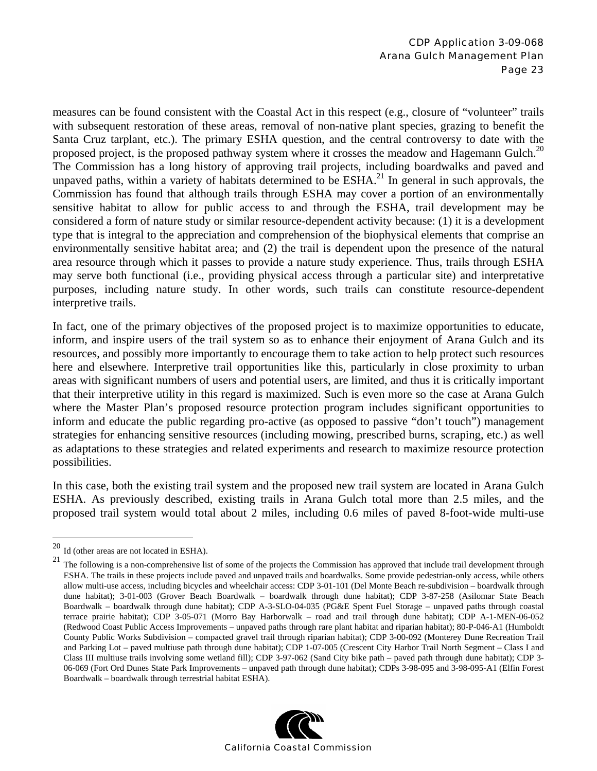measures can be found consistent with the Coastal Act in this respect (e.g., closure of "volunteer" trails with subsequent restoration of these areas, removal of non-native plant species, grazing to benefit the Santa Cruz tarplant, etc.). The primary ESHA question, and the central controversy to date with the proposed project, is the proposed pathway system where it crosses the meadow and Hagemann Gulch.<sup>20</sup> The Commission has a long history of approving trail projects, including boardwalks and paved and unpaved paths, within a variety of habitats determined to be  $ESHA<sup>21</sup>$  In general in such approvals, the Commission has found that although trails through ESHA may cover a portion of an environmentally sensitive habitat to allow for public access to and through the ESHA, trail development may be considered a form of nature study or similar resource-dependent activity because: (1) it is a development type that is integral to the appreciation and comprehension of the biophysical elements that comprise an environmentally sensitive habitat area; and (2) the trail is dependent upon the presence of the natural area resource through which it passes to provide a nature study experience. Thus, trails through ESHA may serve both functional (i.e., providing physical access through a particular site) and interpretative purposes, including nature study. In other words, such trails can constitute resource-dependent interpretive trails.

In fact, one of the primary objectives of the proposed project is to maximize opportunities to educate, inform, and inspire users of the trail system so as to enhance their enjoyment of Arana Gulch and its resources, and possibly more importantly to encourage them to take action to help protect such resources here and elsewhere. Interpretive trail opportunities like this, particularly in close proximity to urban areas with significant numbers of users and potential users, are limited, and thus it is critically important that their interpretive utility in this regard is maximized. Such is even more so the case at Arana Gulch where the Master Plan's proposed resource protection program includes significant opportunities to inform and educate the public regarding pro-active (as opposed to passive "don't touch") management strategies for enhancing sensitive resources (including mowing, prescribed burns, scraping, etc.) as well as adaptations to these strategies and related experiments and research to maximize resource protection possibilities.

In this case, both the existing trail system and the proposed new trail system are located in Arana Gulch ESHA. As previously described, existing trails in Arana Gulch total more than 2.5 miles, and the proposed trail system would total about 2 miles, including 0.6 miles of paved 8-foot-wide multi-use

 $\overline{a}$ 

<sup>&</sup>lt;sup>21</sup> The following is a non-comprehensive list of some of the projects the Commission has approved that include trail development through ESHA. The trails in these projects include paved and unpaved trails and boardwalks. Some provide pedestrian-only access, while others allow multi-use access, including bicycles and wheelchair access: CDP 3-01-101 (Del Monte Beach re-subdivision – boardwalk through dune habitat); 3-01-003 (Grover Beach Boardwalk – boardwalk through dune habitat); CDP 3-87-258 (Asilomar State Beach Boardwalk – boardwalk through dune habitat); CDP A-3-SLO-04-035 (PG&E Spent Fuel Storage – unpaved paths through coastal terrace prairie habitat); CDP 3-05-071 (Morro Bay Harborwalk – road and trail through dune habitat); CDP A-1-MEN-06-052 (Redwood Coast Public Access Improvements – unpaved paths through rare plant habitat and riparian habitat); 80-P-046-A1 (Humboldt County Public Works Subdivision – compacted gravel trail through riparian habitat); CDP 3-00-092 (Monterey Dune Recreation Trail and Parking Lot – paved multiuse path through dune habitat); CDP 1-07-005 (Crescent City Harbor Trail North Segment – Class I and Class III multiuse trails involving some wetland fill); CDP 3-97-062 (Sand City bike path – paved path through dune habitat); CDP 3- 06-069 (Fort Ord Dunes State Park Improvements – unpaved path through dune habitat); CDPs 3-98-095 and 3-98-095-A1 (Elfin Forest Boardwalk – boardwalk through terrestrial habitat ESHA).



 $20$  Id (other areas are not located in ESHA).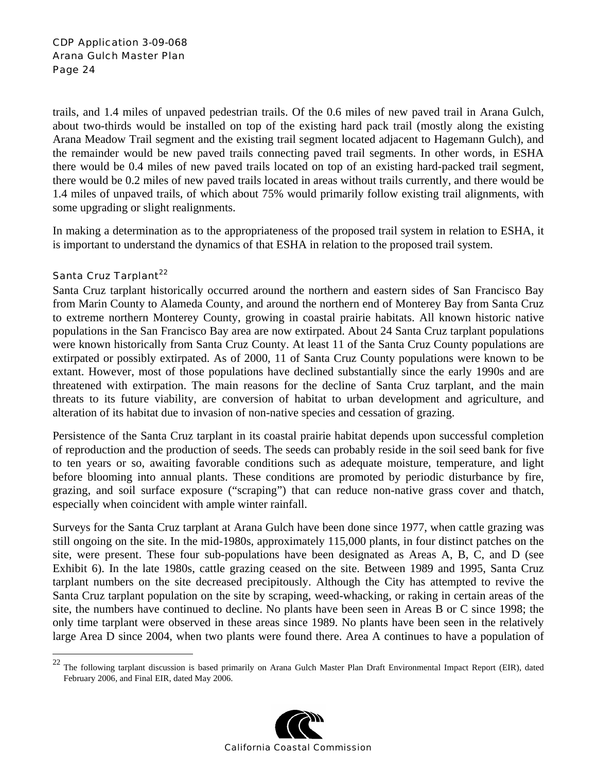trails, and 1.4 miles of unpaved pedestrian trails. Of the 0.6 miles of new paved trail in Arana Gulch, about two-thirds would be installed on top of the existing hard pack trail (mostly along the existing Arana Meadow Trail segment and the existing trail segment located adjacent to Hagemann Gulch), and the remainder would be new paved trails connecting paved trail segments. In other words, in ESHA there would be 0.4 miles of new paved trails located on top of an existing hard-packed trail segment, there would be 0.2 miles of new paved trails located in areas without trails currently, and there would be 1.4 miles of unpaved trails, of which about 75% would primarily follow existing trail alignments, with some upgrading or slight realignments.

In making a determination as to the appropriateness of the proposed trail system in relation to ESHA, it is important to understand the dynamics of that ESHA in relation to the proposed trail system.

#### Santa Cruz Tarplant<sup>22</sup>

 $\overline{a}$ 

Santa Cruz tarplant historically occurred around the northern and eastern sides of San Francisco Bay from Marin County to Alameda County, and around the northern end of Monterey Bay from Santa Cruz to extreme northern Monterey County, growing in coastal prairie habitats. All known historic native populations in the San Francisco Bay area are now extirpated. About 24 Santa Cruz tarplant populations were known historically from Santa Cruz County. At least 11 of the Santa Cruz County populations are extirpated or possibly extirpated. As of 2000, 11 of Santa Cruz County populations were known to be extant. However, most of those populations have declined substantially since the early 1990s and are threatened with extirpation. The main reasons for the decline of Santa Cruz tarplant, and the main threats to its future viability, are conversion of habitat to urban development and agriculture, and alteration of its habitat due to invasion of non-native species and cessation of grazing.

Persistence of the Santa Cruz tarplant in its coastal prairie habitat depends upon successful completion of reproduction and the production of seeds. The seeds can probably reside in the soil seed bank for five to ten years or so, awaiting favorable conditions such as adequate moisture, temperature, and light before blooming into annual plants. These conditions are promoted by periodic disturbance by fire, grazing, and soil surface exposure ("scraping") that can reduce non-native grass cover and thatch, especially when coincident with ample winter rainfall.

Surveys for the Santa Cruz tarplant at Arana Gulch have been done since 1977, when cattle grazing was still ongoing on the site. In the mid-1980s, approximately 115,000 plants, in four distinct patches on the site, were present. These four sub-populations have been designated as Areas A, B, C, and D (see Exhibit 6). In the late 1980s, cattle grazing ceased on the site. Between 1989 and 1995, Santa Cruz tarplant numbers on the site decreased precipitously. Although the City has attempted to revive the Santa Cruz tarplant population on the site by scraping, weed-whacking, or raking in certain areas of the site, the numbers have continued to decline. No plants have been seen in Areas B or C since 1998; the only time tarplant were observed in these areas since 1989. No plants have been seen in the relatively large Area D since 2004, when two plants were found there. Area A continues to have a population of

 $^{22}$  The following tarplant discussion is based primarily on Arana Gulch Master Plan Draft Environmental Impact Report (EIR), dated February 2006, and Final EIR, dated May 2006.

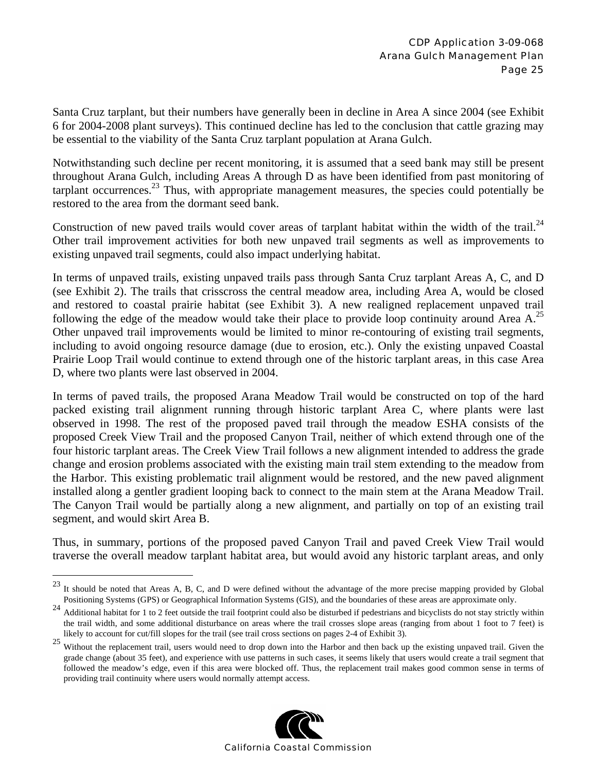Santa Cruz tarplant, but their numbers have generally been in decline in Area A since 2004 (see Exhibit 6 for 2004-2008 plant surveys). This continued decline has led to the conclusion that cattle grazing may be essential to the viability of the Santa Cruz tarplant population at Arana Gulch.

Notwithstanding such decline per recent monitoring, it is assumed that a seed bank may still be present throughout Arana Gulch, including Areas A through D as have been identified from past monitoring of tarplant occurrences.<sup>23</sup> Thus, with appropriate management measures, the species could potentially be restored to the area from the dormant seed bank.

Construction of new paved trails would cover areas of tarplant habitat within the width of the trail.<sup>24</sup> Other trail improvement activities for both new unpaved trail segments as well as improvements to existing unpaved trail segments, could also impact underlying habitat.

In terms of unpaved trails, existing unpaved trails pass through Santa Cruz tarplant Areas A, C, and D (see Exhibit 2). The trails that crisscross the central meadow area, including Area A, would be closed and restored to coastal prairie habitat (see Exhibit 3). A new realigned replacement unpaved trail following the edge of the meadow would take their place to provide loop continuity around Area A.<sup>25</sup> Other unpaved trail improvements would be limited to minor re-contouring of existing trail segments, including to avoid ongoing resource damage (due to erosion, etc.). Only the existing unpaved Coastal Prairie Loop Trail would continue to extend through one of the historic tarplant areas, in this case Area D, where two plants were last observed in 2004.

In terms of paved trails, the proposed Arana Meadow Trail would be constructed on top of the hard packed existing trail alignment running through historic tarplant Area C, where plants were last observed in 1998. The rest of the proposed paved trail through the meadow ESHA consists of the proposed Creek View Trail and the proposed Canyon Trail, neither of which extend through one of the four historic tarplant areas. The Creek View Trail follows a new alignment intended to address the grade change and erosion problems associated with the existing main trail stem extending to the meadow from the Harbor. This existing problematic trail alignment would be restored, and the new paved alignment installed along a gentler gradient looping back to connect to the main stem at the Arana Meadow Trail. The Canyon Trail would be partially along a new alignment, and partially on top of an existing trail segment, and would skirt Area B.

Thus, in summary, portions of the proposed paved Canyon Trail and paved Creek View Trail would traverse the overall meadow tarplant habitat area, but would avoid any historic tarplant areas, and only

<u>.</u>

<sup>&</sup>lt;sup>25</sup> Without the replacement trail, users would need to drop down into the Harbor and then back up the existing unpaved trail. Given the grade change (about 35 feet), and experience with use patterns in such cases, it seems likely that users would create a trail segment that followed the meadow's edge, even if this area were blocked off. Thus, the replacement trail makes good common sense in terms of providing trail continuity where users would normally attempt access.



<sup>&</sup>lt;sup>23</sup> It should be noted that Areas A, B, C, and D were defined without the advantage of the more precise mapping provided by Global Positioning Systems (GPS) or Geographical Information Systems (GIS), and the boundaries of these areas are approximate only.

<sup>&</sup>lt;sup>24</sup> Additional habitat for 1 to 2 feet outside the trail footprint could also be disturbed if pedestrians and bicyclists do not stay strictly within the trail width, and some additional disturbance on areas where the trail crosses slope areas (ranging from about 1 foot to 7 feet) is likely to account for cut/fill slopes for the trail (see trail cross sections on pages 2-4 of Exhibit 3).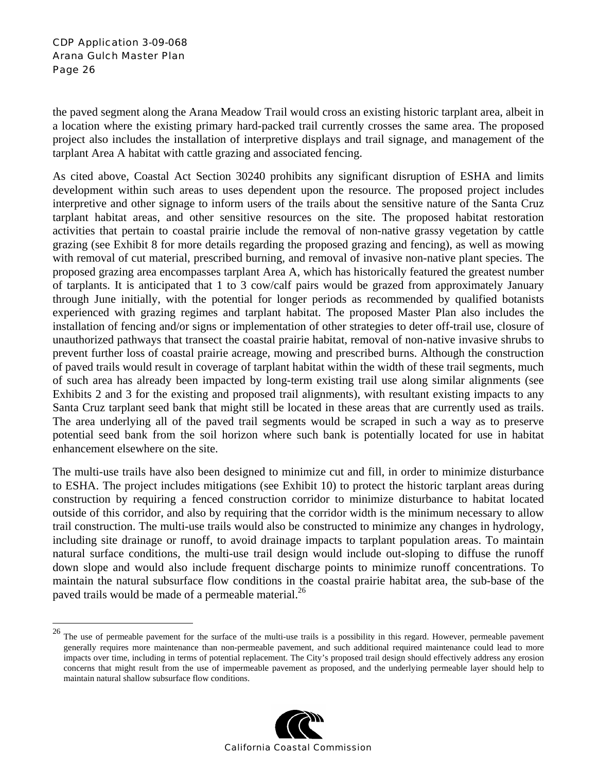$\overline{a}$ 

the paved segment along the Arana Meadow Trail would cross an existing historic tarplant area, albeit in a location where the existing primary hard-packed trail currently crosses the same area. The proposed project also includes the installation of interpretive displays and trail signage, and management of the tarplant Area A habitat with cattle grazing and associated fencing.

As cited above, Coastal Act Section 30240 prohibits any significant disruption of ESHA and limits development within such areas to uses dependent upon the resource. The proposed project includes interpretive and other signage to inform users of the trails about the sensitive nature of the Santa Cruz tarplant habitat areas, and other sensitive resources on the site. The proposed habitat restoration activities that pertain to coastal prairie include the removal of non-native grassy vegetation by cattle grazing (see Exhibit 8 for more details regarding the proposed grazing and fencing), as well as mowing with removal of cut material, prescribed burning, and removal of invasive non-native plant species. The proposed grazing area encompasses tarplant Area A, which has historically featured the greatest number of tarplants. It is anticipated that 1 to 3 cow/calf pairs would be grazed from approximately January through June initially, with the potential for longer periods as recommended by qualified botanists experienced with grazing regimes and tarplant habitat. The proposed Master Plan also includes the installation of fencing and/or signs or implementation of other strategies to deter off-trail use, closure of unauthorized pathways that transect the coastal prairie habitat, removal of non-native invasive shrubs to prevent further loss of coastal prairie acreage, mowing and prescribed burns. Although the construction of paved trails would result in coverage of tarplant habitat within the width of these trail segments, much of such area has already been impacted by long-term existing trail use along similar alignments (see Exhibits 2 and 3 for the existing and proposed trail alignments), with resultant existing impacts to any Santa Cruz tarplant seed bank that might still be located in these areas that are currently used as trails. The area underlying all of the paved trail segments would be scraped in such a way as to preserve potential seed bank from the soil horizon where such bank is potentially located for use in habitat enhancement elsewhere on the site.

The multi-use trails have also been designed to minimize cut and fill, in order to minimize disturbance to ESHA. The project includes mitigations (see Exhibit 10) to protect the historic tarplant areas during construction by requiring a fenced construction corridor to minimize disturbance to habitat located outside of this corridor, and also by requiring that the corridor width is the minimum necessary to allow trail construction. The multi-use trails would also be constructed to minimize any changes in hydrology, including site drainage or runoff, to avoid drainage impacts to tarplant population areas. To maintain natural surface conditions, the multi-use trail design would include out-sloping to diffuse the runoff down slope and would also include frequent discharge points to minimize runoff concentrations. To maintain the natural subsurface flow conditions in the coastal prairie habitat area, the sub-base of the paved trails would be made of a permeable material.<sup>26</sup>

<sup>&</sup>lt;sup>26</sup> The use of permeable pavement for the surface of the multi-use trails is a possibility in this regard. However, permeable pavement generally requires more maintenance than non-permeable pavement, and such additional required maintenance could lead to more impacts over time, including in terms of potential replacement. The City's proposed trail design should effectively address any erosion concerns that might result from the use of impermeable pavement as proposed, and the underlying permeable layer should help to maintain natural shallow subsurface flow conditions.

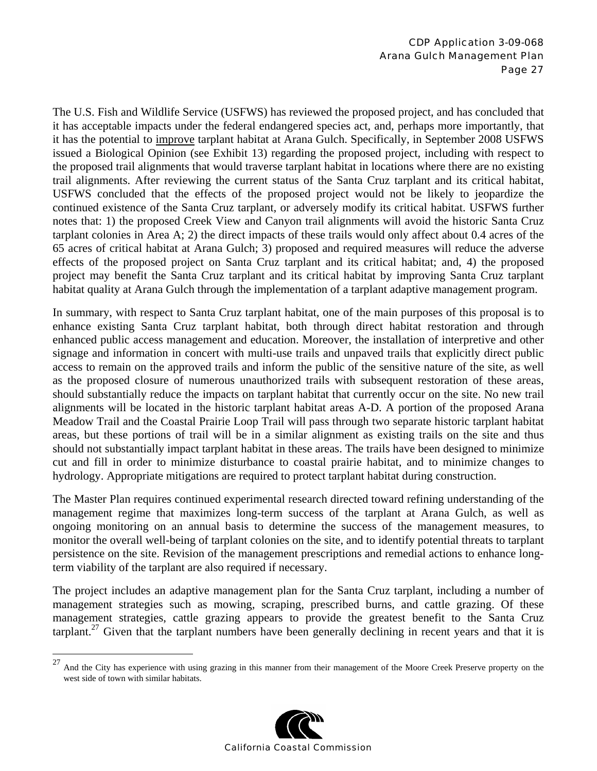The U.S. Fish and Wildlife Service (USFWS) has reviewed the proposed project, and has concluded that it has acceptable impacts under the federal endangered species act, and, perhaps more importantly, that it has the potential to improve tarplant habitat at Arana Gulch. Specifically, in September 2008 USFWS issued a Biological Opinion (see Exhibit 13) regarding the proposed project, including with respect to the proposed trail alignments that would traverse tarplant habitat in locations where there are no existing trail alignments. After reviewing the current status of the Santa Cruz tarplant and its critical habitat, USFWS concluded that the effects of the proposed project would not be likely to jeopardize the continued existence of the Santa Cruz tarplant, or adversely modify its critical habitat. USFWS further notes that: 1) the proposed Creek View and Canyon trail alignments will avoid the historic Santa Cruz tarplant colonies in Area A; 2) the direct impacts of these trails would only affect about 0.4 acres of the 65 acres of critical habitat at Arana Gulch; 3) proposed and required measures will reduce the adverse effects of the proposed project on Santa Cruz tarplant and its critical habitat; and, 4) the proposed project may benefit the Santa Cruz tarplant and its critical habitat by improving Santa Cruz tarplant habitat quality at Arana Gulch through the implementation of a tarplant adaptive management program.

In summary, with respect to Santa Cruz tarplant habitat, one of the main purposes of this proposal is to enhance existing Santa Cruz tarplant habitat, both through direct habitat restoration and through enhanced public access management and education. Moreover, the installation of interpretive and other signage and information in concert with multi-use trails and unpaved trails that explicitly direct public access to remain on the approved trails and inform the public of the sensitive nature of the site, as well as the proposed closure of numerous unauthorized trails with subsequent restoration of these areas, should substantially reduce the impacts on tarplant habitat that currently occur on the site. No new trail alignments will be located in the historic tarplant habitat areas A-D. A portion of the proposed Arana Meadow Trail and the Coastal Prairie Loop Trail will pass through two separate historic tarplant habitat areas, but these portions of trail will be in a similar alignment as existing trails on the site and thus should not substantially impact tarplant habitat in these areas. The trails have been designed to minimize cut and fill in order to minimize disturbance to coastal prairie habitat, and to minimize changes to hydrology. Appropriate mitigations are required to protect tarplant habitat during construction.

The Master Plan requires continued experimental research directed toward refining understanding of the management regime that maximizes long-term success of the tarplant at Arana Gulch, as well as ongoing monitoring on an annual basis to determine the success of the management measures, to monitor the overall well-being of tarplant colonies on the site, and to identify potential threats to tarplant persistence on the site. Revision of the management prescriptions and remedial actions to enhance longterm viability of the tarplant are also required if necessary.

The project includes an adaptive management plan for the Santa Cruz tarplant, including a number of management strategies such as mowing, scraping, prescribed burns, and cattle grazing. Of these management strategies, cattle grazing appears to provide the greatest benefit to the Santa Cruz tarplant.<sup>27</sup> Given that the tarplant numbers have been generally declining in recent years and that it is

1



 $27$  And the City has experience with using grazing in this manner from their management of the Moore Creek Preserve property on the west side of town with similar habitats.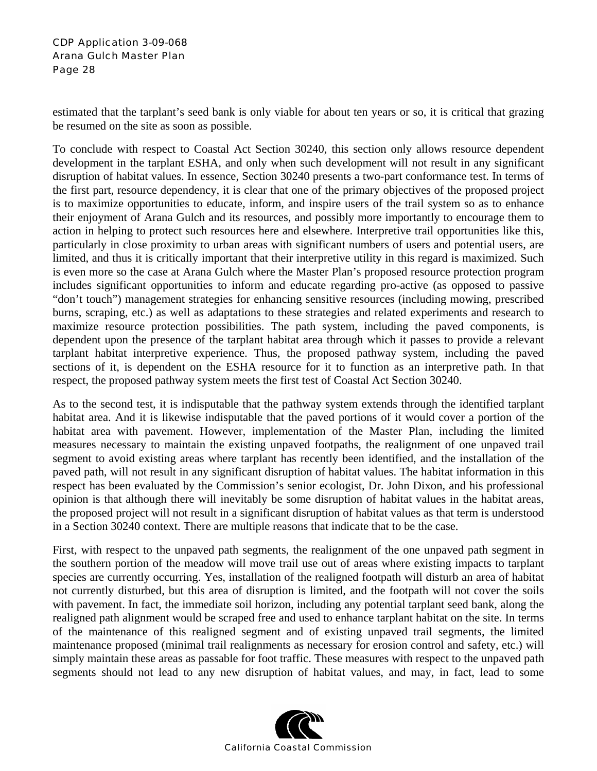estimated that the tarplant's seed bank is only viable for about ten years or so, it is critical that grazing be resumed on the site as soon as possible.

To conclude with respect to Coastal Act Section 30240, this section only allows resource dependent development in the tarplant ESHA, and only when such development will not result in any significant disruption of habitat values. In essence, Section 30240 presents a two-part conformance test. In terms of the first part, resource dependency, it is clear that one of the primary objectives of the proposed project is to maximize opportunities to educate, inform, and inspire users of the trail system so as to enhance their enjoyment of Arana Gulch and its resources, and possibly more importantly to encourage them to action in helping to protect such resources here and elsewhere. Interpretive trail opportunities like this, particularly in close proximity to urban areas with significant numbers of users and potential users, are limited, and thus it is critically important that their interpretive utility in this regard is maximized. Such is even more so the case at Arana Gulch where the Master Plan's proposed resource protection program includes significant opportunities to inform and educate regarding pro-active (as opposed to passive "don't touch") management strategies for enhancing sensitive resources (including mowing, prescribed burns, scraping, etc.) as well as adaptations to these strategies and related experiments and research to maximize resource protection possibilities. The path system, including the paved components, is dependent upon the presence of the tarplant habitat area through which it passes to provide a relevant tarplant habitat interpretive experience. Thus, the proposed pathway system, including the paved sections of it, is dependent on the ESHA resource for it to function as an interpretive path. In that respect, the proposed pathway system meets the first test of Coastal Act Section 30240.

As to the second test, it is indisputable that the pathway system extends through the identified tarplant habitat area. And it is likewise indisputable that the paved portions of it would cover a portion of the habitat area with pavement. However, implementation of the Master Plan, including the limited measures necessary to maintain the existing unpaved footpaths, the realignment of one unpaved trail segment to avoid existing areas where tarplant has recently been identified, and the installation of the paved path, will not result in any significant disruption of habitat values. The habitat information in this respect has been evaluated by the Commission's senior ecologist, Dr. John Dixon, and his professional opinion is that although there will inevitably be some disruption of habitat values in the habitat areas, the proposed project will not result in a significant disruption of habitat values as that term is understood in a Section 30240 context. There are multiple reasons that indicate that to be the case.

First, with respect to the unpaved path segments, the realignment of the one unpaved path segment in the southern portion of the meadow will move trail use out of areas where existing impacts to tarplant species are currently occurring. Yes, installation of the realigned footpath will disturb an area of habitat not currently disturbed, but this area of disruption is limited, and the footpath will not cover the soils with pavement. In fact, the immediate soil horizon, including any potential tarplant seed bank, along the realigned path alignment would be scraped free and used to enhance tarplant habitat on the site. In terms of the maintenance of this realigned segment and of existing unpaved trail segments, the limited maintenance proposed (minimal trail realignments as necessary for erosion control and safety, etc.) will simply maintain these areas as passable for foot traffic. These measures with respect to the unpaved path segments should not lead to any new disruption of habitat values, and may, in fact, lead to some

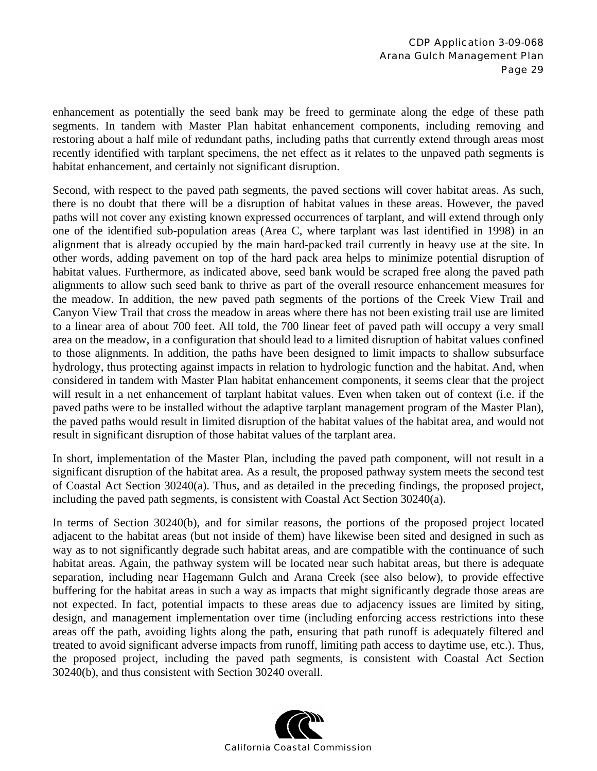enhancement as potentially the seed bank may be freed to germinate along the edge of these path segments. In tandem with Master Plan habitat enhancement components, including removing and restoring about a half mile of redundant paths, including paths that currently extend through areas most recently identified with tarplant specimens, the net effect as it relates to the unpaved path segments is habitat enhancement, and certainly not significant disruption.

Second, with respect to the paved path segments, the paved sections will cover habitat areas. As such, there is no doubt that there will be a disruption of habitat values in these areas. However, the paved paths will not cover any existing known expressed occurrences of tarplant, and will extend through only one of the identified sub-population areas (Area C, where tarplant was last identified in 1998) in an alignment that is already occupied by the main hard-packed trail currently in heavy use at the site. In other words, adding pavement on top of the hard pack area helps to minimize potential disruption of habitat values. Furthermore, as indicated above, seed bank would be scraped free along the paved path alignments to allow such seed bank to thrive as part of the overall resource enhancement measures for the meadow. In addition, the new paved path segments of the portions of the Creek View Trail and Canyon View Trail that cross the meadow in areas where there has not been existing trail use are limited to a linear area of about 700 feet. All told, the 700 linear feet of paved path will occupy a very small area on the meadow, in a configuration that should lead to a limited disruption of habitat values confined to those alignments. In addition, the paths have been designed to limit impacts to shallow subsurface hydrology, thus protecting against impacts in relation to hydrologic function and the habitat. And, when considered in tandem with Master Plan habitat enhancement components, it seems clear that the project will result in a net enhancement of tarplant habitat values. Even when taken out of context (i.e. if the paved paths were to be installed without the adaptive tarplant management program of the Master Plan), the paved paths would result in limited disruption of the habitat values of the habitat area, and would not result in significant disruption of those habitat values of the tarplant area.

In short, implementation of the Master Plan, including the paved path component, will not result in a significant disruption of the habitat area. As a result, the proposed pathway system meets the second test of Coastal Act Section 30240(a). Thus, and as detailed in the preceding findings, the proposed project, including the paved path segments, is consistent with Coastal Act Section 30240(a).

In terms of Section 30240(b), and for similar reasons, the portions of the proposed project located adjacent to the habitat areas (but not inside of them) have likewise been sited and designed in such as way as to not significantly degrade such habitat areas, and are compatible with the continuance of such habitat areas. Again, the pathway system will be located near such habitat areas, but there is adequate separation, including near Hagemann Gulch and Arana Creek (see also below), to provide effective buffering for the habitat areas in such a way as impacts that might significantly degrade those areas are not expected. In fact, potential impacts to these areas due to adjacency issues are limited by siting, design, and management implementation over time (including enforcing access restrictions into these areas off the path, avoiding lights along the path, ensuring that path runoff is adequately filtered and treated to avoid significant adverse impacts from runoff, limiting path access to daytime use, etc.). Thus, the proposed project, including the paved path segments, is consistent with Coastal Act Section 30240(b), and thus consistent with Section 30240 overall.

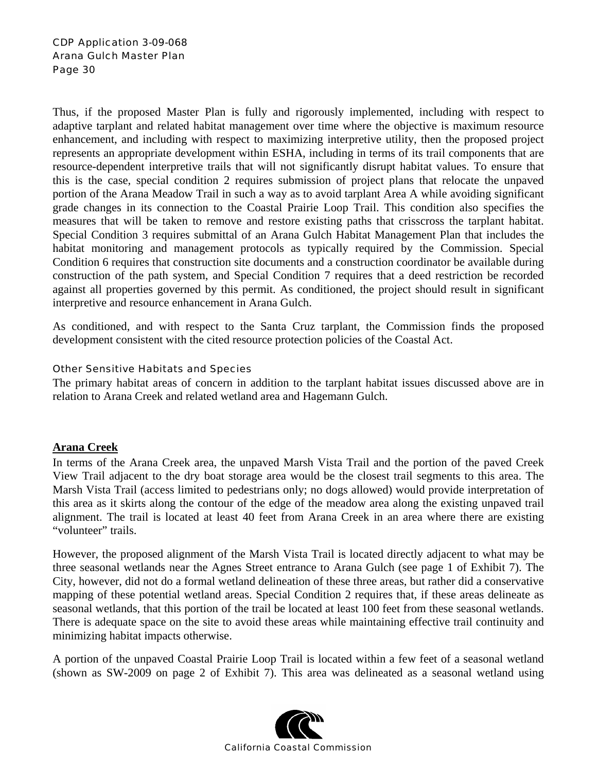Thus, if the proposed Master Plan is fully and rigorously implemented, including with respect to adaptive tarplant and related habitat management over time where the objective is maximum resource enhancement, and including with respect to maximizing interpretive utility, then the proposed project represents an appropriate development within ESHA, including in terms of its trail components that are resource-dependent interpretive trails that will not significantly disrupt habitat values. To ensure that this is the case, special condition 2 requires submission of project plans that relocate the unpaved portion of the Arana Meadow Trail in such a way as to avoid tarplant Area A while avoiding significant grade changes in its connection to the Coastal Prairie Loop Trail. This condition also specifies the measures that will be taken to remove and restore existing paths that crisscross the tarplant habitat. Special Condition 3 requires submittal of an Arana Gulch Habitat Management Plan that includes the habitat monitoring and management protocols as typically required by the Commission. Special Condition 6 requires that construction site documents and a construction coordinator be available during construction of the path system, and Special Condition 7 requires that a deed restriction be recorded against all properties governed by this permit. As conditioned, the project should result in significant interpretive and resource enhancement in Arana Gulch.

As conditioned, and with respect to the Santa Cruz tarplant, the Commission finds the proposed development consistent with the cited resource protection policies of the Coastal Act.

#### Other Sensitive Habitats and Species

The primary habitat areas of concern in addition to the tarplant habitat issues discussed above are in relation to Arana Creek and related wetland area and Hagemann Gulch.

#### **Arana Creek**

In terms of the Arana Creek area, the unpaved Marsh Vista Trail and the portion of the paved Creek View Trail adjacent to the dry boat storage area would be the closest trail segments to this area. The Marsh Vista Trail (access limited to pedestrians only; no dogs allowed) would provide interpretation of this area as it skirts along the contour of the edge of the meadow area along the existing unpaved trail alignment. The trail is located at least 40 feet from Arana Creek in an area where there are existing "volunteer" trails.

However, the proposed alignment of the Marsh Vista Trail is located directly adjacent to what may be three seasonal wetlands near the Agnes Street entrance to Arana Gulch (see page 1 of Exhibit 7). The City, however, did not do a formal wetland delineation of these three areas, but rather did a conservative mapping of these potential wetland areas. Special Condition 2 requires that, if these areas delineate as seasonal wetlands, that this portion of the trail be located at least 100 feet from these seasonal wetlands. There is adequate space on the site to avoid these areas while maintaining effective trail continuity and minimizing habitat impacts otherwise.

A portion of the unpaved Coastal Prairie Loop Trail is located within a few feet of a seasonal wetland (shown as SW-2009 on page 2 of Exhibit 7). This area was delineated as a seasonal wetland using

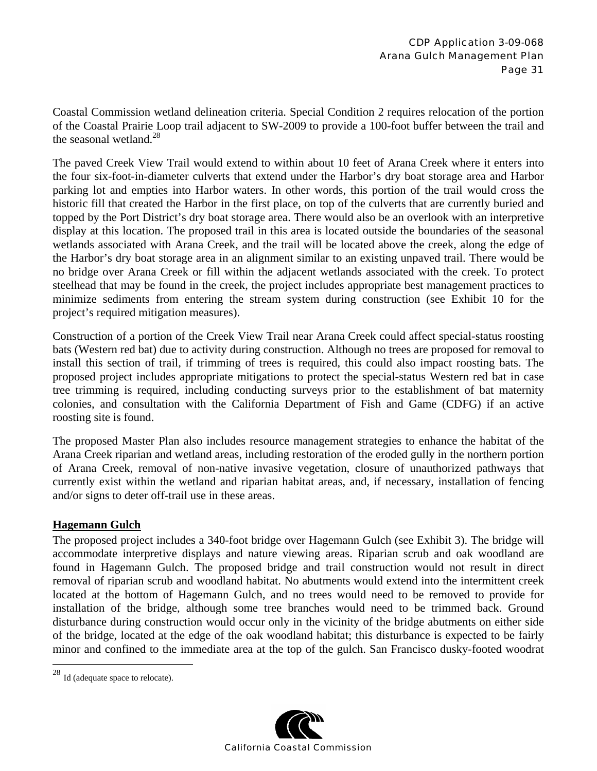Coastal Commission wetland delineation criteria. Special Condition 2 requires relocation of the portion of the Coastal Prairie Loop trail adjacent to SW-2009 to provide a 100-foot buffer between the trail and the seasonal wetland.<sup>28</sup>

The paved Creek View Trail would extend to within about 10 feet of Arana Creek where it enters into the four six-foot-in-diameter culverts that extend under the Harbor's dry boat storage area and Harbor parking lot and empties into Harbor waters. In other words, this portion of the trail would cross the historic fill that created the Harbor in the first place, on top of the culverts that are currently buried and topped by the Port District's dry boat storage area. There would also be an overlook with an interpretive display at this location. The proposed trail in this area is located outside the boundaries of the seasonal wetlands associated with Arana Creek, and the trail will be located above the creek, along the edge of the Harbor's dry boat storage area in an alignment similar to an existing unpaved trail. There would be no bridge over Arana Creek or fill within the adjacent wetlands associated with the creek. To protect steelhead that may be found in the creek, the project includes appropriate best management practices to minimize sediments from entering the stream system during construction (see Exhibit 10 for the project's required mitigation measures).

Construction of a portion of the Creek View Trail near Arana Creek could affect special-status roosting bats (Western red bat) due to activity during construction. Although no trees are proposed for removal to install this section of trail, if trimming of trees is required, this could also impact roosting bats. The proposed project includes appropriate mitigations to protect the special-status Western red bat in case tree trimming is required, including conducting surveys prior to the establishment of bat maternity colonies, and consultation with the California Department of Fish and Game (CDFG) if an active roosting site is found.

The proposed Master Plan also includes resource management strategies to enhance the habitat of the Arana Creek riparian and wetland areas, including restoration of the eroded gully in the northern portion of Arana Creek, removal of non-native invasive vegetation, closure of unauthorized pathways that currently exist within the wetland and riparian habitat areas, and, if necessary, installation of fencing and/or signs to deter off-trail use in these areas.

#### **Hagemann Gulch**

The proposed project includes a 340-foot bridge over Hagemann Gulch (see Exhibit 3). The bridge will accommodate interpretive displays and nature viewing areas. Riparian scrub and oak woodland are found in Hagemann Gulch. The proposed bridge and trail construction would not result in direct removal of riparian scrub and woodland habitat. No abutments would extend into the intermittent creek located at the bottom of Hagemann Gulch, and no trees would need to be removed to provide for installation of the bridge, although some tree branches would need to be trimmed back. Ground disturbance during construction would occur only in the vicinity of the bridge abutments on either side of the bridge, located at the edge of the oak woodland habitat; this disturbance is expected to be fairly minor and confined to the immediate area at the top of the gulch. San Francisco dusky-footed woodrat

 $\overline{a}$ 



 $28$  Id (adequate space to relocate).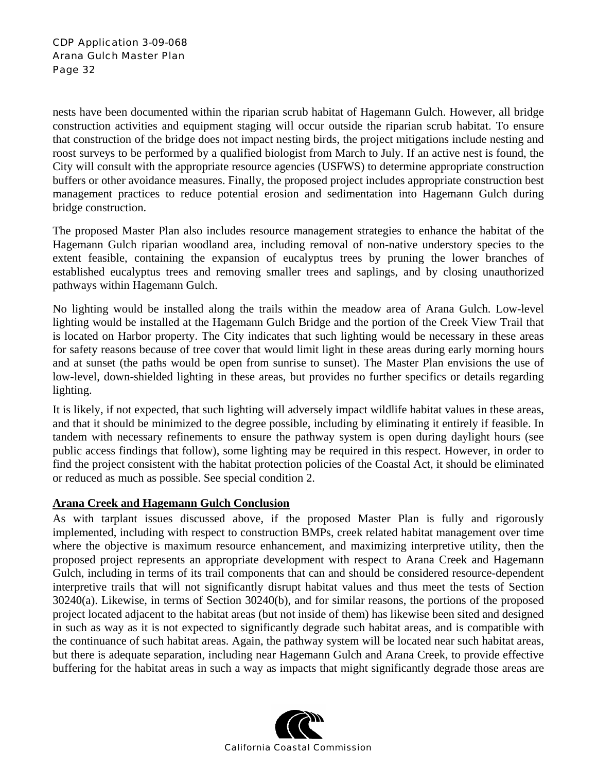nests have been documented within the riparian scrub habitat of Hagemann Gulch. However, all bridge construction activities and equipment staging will occur outside the riparian scrub habitat. To ensure that construction of the bridge does not impact nesting birds, the project mitigations include nesting and roost surveys to be performed by a qualified biologist from March to July. If an active nest is found, the City will consult with the appropriate resource agencies (USFWS) to determine appropriate construction buffers or other avoidance measures. Finally, the proposed project includes appropriate construction best management practices to reduce potential erosion and sedimentation into Hagemann Gulch during bridge construction.

The proposed Master Plan also includes resource management strategies to enhance the habitat of the Hagemann Gulch riparian woodland area, including removal of non-native understory species to the extent feasible, containing the expansion of eucalyptus trees by pruning the lower branches of established eucalyptus trees and removing smaller trees and saplings, and by closing unauthorized pathways within Hagemann Gulch.

No lighting would be installed along the trails within the meadow area of Arana Gulch. Low-level lighting would be installed at the Hagemann Gulch Bridge and the portion of the Creek View Trail that is located on Harbor property. The City indicates that such lighting would be necessary in these areas for safety reasons because of tree cover that would limit light in these areas during early morning hours and at sunset (the paths would be open from sunrise to sunset). The Master Plan envisions the use of low-level, down-shielded lighting in these areas, but provides no further specifics or details regarding lighting.

It is likely, if not expected, that such lighting will adversely impact wildlife habitat values in these areas, and that it should be minimized to the degree possible, including by eliminating it entirely if feasible. In tandem with necessary refinements to ensure the pathway system is open during daylight hours (see public access findings that follow), some lighting may be required in this respect. However, in order to find the project consistent with the habitat protection policies of the Coastal Act, it should be eliminated or reduced as much as possible. See special condition 2.

#### **Arana Creek and Hagemann Gulch Conclusion**

As with tarplant issues discussed above, if the proposed Master Plan is fully and rigorously implemented, including with respect to construction BMPs, creek related habitat management over time where the objective is maximum resource enhancement, and maximizing interpretive utility, then the proposed project represents an appropriate development with respect to Arana Creek and Hagemann Gulch, including in terms of its trail components that can and should be considered resource-dependent interpretive trails that will not significantly disrupt habitat values and thus meet the tests of Section 30240(a). Likewise, in terms of Section 30240(b), and for similar reasons, the portions of the proposed project located adjacent to the habitat areas (but not inside of them) has likewise been sited and designed in such as way as it is not expected to significantly degrade such habitat areas, and is compatible with the continuance of such habitat areas. Again, the pathway system will be located near such habitat areas, but there is adequate separation, including near Hagemann Gulch and Arana Creek, to provide effective buffering for the habitat areas in such a way as impacts that might significantly degrade those areas are

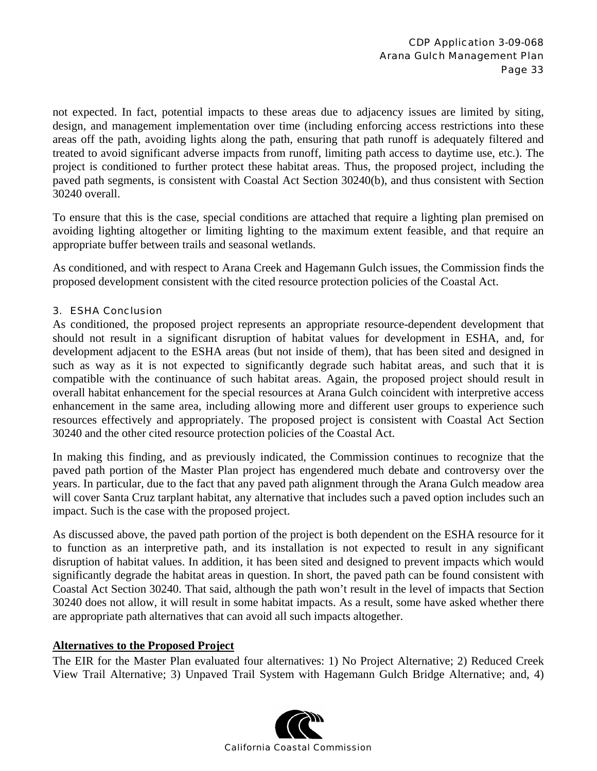not expected. In fact, potential impacts to these areas due to adjacency issues are limited by siting, design, and management implementation over time (including enforcing access restrictions into these areas off the path, avoiding lights along the path, ensuring that path runoff is adequately filtered and treated to avoid significant adverse impacts from runoff, limiting path access to daytime use, etc.). The project is conditioned to further protect these habitat areas. Thus, the proposed project, including the paved path segments, is consistent with Coastal Act Section 30240(b), and thus consistent with Section 30240 overall.

To ensure that this is the case, special conditions are attached that require a lighting plan premised on avoiding lighting altogether or limiting lighting to the maximum extent feasible, and that require an appropriate buffer between trails and seasonal wetlands.

As conditioned, and with respect to Arana Creek and Hagemann Gulch issues, the Commission finds the proposed development consistent with the cited resource protection policies of the Coastal Act.

#### 3. ESHA Conclusion

As conditioned, the proposed project represents an appropriate resource-dependent development that should not result in a significant disruption of habitat values for development in ESHA, and, for development adjacent to the ESHA areas (but not inside of them), that has been sited and designed in such as way as it is not expected to significantly degrade such habitat areas, and such that it is compatible with the continuance of such habitat areas. Again, the proposed project should result in overall habitat enhancement for the special resources at Arana Gulch coincident with interpretive access enhancement in the same area, including allowing more and different user groups to experience such resources effectively and appropriately. The proposed project is consistent with Coastal Act Section 30240 and the other cited resource protection policies of the Coastal Act.

In making this finding, and as previously indicated, the Commission continues to recognize that the paved path portion of the Master Plan project has engendered much debate and controversy over the years. In particular, due to the fact that any paved path alignment through the Arana Gulch meadow area will cover Santa Cruz tarplant habitat, any alternative that includes such a paved option includes such an impact. Such is the case with the proposed project.

As discussed above, the paved path portion of the project is both dependent on the ESHA resource for it to function as an interpretive path, and its installation is not expected to result in any significant disruption of habitat values. In addition, it has been sited and designed to prevent impacts which would significantly degrade the habitat areas in question. In short, the paved path can be found consistent with Coastal Act Section 30240. That said, although the path won't result in the level of impacts that Section 30240 does not allow, it will result in some habitat impacts. As a result, some have asked whether there are appropriate path alternatives that can avoid all such impacts altogether.

#### **Alternatives to the Proposed Project**

The EIR for the Master Plan evaluated four alternatives: 1) No Project Alternative; 2) Reduced Creek View Trail Alternative; 3) Unpaved Trail System with Hagemann Gulch Bridge Alternative; and, 4)

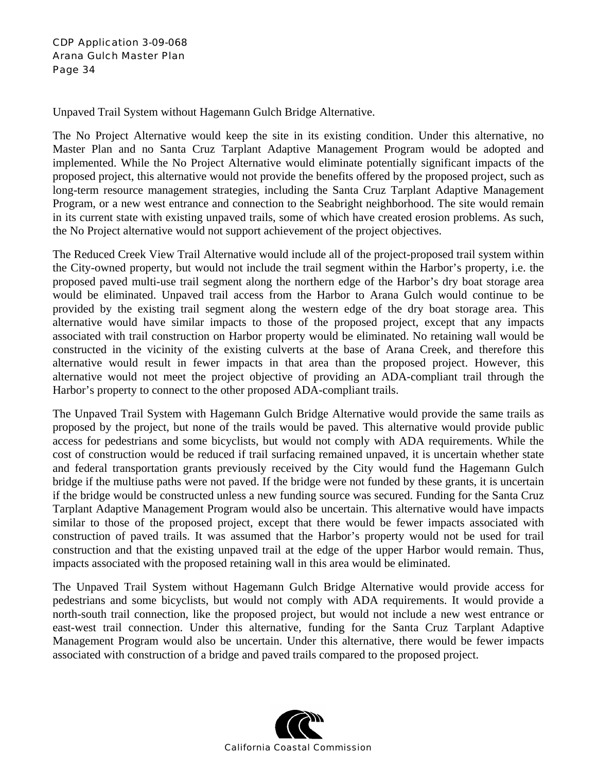Unpaved Trail System without Hagemann Gulch Bridge Alternative.

The No Project Alternative would keep the site in its existing condition. Under this alternative, no Master Plan and no Santa Cruz Tarplant Adaptive Management Program would be adopted and implemented. While the No Project Alternative would eliminate potentially significant impacts of the proposed project, this alternative would not provide the benefits offered by the proposed project, such as long-term resource management strategies, including the Santa Cruz Tarplant Adaptive Management Program, or a new west entrance and connection to the Seabright neighborhood. The site would remain in its current state with existing unpaved trails, some of which have created erosion problems. As such, the No Project alternative would not support achievement of the project objectives.

The Reduced Creek View Trail Alternative would include all of the project-proposed trail system within the City-owned property, but would not include the trail segment within the Harbor's property, i.e. the proposed paved multi-use trail segment along the northern edge of the Harbor's dry boat storage area would be eliminated. Unpaved trail access from the Harbor to Arana Gulch would continue to be provided by the existing trail segment along the western edge of the dry boat storage area. This alternative would have similar impacts to those of the proposed project, except that any impacts associated with trail construction on Harbor property would be eliminated. No retaining wall would be constructed in the vicinity of the existing culverts at the base of Arana Creek, and therefore this alternative would result in fewer impacts in that area than the proposed project. However, this alternative would not meet the project objective of providing an ADA-compliant trail through the Harbor's property to connect to the other proposed ADA-compliant trails.

The Unpaved Trail System with Hagemann Gulch Bridge Alternative would provide the same trails as proposed by the project, but none of the trails would be paved. This alternative would provide public access for pedestrians and some bicyclists, but would not comply with ADA requirements. While the cost of construction would be reduced if trail surfacing remained unpaved, it is uncertain whether state and federal transportation grants previously received by the City would fund the Hagemann Gulch bridge if the multiuse paths were not paved. If the bridge were not funded by these grants, it is uncertain if the bridge would be constructed unless a new funding source was secured. Funding for the Santa Cruz Tarplant Adaptive Management Program would also be uncertain. This alternative would have impacts similar to those of the proposed project, except that there would be fewer impacts associated with construction of paved trails. It was assumed that the Harbor's property would not be used for trail construction and that the existing unpaved trail at the edge of the upper Harbor would remain. Thus, impacts associated with the proposed retaining wall in this area would be eliminated.

The Unpaved Trail System without Hagemann Gulch Bridge Alternative would provide access for pedestrians and some bicyclists, but would not comply with ADA requirements. It would provide a north-south trail connection, like the proposed project, but would not include a new west entrance or east-west trail connection. Under this alternative, funding for the Santa Cruz Tarplant Adaptive Management Program would also be uncertain. Under this alternative, there would be fewer impacts associated with construction of a bridge and paved trails compared to the proposed project.

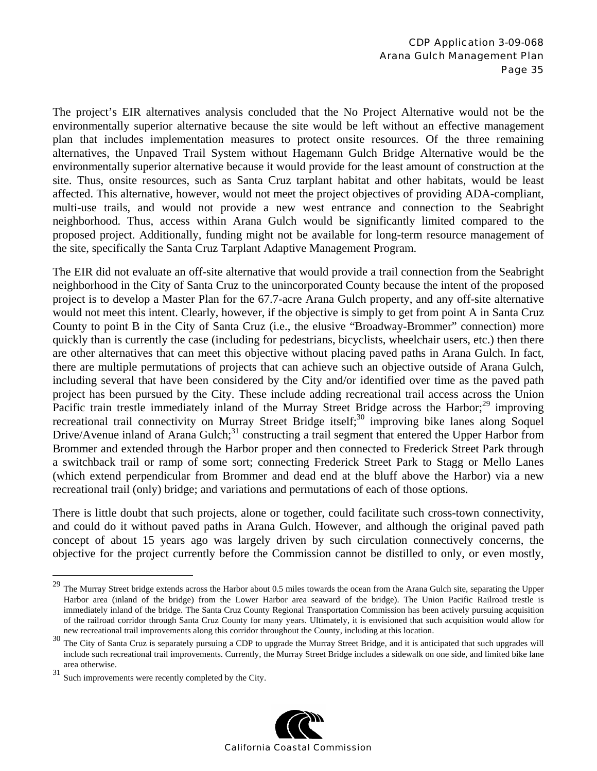The project's EIR alternatives analysis concluded that the No Project Alternative would not be the environmentally superior alternative because the site would be left without an effective management plan that includes implementation measures to protect onsite resources. Of the three remaining alternatives, the Unpaved Trail System without Hagemann Gulch Bridge Alternative would be the environmentally superior alternative because it would provide for the least amount of construction at the site. Thus, onsite resources, such as Santa Cruz tarplant habitat and other habitats, would be least affected. This alternative, however, would not meet the project objectives of providing ADA-compliant, multi-use trails, and would not provide a new west entrance and connection to the Seabright neighborhood. Thus, access within Arana Gulch would be significantly limited compared to the proposed project. Additionally, funding might not be available for long-term resource management of the site, specifically the Santa Cruz Tarplant Adaptive Management Program.

The EIR did not evaluate an off-site alternative that would provide a trail connection from the Seabright neighborhood in the City of Santa Cruz to the unincorporated County because the intent of the proposed project is to develop a Master Plan for the 67.7-acre Arana Gulch property, and any off-site alternative would not meet this intent. Clearly, however, if the objective is simply to get from point A in Santa Cruz County to point B in the City of Santa Cruz (i.e., the elusive "Broadway-Brommer" connection) more quickly than is currently the case (including for pedestrians, bicyclists, wheelchair users, etc.) then there are other alternatives that can meet this objective without placing paved paths in Arana Gulch. In fact, there are multiple permutations of projects that can achieve such an objective outside of Arana Gulch, including several that have been considered by the City and/or identified over time as the paved path project has been pursued by the City. These include adding recreational trail access across the Union Pacific train trestle immediately inland of the Murray Street Bridge across the Harbor; $^{29}$  improving recreational trail connectivity on Murray Street Bridge itself;<sup>30</sup> improving bike lanes along Soquel Drive/Avenue inland of Arana Gulch;<sup>31</sup> constructing a trail segment that entered the Upper Harbor from Brommer and extended through the Harbor proper and then connected to Frederick Street Park through a switchback trail or ramp of some sort; connecting Frederick Street Park to Stagg or Mello Lanes (which extend perpendicular from Brommer and dead end at the bluff above the Harbor) via a new recreational trail (only) bridge; and variations and permutations of each of those options.

There is little doubt that such projects, alone or together, could facilitate such cross-town connectivity, and could do it without paved paths in Arana Gulch. However, and although the original paved path concept of about 15 years ago was largely driven by such circulation connectively concerns, the objective for the project currently before the Commission cannot be distilled to only, or even mostly,

 $\overline{a}$ 



<sup>&</sup>lt;sup>29</sup> The Murray Street bridge extends across the Harbor about 0.5 miles towards the ocean from the Arana Gulch site, separating the Upper Harbor area (inland of the bridge) from the Lower Harbor area seaward of the bridge). The Union Pacific Railroad trestle is immediately inland of the bridge. The Santa Cruz County Regional Transportation Commission has been actively pursuing acquisition of the railroad corridor through Santa Cruz County for many years. Ultimately, it is envisioned that such acquisition would allow for new recreational trail improvements along this corridor throughout the County, including at this location.

<sup>&</sup>lt;sup>30</sup> The City of Santa Cruz is separately pursuing a CDP to upgrade the Murray Street Bridge, and it is anticipated that such upgrades will include such recreational trail improvements. Currently, the Murray Street Bridge includes a sidewalk on one side, and limited bike lane area otherwise.

<sup>31</sup> Such improvements were recently completed by the City.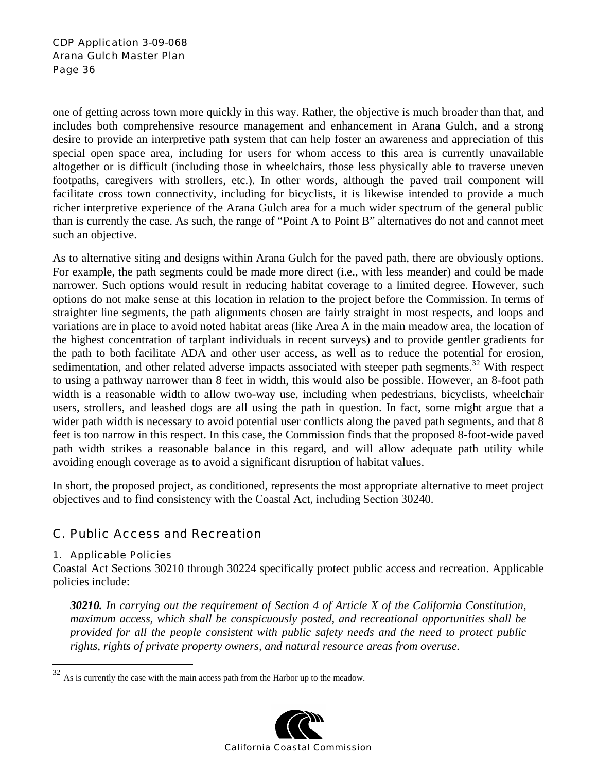one of getting across town more quickly in this way. Rather, the objective is much broader than that, and includes both comprehensive resource management and enhancement in Arana Gulch, and a strong desire to provide an interpretive path system that can help foster an awareness and appreciation of this special open space area, including for users for whom access to this area is currently unavailable altogether or is difficult (including those in wheelchairs, those less physically able to traverse uneven footpaths, caregivers with strollers, etc.). In other words, although the paved trail component will facilitate cross town connectivity, including for bicyclists, it is likewise intended to provide a much richer interpretive experience of the Arana Gulch area for a much wider spectrum of the general public than is currently the case. As such, the range of "Point A to Point B" alternatives do not and cannot meet such an objective.

As to alternative siting and designs within Arana Gulch for the paved path, there are obviously options. For example, the path segments could be made more direct (i.e., with less meander) and could be made narrower. Such options would result in reducing habitat coverage to a limited degree. However, such options do not make sense at this location in relation to the project before the Commission. In terms of straighter line segments, the path alignments chosen are fairly straight in most respects, and loops and variations are in place to avoid noted habitat areas (like Area A in the main meadow area, the location of the highest concentration of tarplant individuals in recent surveys) and to provide gentler gradients for the path to both facilitate ADA and other user access, as well as to reduce the potential for erosion, sedimentation, and other related adverse impacts associated with steeper path segments.<sup>32</sup> With respect to using a pathway narrower than 8 feet in width, this would also be possible. However, an 8-foot path width is a reasonable width to allow two-way use, including when pedestrians, bicyclists, wheelchair users, strollers, and leashed dogs are all using the path in question. In fact, some might argue that a wider path width is necessary to avoid potential user conflicts along the paved path segments, and that 8 feet is too narrow in this respect. In this case, the Commission finds that the proposed 8-foot-wide paved path width strikes a reasonable balance in this regard, and will allow adequate path utility while avoiding enough coverage as to avoid a significant disruption of habitat values.

In short, the proposed project, as conditioned, represents the most appropriate alternative to meet project objectives and to find consistency with the Coastal Act, including Section 30240.

### C. Public Access and Recreation

#### 1. Applicable Policies

 $\overline{a}$ 

Coastal Act Sections 30210 through 30224 specifically protect public access and recreation. Applicable policies include:

*30210. In carrying out the requirement of Section 4 of Article X of the California Constitution, maximum access, which shall be conspicuously posted, and recreational opportunities shall be provided for all the people consistent with public safety needs and the need to protect public rights, rights of private property owners, and natural resource areas from overuse.* 

 $32$  As is currently the case with the main access path from the Harbor up to the meadow.

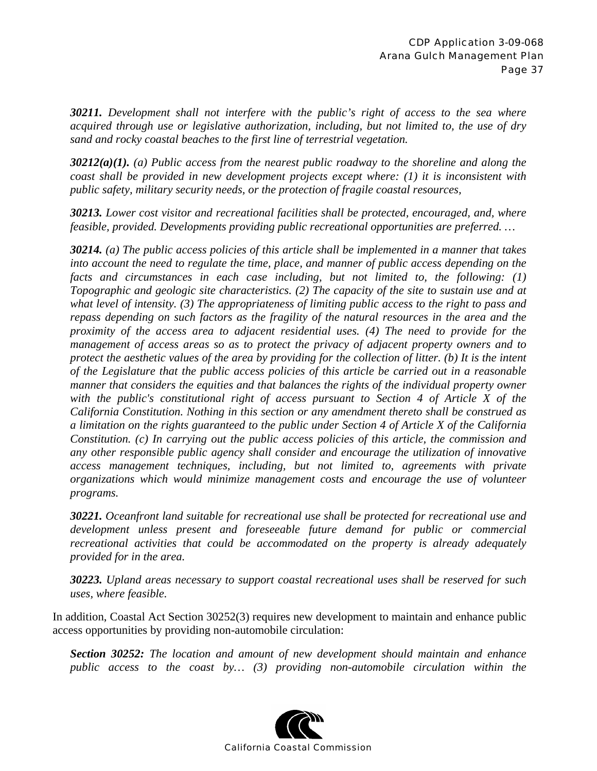*30211. Development shall not interfere with the public's right of access to the sea where acquired through use or legislative authorization, including, but not limited to, the use of dry sand and rocky coastal beaches to the first line of terrestrial vegetation.* 

*30212(a)(1). (a) Public access from the nearest public roadway to the shoreline and along the coast shall be provided in new development projects except where: (1) it is inconsistent with public safety, military security needs, or the protection of fragile coastal resources,* 

*30213. Lower cost visitor and recreational facilities shall be protected, encouraged, and, where feasible, provided. Developments providing public recreational opportunities are preferred. …* 

*30214. (a) The public access policies of this article shall be implemented in a manner that takes into account the need to regulate the time, place, and manner of public access depending on the facts and circumstances in each case including, but not limited to, the following: (1) Topographic and geologic site characteristics. (2) The capacity of the site to sustain use and at what level of intensity. (3) The appropriateness of limiting public access to the right to pass and repass depending on such factors as the fragility of the natural resources in the area and the proximity of the access area to adjacent residential uses. (4) The need to provide for the management of access areas so as to protect the privacy of adjacent property owners and to protect the aesthetic values of the area by providing for the collection of litter. (b) It is the intent of the Legislature that the public access policies of this article be carried out in a reasonable manner that considers the equities and that balances the rights of the individual property owner with the public's constitutional right of access pursuant to Section 4 of Article X of the California Constitution. Nothing in this section or any amendment thereto shall be construed as a limitation on the rights guaranteed to the public under Section 4 of Article X of the California Constitution. (c) In carrying out the public access policies of this article, the commission and any other responsible public agency shall consider and encourage the utilization of innovative access management techniques, including, but not limited to, agreements with private organizations which would minimize management costs and encourage the use of volunteer programs.* 

*30221. Oceanfront land suitable for recreational use shall be protected for recreational use and development unless present and foreseeable future demand for public or commercial recreational activities that could be accommodated on the property is already adequately provided for in the area.* 

*30223. Upland areas necessary to support coastal recreational uses shall be reserved for such uses, where feasible.* 

In addition, Coastal Act Section 30252(3) requires new development to maintain and enhance public access opportunities by providing non-automobile circulation:

*Section 30252: The location and amount of new development should maintain and enhance public access to the coast by… (3) providing non-automobile circulation within the* 

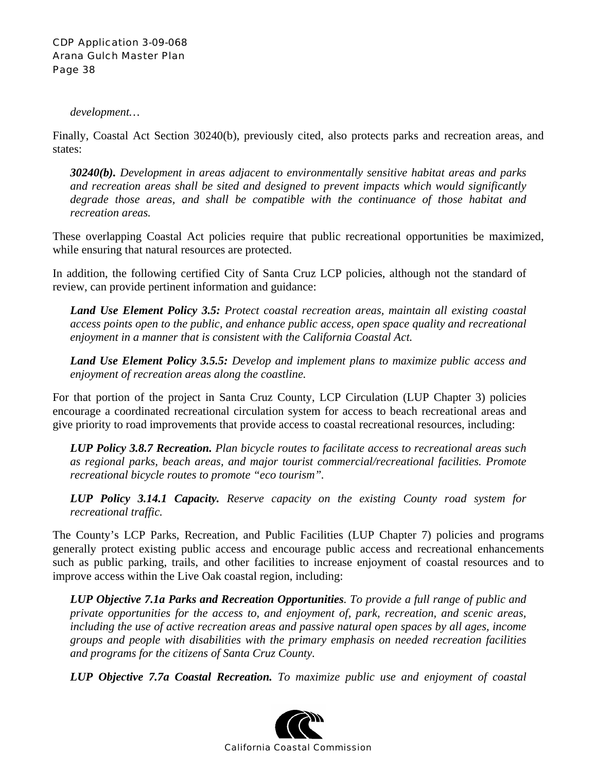*development…* 

Finally, Coastal Act Section 30240(b), previously cited, also protects parks and recreation areas, and states:

*30240(b). Development in areas adjacent to environmentally sensitive habitat areas and parks and recreation areas shall be sited and designed to prevent impacts which would significantly degrade those areas, and shall be compatible with the continuance of those habitat and recreation areas.* 

These overlapping Coastal Act policies require that public recreational opportunities be maximized, while ensuring that natural resources are protected.

In addition, the following certified City of Santa Cruz LCP policies, although not the standard of review, can provide pertinent information and guidance:

*Land Use Element Policy 3.5: Protect coastal recreation areas, maintain all existing coastal access points open to the public, and enhance public access, open space quality and recreational enjoyment in a manner that is consistent with the California Coastal Act.* 

*Land Use Element Policy 3.5.5: Develop and implement plans to maximize public access and enjoyment of recreation areas along the coastline.* 

For that portion of the project in Santa Cruz County, LCP Circulation (LUP Chapter 3) policies encourage a coordinated recreational circulation system for access to beach recreational areas and give priority to road improvements that provide access to coastal recreational resources, including:

*LUP Policy 3.8.7 Recreation. Plan bicycle routes to facilitate access to recreational areas such as regional parks, beach areas, and major tourist commercial/recreational facilities. Promote recreational bicycle routes to promote "eco tourism".* 

*LUP Policy 3.14.1 Capacity. Reserve capacity on the existing County road system for recreational traffic.* 

The County's LCP Parks, Recreation, and Public Facilities (LUP Chapter 7) policies and programs generally protect existing public access and encourage public access and recreational enhancements such as public parking, trails, and other facilities to increase enjoyment of coastal resources and to improve access within the Live Oak coastal region, including:

*LUP Objective 7.1a Parks and Recreation Opportunities. To provide a full range of public and private opportunities for the access to, and enjoyment of, park, recreation, and scenic areas, including the use of active recreation areas and passive natural open spaces by all ages, income groups and people with disabilities with the primary emphasis on needed recreation facilities and programs for the citizens of Santa Cruz County.* 

*LUP Objective 7.7a Coastal Recreation. To maximize public use and enjoyment of coastal* 

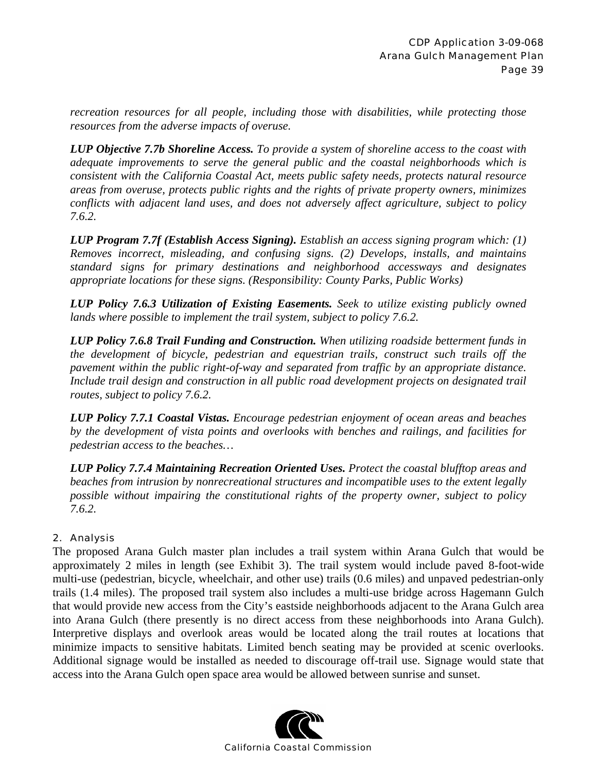*recreation resources for all people, including those with disabilities, while protecting those resources from the adverse impacts of overuse.* 

*LUP Objective 7.7b Shoreline Access. To provide a system of shoreline access to the coast with adequate improvements to serve the general public and the coastal neighborhoods which is consistent with the California Coastal Act, meets public safety needs, protects natural resource areas from overuse, protects public rights and the rights of private property owners, minimizes conflicts with adjacent land uses, and does not adversely affect agriculture, subject to policy 7.6.2.* 

*LUP Program 7.7f (Establish Access Signing). Establish an access signing program which: (1) Removes incorrect, misleading, and confusing signs. (2) Develops, installs, and maintains standard signs for primary destinations and neighborhood accessways and designates appropriate locations for these signs. (Responsibility: County Parks, Public Works)* 

*LUP Policy 7.6.3 Utilization of Existing Easements. Seek to utilize existing publicly owned lands where possible to implement the trail system, subject to policy 7.6.2.* 

*LUP Policy 7.6.8 Trail Funding and Construction. When utilizing roadside betterment funds in the development of bicycle, pedestrian and equestrian trails, construct such trails off the pavement within the public right-of-way and separated from traffic by an appropriate distance. Include trail design and construction in all public road development projects on designated trail routes, subject to policy 7.6.2.* 

*LUP Policy 7.7.1 Coastal Vistas. Encourage pedestrian enjoyment of ocean areas and beaches by the development of vista points and overlooks with benches and railings, and facilities for pedestrian access to the beaches…* 

*LUP Policy 7.7.4 Maintaining Recreation Oriented Uses. Protect the coastal blufftop areas and beaches from intrusion by nonrecreational structures and incompatible uses to the extent legally possible without impairing the constitutional rights of the property owner, subject to policy 7.6.2.* 

#### 2. Analysis

The proposed Arana Gulch master plan includes a trail system within Arana Gulch that would be approximately 2 miles in length (see Exhibit 3). The trail system would include paved 8-foot-wide multi-use (pedestrian, bicycle, wheelchair, and other use) trails (0.6 miles) and unpaved pedestrian-only trails (1.4 miles). The proposed trail system also includes a multi-use bridge across Hagemann Gulch that would provide new access from the City's eastside neighborhoods adjacent to the Arana Gulch area into Arana Gulch (there presently is no direct access from these neighborhoods into Arana Gulch). Interpretive displays and overlook areas would be located along the trail routes at locations that minimize impacts to sensitive habitats. Limited bench seating may be provided at scenic overlooks. Additional signage would be installed as needed to discourage off-trail use. Signage would state that access into the Arana Gulch open space area would be allowed between sunrise and sunset.

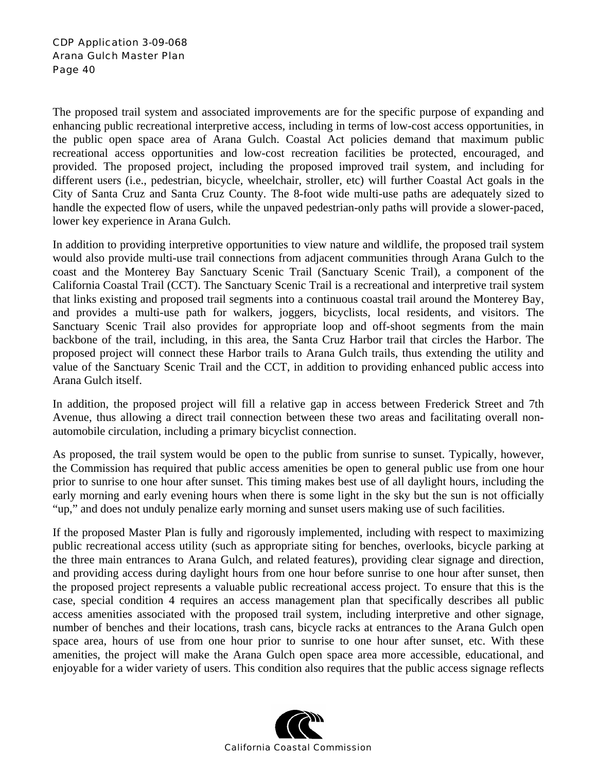The proposed trail system and associated improvements are for the specific purpose of expanding and enhancing public recreational interpretive access, including in terms of low-cost access opportunities, in the public open space area of Arana Gulch. Coastal Act policies demand that maximum public recreational access opportunities and low-cost recreation facilities be protected, encouraged, and provided. The proposed project, including the proposed improved trail system, and including for different users (i.e., pedestrian, bicycle, wheelchair, stroller, etc) will further Coastal Act goals in the City of Santa Cruz and Santa Cruz County. The 8-foot wide multi-use paths are adequately sized to handle the expected flow of users, while the unpaved pedestrian-only paths will provide a slower-paced, lower key experience in Arana Gulch.

In addition to providing interpretive opportunities to view nature and wildlife, the proposed trail system would also provide multi-use trail connections from adjacent communities through Arana Gulch to the coast and the Monterey Bay Sanctuary Scenic Trail (Sanctuary Scenic Trail), a component of the California Coastal Trail (CCT). The Sanctuary Scenic Trail is a recreational and interpretive trail system that links existing and proposed trail segments into a continuous coastal trail around the Monterey Bay, and provides a multi-use path for walkers, joggers, bicyclists, local residents, and visitors. The Sanctuary Scenic Trail also provides for appropriate loop and off-shoot segments from the main backbone of the trail, including, in this area, the Santa Cruz Harbor trail that circles the Harbor. The proposed project will connect these Harbor trails to Arana Gulch trails, thus extending the utility and value of the Sanctuary Scenic Trail and the CCT, in addition to providing enhanced public access into Arana Gulch itself.

In addition, the proposed project will fill a relative gap in access between Frederick Street and 7th Avenue, thus allowing a direct trail connection between these two areas and facilitating overall nonautomobile circulation, including a primary bicyclist connection.

As proposed, the trail system would be open to the public from sunrise to sunset. Typically, however, the Commission has required that public access amenities be open to general public use from one hour prior to sunrise to one hour after sunset. This timing makes best use of all daylight hours, including the early morning and early evening hours when there is some light in the sky but the sun is not officially "up," and does not unduly penalize early morning and sunset users making use of such facilities.

If the proposed Master Plan is fully and rigorously implemented, including with respect to maximizing public recreational access utility (such as appropriate siting for benches, overlooks, bicycle parking at the three main entrances to Arana Gulch, and related features), providing clear signage and direction, and providing access during daylight hours from one hour before sunrise to one hour after sunset, then the proposed project represents a valuable public recreational access project. To ensure that this is the case, special condition 4 requires an access management plan that specifically describes all public access amenities associated with the proposed trail system, including interpretive and other signage, number of benches and their locations, trash cans, bicycle racks at entrances to the Arana Gulch open space area, hours of use from one hour prior to sunrise to one hour after sunset, etc. With these amenities, the project will make the Arana Gulch open space area more accessible, educational, and enjoyable for a wider variety of users. This condition also requires that the public access signage reflects

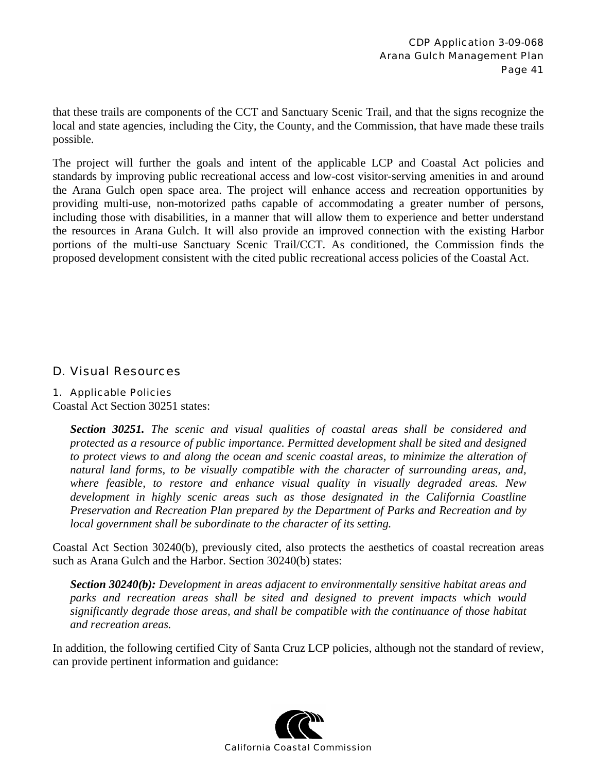that these trails are components of the CCT and Sanctuary Scenic Trail, and that the signs recognize the local and state agencies, including the City, the County, and the Commission, that have made these trails possible.

The project will further the goals and intent of the applicable LCP and Coastal Act policies and standards by improving public recreational access and low-cost visitor-serving amenities in and around the Arana Gulch open space area. The project will enhance access and recreation opportunities by providing multi-use, non-motorized paths capable of accommodating a greater number of persons, including those with disabilities, in a manner that will allow them to experience and better understand the resources in Arana Gulch. It will also provide an improved connection with the existing Harbor portions of the multi-use Sanctuary Scenic Trail/CCT. As conditioned, the Commission finds the proposed development consistent with the cited public recreational access policies of the Coastal Act.

### D. Visual Resources

#### 1. Applicable Policies

Coastal Act Section 30251 states:

*Section 30251. The scenic and visual qualities of coastal areas shall be considered and protected as a resource of public importance. Permitted development shall be sited and designed to protect views to and along the ocean and scenic coastal areas, to minimize the alteration of natural land forms, to be visually compatible with the character of surrounding areas, and, where feasible, to restore and enhance visual quality in visually degraded areas. New development in highly scenic areas such as those designated in the California Coastline Preservation and Recreation Plan prepared by the Department of Parks and Recreation and by local government shall be subordinate to the character of its setting.* 

Coastal Act Section 30240(b), previously cited, also protects the aesthetics of coastal recreation areas such as Arana Gulch and the Harbor. Section 30240(b) states:

*Section 30240(b): Development in areas adjacent to environmentally sensitive habitat areas and parks and recreation areas shall be sited and designed to prevent impacts which would significantly degrade those areas, and shall be compatible with the continuance of those habitat and recreation areas.* 

In addition, the following certified City of Santa Cruz LCP policies, although not the standard of review, can provide pertinent information and guidance:

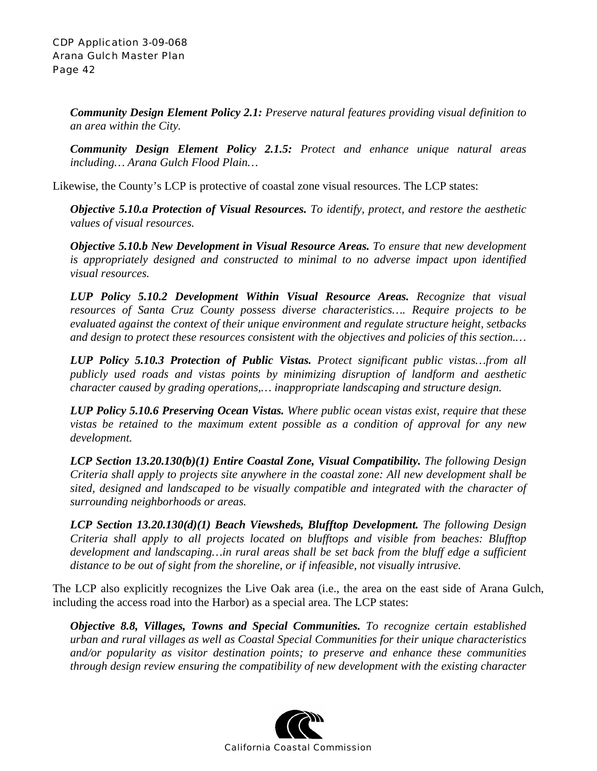*Community Design Element Policy 2.1: Preserve natural features providing visual definition to an area within the City.* 

*Community Design Element Policy 2.1.5: Protect and enhance unique natural areas including… Arana Gulch Flood Plain…* 

Likewise, the County's LCP is protective of coastal zone visual resources. The LCP states:

*Objective 5.10.a Protection of Visual Resources. To identify, protect, and restore the aesthetic values of visual resources.* 

*Objective 5.10.b New Development in Visual Resource Areas. To ensure that new development is appropriately designed and constructed to minimal to no adverse impact upon identified visual resources.* 

*LUP Policy 5.10.2 Development Within Visual Resource Areas. Recognize that visual resources of Santa Cruz County possess diverse characteristics…. Require projects to be evaluated against the context of their unique environment and regulate structure height, setbacks and design to protect these resources consistent with the objectives and policies of this section.…* 

*LUP Policy 5.10.3 Protection of Public Vistas. Protect significant public vistas…from all publicly used roads and vistas points by minimizing disruption of landform and aesthetic character caused by grading operations,… inappropriate landscaping and structure design.* 

*LUP Policy 5.10.6 Preserving Ocean Vistas. Where public ocean vistas exist, require that these vistas be retained to the maximum extent possible as a condition of approval for any new development.* 

*LCP Section 13.20.130(b)(1) Entire Coastal Zone, Visual Compatibility. The following Design Criteria shall apply to projects site anywhere in the coastal zone: All new development shall be sited, designed and landscaped to be visually compatible and integrated with the character of surrounding neighborhoods or areas.* 

*LCP Section 13.20.130(d)(1) Beach Viewsheds, Blufftop Development. The following Design Criteria shall apply to all projects located on blufftops and visible from beaches: Blufftop development and landscaping…in rural areas shall be set back from the bluff edge a sufficient distance to be out of sight from the shoreline, or if infeasible, not visually intrusive.* 

The LCP also explicitly recognizes the Live Oak area (i.e., the area on the east side of Arana Gulch, including the access road into the Harbor) as a special area. The LCP states:

*Objective 8.8, Villages, Towns and Special Communities. To recognize certain established urban and rural villages as well as Coastal Special Communities for their unique characteristics and/or popularity as visitor destination points; to preserve and enhance these communities through design review ensuring the compatibility of new development with the existing character* 

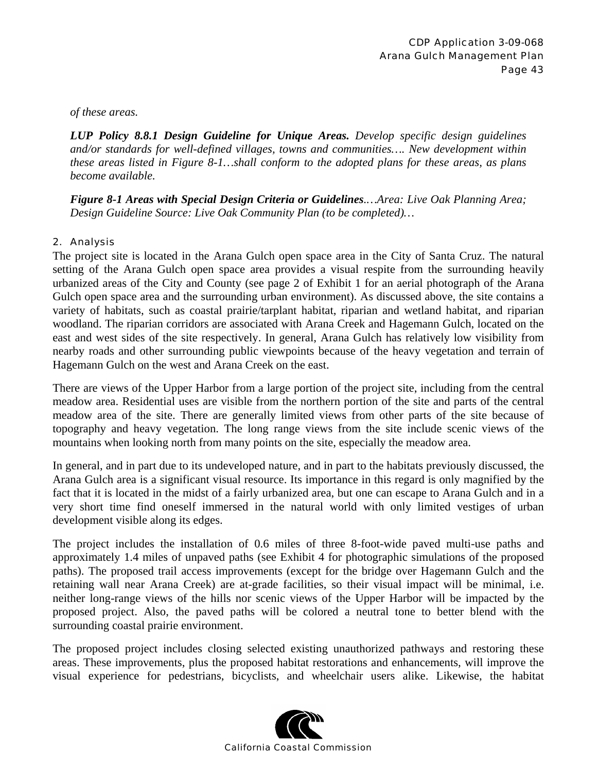*of these areas.* 

*LUP Policy 8.8.1 Design Guideline for Unique Areas. Develop specific design guidelines and/or standards for well-defined villages, towns and communities…. New development within these areas listed in Figure 8-1…shall conform to the adopted plans for these areas, as plans become available.* 

*Figure 8-1 Areas with Special Design Criteria or Guidelines.…Area: Live Oak Planning Area; Design Guideline Source: Live Oak Community Plan (to be completed)…* 

#### 2. Analysis

The project site is located in the Arana Gulch open space area in the City of Santa Cruz. The natural setting of the Arana Gulch open space area provides a visual respite from the surrounding heavily urbanized areas of the City and County (see page 2 of Exhibit 1 for an aerial photograph of the Arana Gulch open space area and the surrounding urban environment). As discussed above, the site contains a variety of habitats, such as coastal prairie/tarplant habitat, riparian and wetland habitat, and riparian woodland. The riparian corridors are associated with Arana Creek and Hagemann Gulch, located on the east and west sides of the site respectively. In general, Arana Gulch has relatively low visibility from nearby roads and other surrounding public viewpoints because of the heavy vegetation and terrain of Hagemann Gulch on the west and Arana Creek on the east.

There are views of the Upper Harbor from a large portion of the project site, including from the central meadow area. Residential uses are visible from the northern portion of the site and parts of the central meadow area of the site. There are generally limited views from other parts of the site because of topography and heavy vegetation. The long range views from the site include scenic views of the mountains when looking north from many points on the site, especially the meadow area.

In general, and in part due to its undeveloped nature, and in part to the habitats previously discussed, the Arana Gulch area is a significant visual resource. Its importance in this regard is only magnified by the fact that it is located in the midst of a fairly urbanized area, but one can escape to Arana Gulch and in a very short time find oneself immersed in the natural world with only limited vestiges of urban development visible along its edges.

The project includes the installation of 0.6 miles of three 8-foot-wide paved multi-use paths and approximately 1.4 miles of unpaved paths (see Exhibit 4 for photographic simulations of the proposed paths). The proposed trail access improvements (except for the bridge over Hagemann Gulch and the retaining wall near Arana Creek) are at-grade facilities, so their visual impact will be minimal, i.e. neither long-range views of the hills nor scenic views of the Upper Harbor will be impacted by the proposed project. Also, the paved paths will be colored a neutral tone to better blend with the surrounding coastal prairie environment.

The proposed project includes closing selected existing unauthorized pathways and restoring these areas. These improvements, plus the proposed habitat restorations and enhancements, will improve the visual experience for pedestrians, bicyclists, and wheelchair users alike. Likewise, the habitat

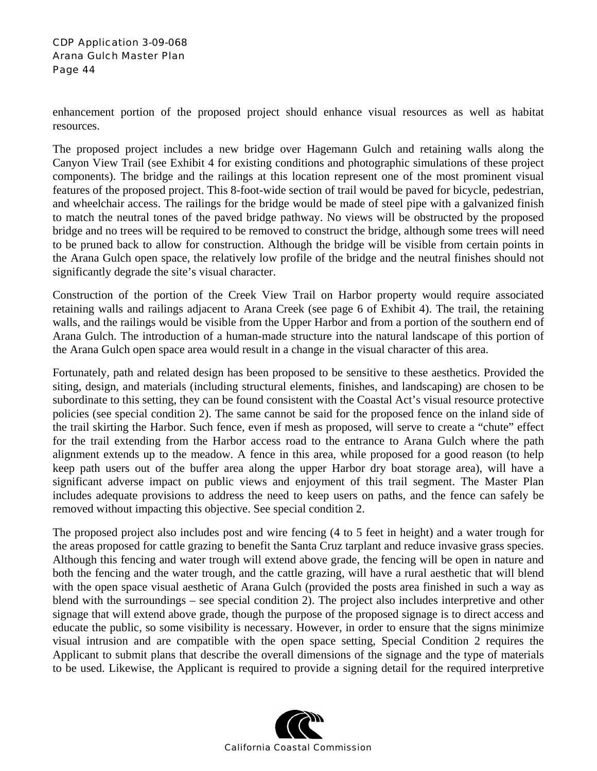enhancement portion of the proposed project should enhance visual resources as well as habitat resources.

The proposed project includes a new bridge over Hagemann Gulch and retaining walls along the Canyon View Trail (see Exhibit 4 for existing conditions and photographic simulations of these project components). The bridge and the railings at this location represent one of the most prominent visual features of the proposed project. This 8-foot-wide section of trail would be paved for bicycle, pedestrian, and wheelchair access. The railings for the bridge would be made of steel pipe with a galvanized finish to match the neutral tones of the paved bridge pathway. No views will be obstructed by the proposed bridge and no trees will be required to be removed to construct the bridge, although some trees will need to be pruned back to allow for construction. Although the bridge will be visible from certain points in the Arana Gulch open space, the relatively low profile of the bridge and the neutral finishes should not significantly degrade the site's visual character.

Construction of the portion of the Creek View Trail on Harbor property would require associated retaining walls and railings adjacent to Arana Creek (see page 6 of Exhibit 4). The trail, the retaining walls, and the railings would be visible from the Upper Harbor and from a portion of the southern end of Arana Gulch. The introduction of a human-made structure into the natural landscape of this portion of the Arana Gulch open space area would result in a change in the visual character of this area.

Fortunately, path and related design has been proposed to be sensitive to these aesthetics. Provided the siting, design, and materials (including structural elements, finishes, and landscaping) are chosen to be subordinate to this setting, they can be found consistent with the Coastal Act's visual resource protective policies (see special condition 2). The same cannot be said for the proposed fence on the inland side of the trail skirting the Harbor. Such fence, even if mesh as proposed, will serve to create a "chute" effect for the trail extending from the Harbor access road to the entrance to Arana Gulch where the path alignment extends up to the meadow. A fence in this area, while proposed for a good reason (to help keep path users out of the buffer area along the upper Harbor dry boat storage area), will have a significant adverse impact on public views and enjoyment of this trail segment. The Master Plan includes adequate provisions to address the need to keep users on paths, and the fence can safely be removed without impacting this objective. See special condition 2.

The proposed project also includes post and wire fencing (4 to 5 feet in height) and a water trough for the areas proposed for cattle grazing to benefit the Santa Cruz tarplant and reduce invasive grass species. Although this fencing and water trough will extend above grade, the fencing will be open in nature and both the fencing and the water trough, and the cattle grazing, will have a rural aesthetic that will blend with the open space visual aesthetic of Arana Gulch (provided the posts area finished in such a way as blend with the surroundings – see special condition 2). The project also includes interpretive and other signage that will extend above grade, though the purpose of the proposed signage is to direct access and educate the public, so some visibility is necessary. However, in order to ensure that the signs minimize visual intrusion and are compatible with the open space setting, Special Condition 2 requires the Applicant to submit plans that describe the overall dimensions of the signage and the type of materials to be used. Likewise, the Applicant is required to provide a signing detail for the required interpretive

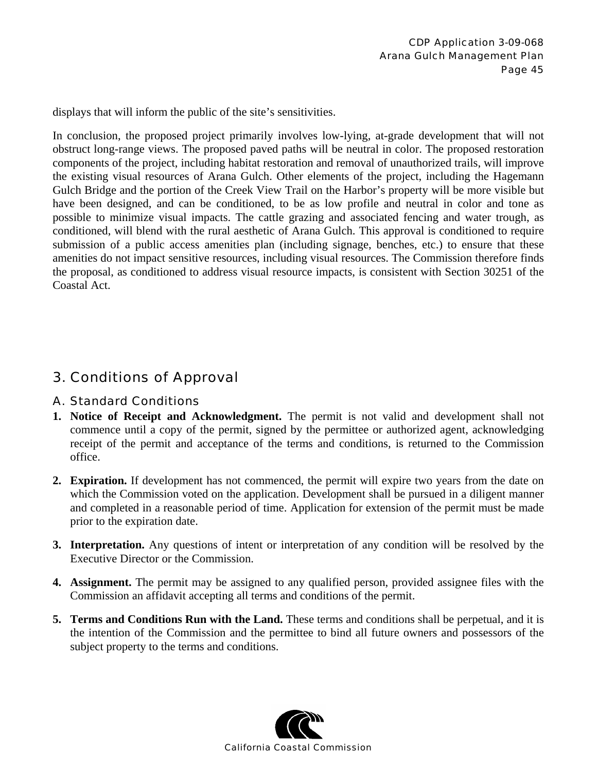displays that will inform the public of the site's sensitivities.

In conclusion, the proposed project primarily involves low-lying, at-grade development that will not obstruct long-range views. The proposed paved paths will be neutral in color. The proposed restoration components of the project, including habitat restoration and removal of unauthorized trails, will improve the existing visual resources of Arana Gulch. Other elements of the project, including the Hagemann Gulch Bridge and the portion of the Creek View Trail on the Harbor's property will be more visible but have been designed, and can be conditioned, to be as low profile and neutral in color and tone as possible to minimize visual impacts. The cattle grazing and associated fencing and water trough, as conditioned, will blend with the rural aesthetic of Arana Gulch. This approval is conditioned to require submission of a public access amenities plan (including signage, benches, etc.) to ensure that these amenities do not impact sensitive resources, including visual resources. The Commission therefore finds the proposal, as conditioned to address visual resource impacts, is consistent with Section 30251 of the Coastal Act.

## 3. Conditions of Approval

#### A. Standard Conditions

- **1. Notice of Receipt and Acknowledgment.** The permit is not valid and development shall not commence until a copy of the permit, signed by the permittee or authorized agent, acknowledging receipt of the permit and acceptance of the terms and conditions, is returned to the Commission office.
- **2. Expiration.** If development has not commenced, the permit will expire two years from the date on which the Commission voted on the application. Development shall be pursued in a diligent manner and completed in a reasonable period of time. Application for extension of the permit must be made prior to the expiration date.
- **3. Interpretation.** Any questions of intent or interpretation of any condition will be resolved by the Executive Director or the Commission.
- **4. Assignment.** The permit may be assigned to any qualified person, provided assignee files with the Commission an affidavit accepting all terms and conditions of the permit.
- **5. Terms and Conditions Run with the Land.** These terms and conditions shall be perpetual, and it is the intention of the Commission and the permittee to bind all future owners and possessors of the subject property to the terms and conditions.

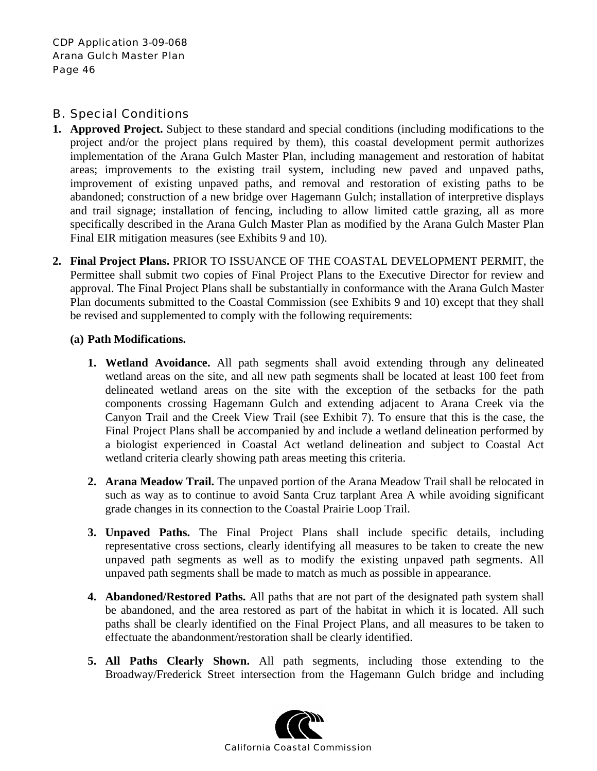### B. Special Conditions

- **1. Approved Project.** Subject to these standard and special conditions (including modifications to the project and/or the project plans required by them), this coastal development permit authorizes implementation of the Arana Gulch Master Plan, including management and restoration of habitat areas; improvements to the existing trail system, including new paved and unpaved paths, improvement of existing unpaved paths, and removal and restoration of existing paths to be abandoned; construction of a new bridge over Hagemann Gulch; installation of interpretive displays and trail signage; installation of fencing, including to allow limited cattle grazing, all as more specifically described in the Arana Gulch Master Plan as modified by the Arana Gulch Master Plan Final EIR mitigation measures (see Exhibits 9 and 10).
- **2. Final Project Plans.** PRIOR TO ISSUANCE OF THE COASTAL DEVELOPMENT PERMIT, the Permittee shall submit two copies of Final Project Plans to the Executive Director for review and approval. The Final Project Plans shall be substantially in conformance with the Arana Gulch Master Plan documents submitted to the Coastal Commission (see Exhibits 9 and 10) except that they shall be revised and supplemented to comply with the following requirements:

#### **(a) Path Modifications.**

- **1. Wetland Avoidance.** All path segments shall avoid extending through any delineated wetland areas on the site, and all new path segments shall be located at least 100 feet from delineated wetland areas on the site with the exception of the setbacks for the path components crossing Hagemann Gulch and extending adjacent to Arana Creek via the Canyon Trail and the Creek View Trail (see Exhibit 7). To ensure that this is the case, the Final Project Plans shall be accompanied by and include a wetland delineation performed by a biologist experienced in Coastal Act wetland delineation and subject to Coastal Act wetland criteria clearly showing path areas meeting this criteria.
- **2. Arana Meadow Trail.** The unpaved portion of the Arana Meadow Trail shall be relocated in such as way as to continue to avoid Santa Cruz tarplant Area A while avoiding significant grade changes in its connection to the Coastal Prairie Loop Trail.
- **3. Unpaved Paths.** The Final Project Plans shall include specific details, including representative cross sections, clearly identifying all measures to be taken to create the new unpaved path segments as well as to modify the existing unpaved path segments. All unpaved path segments shall be made to match as much as possible in appearance.
- **4. Abandoned/Restored Paths.** All paths that are not part of the designated path system shall be abandoned, and the area restored as part of the habitat in which it is located. All such paths shall be clearly identified on the Final Project Plans, and all measures to be taken to effectuate the abandonment/restoration shall be clearly identified.
- **5. All Paths Clearly Shown.** All path segments, including those extending to the Broadway/Frederick Street intersection from the Hagemann Gulch bridge and including

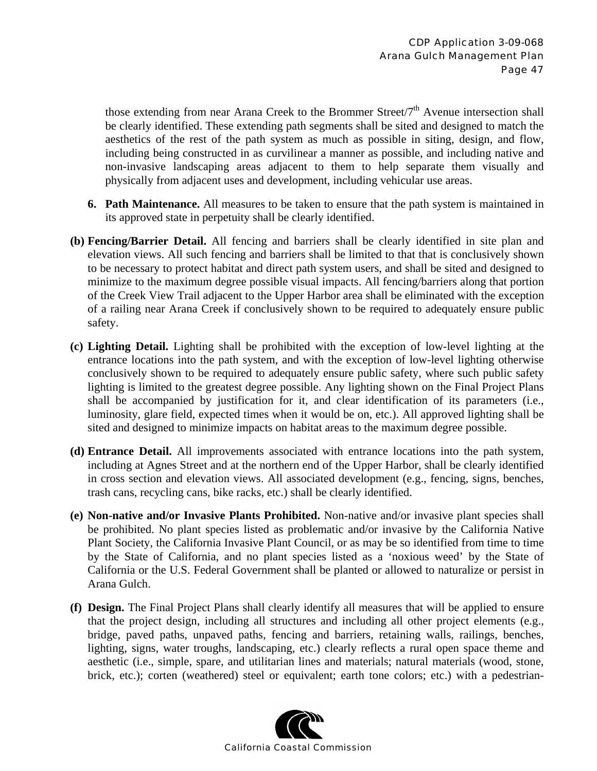those extending from near Arana Creek to the Brommer Street/ $7<sup>th</sup>$  Avenue intersection shall be clearly identified. These extending path segments shall be sited and designed to match the aesthetics of the rest of the path system as much as possible in siting, design, and flow, including being constructed in as curvilinear a manner as possible, and including native and non-invasive landscaping areas adjacent to them to help separate them visually and physically from adjacent uses and development, including vehicular use areas.

- **6. Path Maintenance.** All measures to be taken to ensure that the path system is maintained in its approved state in perpetuity shall be clearly identified.
- **(b) Fencing/Barrier Detail.** All fencing and barriers shall be clearly identified in site plan and elevation views. All such fencing and barriers shall be limited to that that is conclusively shown to be necessary to protect habitat and direct path system users, and shall be sited and designed to minimize to the maximum degree possible visual impacts. All fencing/barriers along that portion of the Creek View Trail adjacent to the Upper Harbor area shall be eliminated with the exception of a railing near Arana Creek if conclusively shown to be required to adequately ensure public safety.
- **(c) Lighting Detail.** Lighting shall be prohibited with the exception of low-level lighting at the entrance locations into the path system, and with the exception of low-level lighting otherwise conclusively shown to be required to adequately ensure public safety, where such public safety lighting is limited to the greatest degree possible. Any lighting shown on the Final Project Plans shall be accompanied by justification for it, and clear identification of its parameters (i.e., luminosity, glare field, expected times when it would be on, etc.). All approved lighting shall be sited and designed to minimize impacts on habitat areas to the maximum degree possible.
- **(d) Entrance Detail.** All improvements associated with entrance locations into the path system, including at Agnes Street and at the northern end of the Upper Harbor, shall be clearly identified in cross section and elevation views. All associated development (e.g., fencing, signs, benches, trash cans, recycling cans, bike racks, etc.) shall be clearly identified.
- **(e) Non-native and/or Invasive Plants Prohibited.** Non-native and/or invasive plant species shall be prohibited. No plant species listed as problematic and/or invasive by the California Native Plant Society, the California Invasive Plant Council, or as may be so identified from time to time by the State of California, and no plant species listed as a 'noxious weed' by the State of California or the U.S. Federal Government shall be planted or allowed to naturalize or persist in Arana Gulch.
- **(f) Design.** The Final Project Plans shall clearly identify all measures that will be applied to ensure that the project design, including all structures and including all other project elements (e.g., bridge, paved paths, unpaved paths, fencing and barriers, retaining walls, railings, benches, lighting, signs, water troughs, landscaping, etc.) clearly reflects a rural open space theme and aesthetic (i.e., simple, spare, and utilitarian lines and materials; natural materials (wood, stone, brick, etc.); corten (weathered) steel or equivalent; earth tone colors; etc.) with a pedestrian-

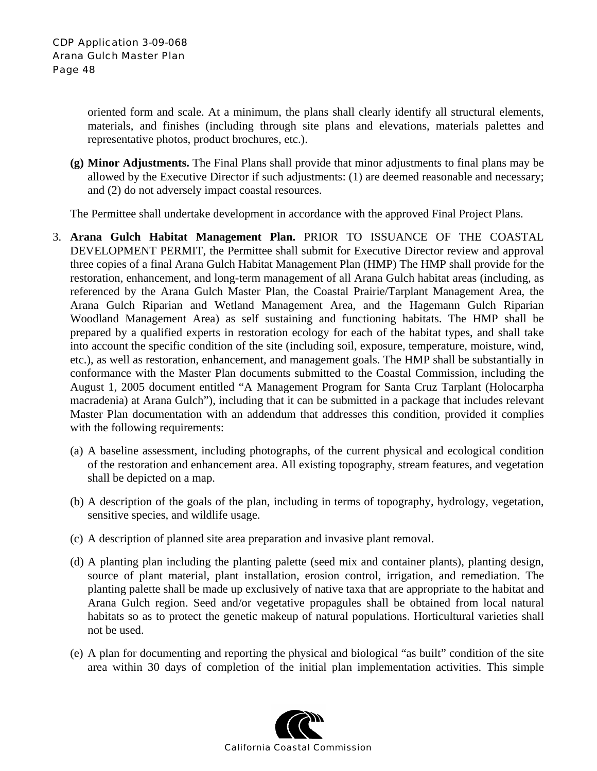oriented form and scale. At a minimum, the plans shall clearly identify all structural elements, materials, and finishes (including through site plans and elevations, materials palettes and representative photos, product brochures, etc.).

**(g) Minor Adjustments.** The Final Plans shall provide that minor adjustments to final plans may be allowed by the Executive Director if such adjustments: (1) are deemed reasonable and necessary; and (2) do not adversely impact coastal resources.

The Permittee shall undertake development in accordance with the approved Final Project Plans.

- 3. **Arana Gulch Habitat Management Plan.** PRIOR TO ISSUANCE OF THE COASTAL DEVELOPMENT PERMIT, the Permittee shall submit for Executive Director review and approval three copies of a final Arana Gulch Habitat Management Plan (HMP) The HMP shall provide for the restoration, enhancement, and long-term management of all Arana Gulch habitat areas (including, as referenced by the Arana Gulch Master Plan, the Coastal Prairie/Tarplant Management Area, the Arana Gulch Riparian and Wetland Management Area, and the Hagemann Gulch Riparian Woodland Management Area) as self sustaining and functioning habitats. The HMP shall be prepared by a qualified experts in restoration ecology for each of the habitat types, and shall take into account the specific condition of the site (including soil, exposure, temperature, moisture, wind, etc.), as well as restoration, enhancement, and management goals. The HMP shall be substantially in conformance with the Master Plan documents submitted to the Coastal Commission, including the August 1, 2005 document entitled "A Management Program for Santa Cruz Tarplant (Holocarpha macradenia) at Arana Gulch"), including that it can be submitted in a package that includes relevant Master Plan documentation with an addendum that addresses this condition, provided it complies with the following requirements:
	- (a) A baseline assessment, including photographs, of the current physical and ecological condition of the restoration and enhancement area. All existing topography, stream features, and vegetation shall be depicted on a map.
	- (b) A description of the goals of the plan, including in terms of topography, hydrology, vegetation, sensitive species, and wildlife usage.
	- (c) A description of planned site area preparation and invasive plant removal.
	- (d) A planting plan including the planting palette (seed mix and container plants), planting design, source of plant material, plant installation, erosion control, irrigation, and remediation. The planting palette shall be made up exclusively of native taxa that are appropriate to the habitat and Arana Gulch region. Seed and/or vegetative propagules shall be obtained from local natural habitats so as to protect the genetic makeup of natural populations. Horticultural varieties shall not be used.
	- (e) A plan for documenting and reporting the physical and biological "as built" condition of the site area within 30 days of completion of the initial plan implementation activities. This simple

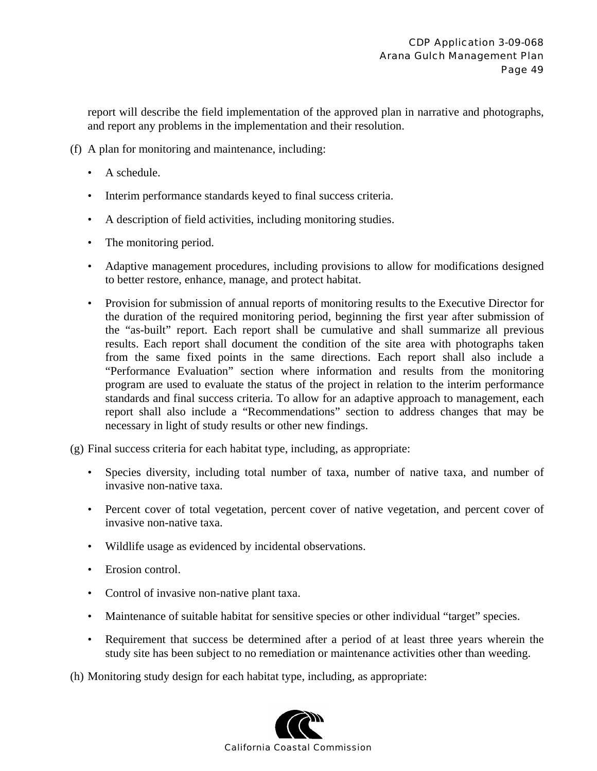report will describe the field implementation of the approved plan in narrative and photographs, and report any problems in the implementation and their resolution.

- (f) A plan for monitoring and maintenance, including:
	- A schedule.
	- Interim performance standards keyed to final success criteria.
	- A description of field activities, including monitoring studies.
	- The monitoring period.
	- Adaptive management procedures, including provisions to allow for modifications designed to better restore, enhance, manage, and protect habitat.
	- Provision for submission of annual reports of monitoring results to the Executive Director for the duration of the required monitoring period, beginning the first year after submission of the "as-built" report. Each report shall be cumulative and shall summarize all previous results. Each report shall document the condition of the site area with photographs taken from the same fixed points in the same directions. Each report shall also include a "Performance Evaluation" section where information and results from the monitoring program are used to evaluate the status of the project in relation to the interim performance standards and final success criteria. To allow for an adaptive approach to management, each report shall also include a "Recommendations" section to address changes that may be necessary in light of study results or other new findings.

(g) Final success criteria for each habitat type, including, as appropriate:

- Species diversity, including total number of taxa, number of native taxa, and number of invasive non-native taxa.
- Percent cover of total vegetation, percent cover of native vegetation, and percent cover of invasive non-native taxa.
- Wildlife usage as evidenced by incidental observations.
- Erosion control.
- Control of invasive non-native plant taxa.
- Maintenance of suitable habitat for sensitive species or other individual "target" species.
- Requirement that success be determined after a period of at least three years wherein the study site has been subject to no remediation or maintenance activities other than weeding.
- (h) Monitoring study design for each habitat type, including, as appropriate:

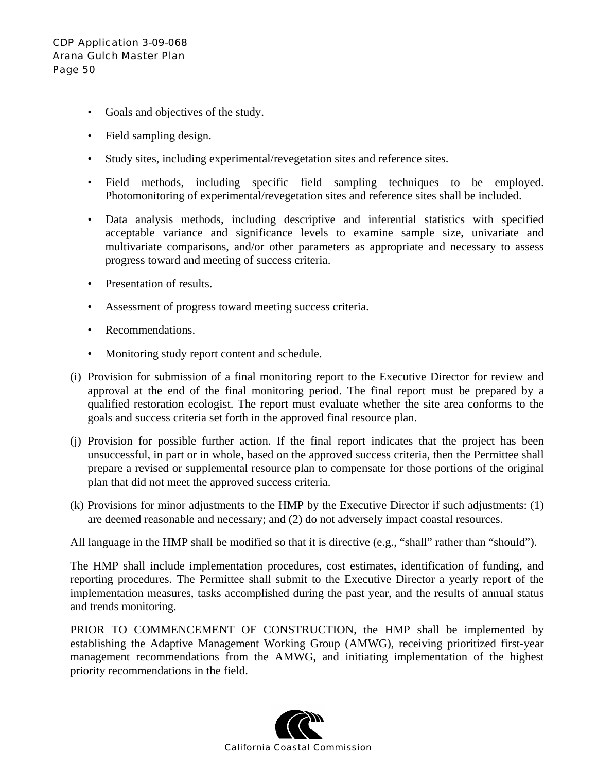- Goals and objectives of the study.
- Field sampling design.
- Study sites, including experimental/revegetation sites and reference sites.
- Field methods, including specific field sampling techniques to be employed. Photomonitoring of experimental/revegetation sites and reference sites shall be included.
- Data analysis methods, including descriptive and inferential statistics with specified acceptable variance and significance levels to examine sample size, univariate and multivariate comparisons, and/or other parameters as appropriate and necessary to assess progress toward and meeting of success criteria.
- Presentation of results.
- Assessment of progress toward meeting success criteria.
- Recommendations.
- Monitoring study report content and schedule.
- (i) Provision for submission of a final monitoring report to the Executive Director for review and approval at the end of the final monitoring period. The final report must be prepared by a qualified restoration ecologist. The report must evaluate whether the site area conforms to the goals and success criteria set forth in the approved final resource plan.
- (j) Provision for possible further action. If the final report indicates that the project has been unsuccessful, in part or in whole, based on the approved success criteria, then the Permittee shall prepare a revised or supplemental resource plan to compensate for those portions of the original plan that did not meet the approved success criteria.
- (k) Provisions for minor adjustments to the HMP by the Executive Director if such adjustments: (1) are deemed reasonable and necessary; and (2) do not adversely impact coastal resources.

All language in the HMP shall be modified so that it is directive (e.g., "shall" rather than "should").

The HMP shall include implementation procedures, cost estimates, identification of funding, and reporting procedures. The Permittee shall submit to the Executive Director a yearly report of the implementation measures, tasks accomplished during the past year, and the results of annual status and trends monitoring.

PRIOR TO COMMENCEMENT OF CONSTRUCTION, the HMP shall be implemented by establishing the Adaptive Management Working Group (AMWG), receiving prioritized first-year management recommendations from the AMWG, and initiating implementation of the highest priority recommendations in the field.

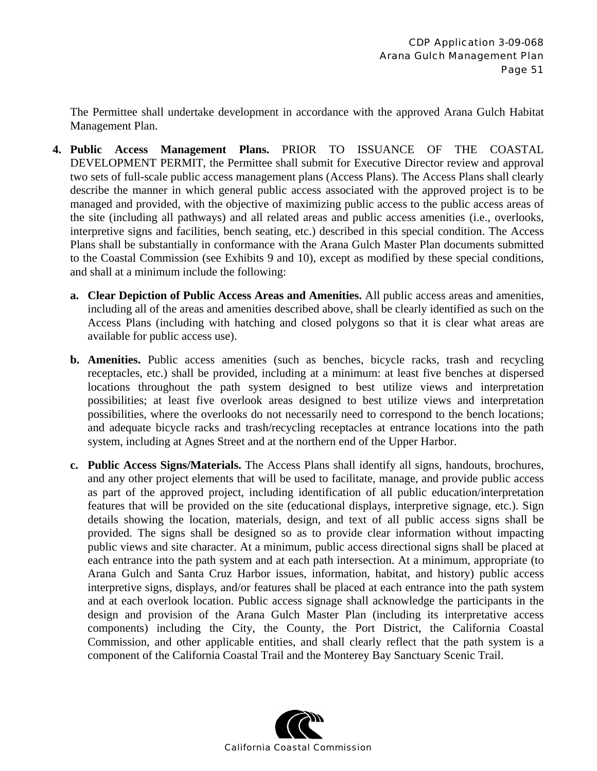The Permittee shall undertake development in accordance with the approved Arana Gulch Habitat Management Plan.

- **4. Public Access Management Plans.** PRIOR TO ISSUANCE OF THE COASTAL DEVELOPMENT PERMIT, the Permittee shall submit for Executive Director review and approval two sets of full-scale public access management plans (Access Plans). The Access Plans shall clearly describe the manner in which general public access associated with the approved project is to be managed and provided, with the objective of maximizing public access to the public access areas of the site (including all pathways) and all related areas and public access amenities (i.e., overlooks, interpretive signs and facilities, bench seating, etc.) described in this special condition. The Access Plans shall be substantially in conformance with the Arana Gulch Master Plan documents submitted to the Coastal Commission (see Exhibits 9 and 10), except as modified by these special conditions, and shall at a minimum include the following:
	- **a. Clear Depiction of Public Access Areas and Amenities.** All public access areas and amenities, including all of the areas and amenities described above, shall be clearly identified as such on the Access Plans (including with hatching and closed polygons so that it is clear what areas are available for public access use).
	- **b. Amenities.** Public access amenities (such as benches, bicycle racks, trash and recycling receptacles, etc.) shall be provided, including at a minimum: at least five benches at dispersed locations throughout the path system designed to best utilize views and interpretation possibilities; at least five overlook areas designed to best utilize views and interpretation possibilities, where the overlooks do not necessarily need to correspond to the bench locations; and adequate bicycle racks and trash/recycling receptacles at entrance locations into the path system, including at Agnes Street and at the northern end of the Upper Harbor.
	- **c. Public Access Signs/Materials.** The Access Plans shall identify all signs, handouts, brochures, and any other project elements that will be used to facilitate, manage, and provide public access as part of the approved project, including identification of all public education/interpretation features that will be provided on the site (educational displays, interpretive signage, etc.). Sign details showing the location, materials, design, and text of all public access signs shall be provided. The signs shall be designed so as to provide clear information without impacting public views and site character. At a minimum, public access directional signs shall be placed at each entrance into the path system and at each path intersection. At a minimum, appropriate (to Arana Gulch and Santa Cruz Harbor issues, information, habitat, and history) public access interpretive signs, displays, and/or features shall be placed at each entrance into the path system and at each overlook location. Public access signage shall acknowledge the participants in the design and provision of the Arana Gulch Master Plan (including its interpretative access components) including the City, the County, the Port District, the California Coastal Commission, and other applicable entities, and shall clearly reflect that the path system is a component of the California Coastal Trail and the Monterey Bay Sanctuary Scenic Trail.

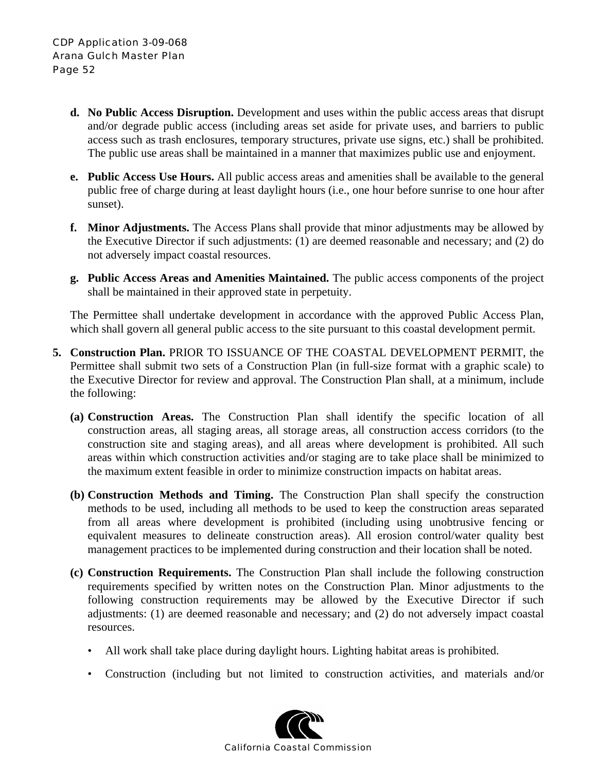- **d. No Public Access Disruption.** Development and uses within the public access areas that disrupt and/or degrade public access (including areas set aside for private uses, and barriers to public access such as trash enclosures, temporary structures, private use signs, etc.) shall be prohibited. The public use areas shall be maintained in a manner that maximizes public use and enjoyment.
- **e. Public Access Use Hours.** All public access areas and amenities shall be available to the general public free of charge during at least daylight hours (i.e., one hour before sunrise to one hour after sunset).
- **f. Minor Adjustments.** The Access Plans shall provide that minor adjustments may be allowed by the Executive Director if such adjustments: (1) are deemed reasonable and necessary; and (2) do not adversely impact coastal resources.
- **g. Public Access Areas and Amenities Maintained.** The public access components of the project shall be maintained in their approved state in perpetuity.

The Permittee shall undertake development in accordance with the approved Public Access Plan, which shall govern all general public access to the site pursuant to this coastal development permit.

- **5. Construction Plan.** PRIOR TO ISSUANCE OF THE COASTAL DEVELOPMENT PERMIT, the Permittee shall submit two sets of a Construction Plan (in full-size format with a graphic scale) to the Executive Director for review and approval. The Construction Plan shall, at a minimum, include the following:
	- **(a) Construction Areas.** The Construction Plan shall identify the specific location of all construction areas, all staging areas, all storage areas, all construction access corridors (to the construction site and staging areas), and all areas where development is prohibited. All such areas within which construction activities and/or staging are to take place shall be minimized to the maximum extent feasible in order to minimize construction impacts on habitat areas.
	- **(b) Construction Methods and Timing.** The Construction Plan shall specify the construction methods to be used, including all methods to be used to keep the construction areas separated from all areas where development is prohibited (including using unobtrusive fencing or equivalent measures to delineate construction areas). All erosion control/water quality best management practices to be implemented during construction and their location shall be noted.
	- **(c) Construction Requirements.** The Construction Plan shall include the following construction requirements specified by written notes on the Construction Plan. Minor adjustments to the following construction requirements may be allowed by the Executive Director if such adjustments: (1) are deemed reasonable and necessary; and (2) do not adversely impact coastal resources.
		- All work shall take place during daylight hours. Lighting habitat areas is prohibited.
		- Construction (including but not limited to construction activities, and materials and/or

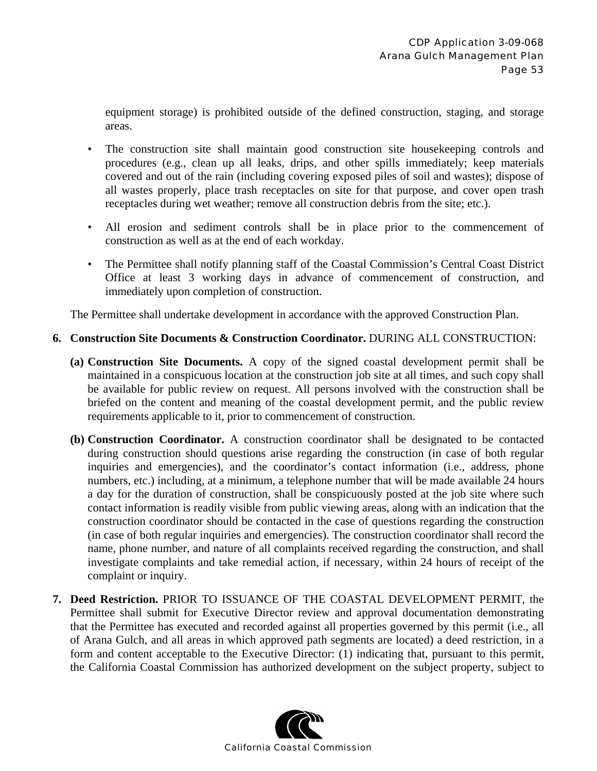equipment storage) is prohibited outside of the defined construction, staging, and storage areas.

- The construction site shall maintain good construction site housekeeping controls and procedures (e.g., clean up all leaks, drips, and other spills immediately; keep materials covered and out of the rain (including covering exposed piles of soil and wastes); dispose of all wastes properly, place trash receptacles on site for that purpose, and cover open trash receptacles during wet weather; remove all construction debris from the site; etc.).
- All erosion and sediment controls shall be in place prior to the commencement of construction as well as at the end of each workday.
- The Permittee shall notify planning staff of the Coastal Commission's Central Coast District Office at least 3 working days in advance of commencement of construction, and immediately upon completion of construction.

The Permittee shall undertake development in accordance with the approved Construction Plan.

#### **6. Construction Site Documents & Construction Coordinator.** DURING ALL CONSTRUCTION:

- **(a) Construction Site Documents.** A copy of the signed coastal development permit shall be maintained in a conspicuous location at the construction job site at all times, and such copy shall be available for public review on request. All persons involved with the construction shall be briefed on the content and meaning of the coastal development permit, and the public review requirements applicable to it, prior to commencement of construction.
- **(b) Construction Coordinator.** A construction coordinator shall be designated to be contacted during construction should questions arise regarding the construction (in case of both regular inquiries and emergencies), and the coordinator's contact information (i.e., address, phone numbers, etc.) including, at a minimum, a telephone number that will be made available 24 hours a day for the duration of construction, shall be conspicuously posted at the job site where such contact information is readily visible from public viewing areas, along with an indication that the construction coordinator should be contacted in the case of questions regarding the construction (in case of both regular inquiries and emergencies). The construction coordinator shall record the name, phone number, and nature of all complaints received regarding the construction, and shall investigate complaints and take remedial action, if necessary, within 24 hours of receipt of the complaint or inquiry.
- **7. Deed Restriction.** PRIOR TO ISSUANCE OF THE COASTAL DEVELOPMENT PERMIT, the Permittee shall submit for Executive Director review and approval documentation demonstrating that the Permittee has executed and recorded against all properties governed by this permit (i.e., all of Arana Gulch, and all areas in which approved path segments are located) a deed restriction, in a form and content acceptable to the Executive Director: (1) indicating that, pursuant to this permit, the California Coastal Commission has authorized development on the subject property, subject to

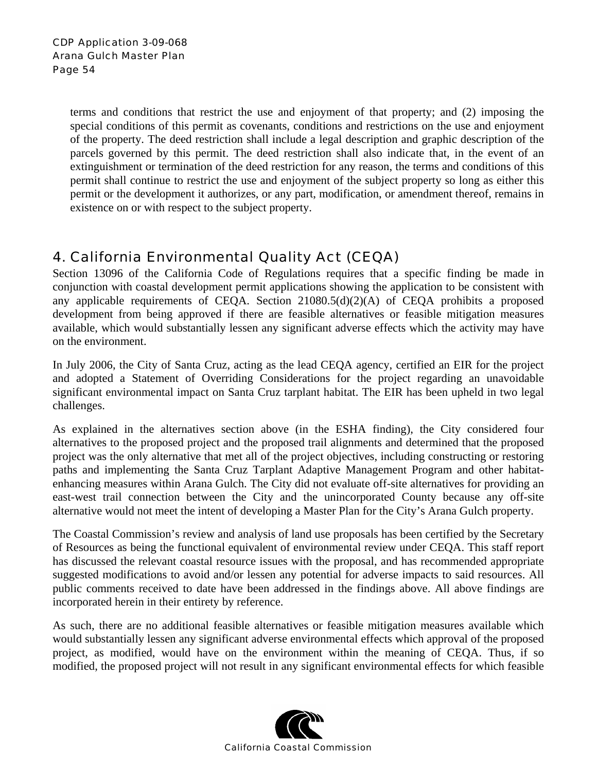terms and conditions that restrict the use and enjoyment of that property; and (2) imposing the special conditions of this permit as covenants, conditions and restrictions on the use and enjoyment of the property. The deed restriction shall include a legal description and graphic description of the parcels governed by this permit. The deed restriction shall also indicate that, in the event of an extinguishment or termination of the deed restriction for any reason, the terms and conditions of this permit shall continue to restrict the use and enjoyment of the subject property so long as either this permit or the development it authorizes, or any part, modification, or amendment thereof, remains in existence on or with respect to the subject property.

## 4. California Environmental Quality Act (CEQA)

Section 13096 of the California Code of Regulations requires that a specific finding be made in conjunction with coastal development permit applications showing the application to be consistent with any applicable requirements of CEQA. Section 21080.5(d)(2)(A) of CEQA prohibits a proposed development from being approved if there are feasible alternatives or feasible mitigation measures available, which would substantially lessen any significant adverse effects which the activity may have on the environment.

In July 2006, the City of Santa Cruz, acting as the lead CEQA agency, certified an EIR for the project and adopted a Statement of Overriding Considerations for the project regarding an unavoidable significant environmental impact on Santa Cruz tarplant habitat. The EIR has been upheld in two legal challenges.

As explained in the alternatives section above (in the ESHA finding), the City considered four alternatives to the proposed project and the proposed trail alignments and determined that the proposed project was the only alternative that met all of the project objectives, including constructing or restoring paths and implementing the Santa Cruz Tarplant Adaptive Management Program and other habitatenhancing measures within Arana Gulch. The City did not evaluate off-site alternatives for providing an east-west trail connection between the City and the unincorporated County because any off-site alternative would not meet the intent of developing a Master Plan for the City's Arana Gulch property.

The Coastal Commission's review and analysis of land use proposals has been certified by the Secretary of Resources as being the functional equivalent of environmental review under CEQA. This staff report has discussed the relevant coastal resource issues with the proposal, and has recommended appropriate suggested modifications to avoid and/or lessen any potential for adverse impacts to said resources. All public comments received to date have been addressed in the findings above. All above findings are incorporated herein in their entirety by reference.

As such, there are no additional feasible alternatives or feasible mitigation measures available which would substantially lessen any significant adverse environmental effects which approval of the proposed project, as modified, would have on the environment within the meaning of CEQA. Thus, if so modified, the proposed project will not result in any significant environmental effects for which feasible